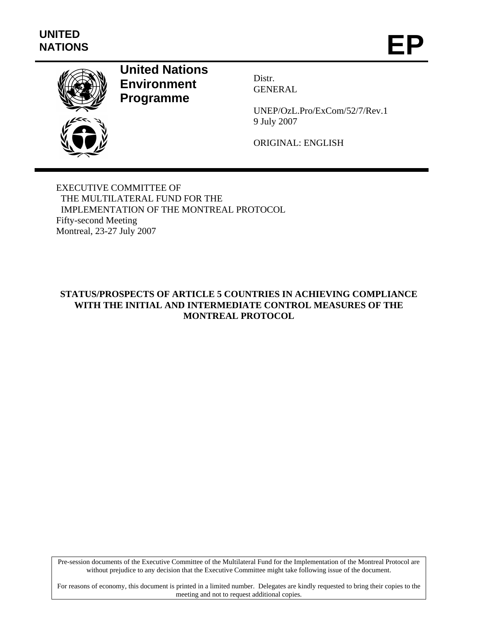

# **United Nations Environment Programme**

Distr. GENERAL

UNEP/OzL.Pro/ExCom/52/7/Rev.1 9 July 2007

ORIGINAL: ENGLISH

EXECUTIVE COMMITTEE OF THE MULTILATERAL FUND FOR THE IMPLEMENTATION OF THE MONTREAL PROTOCOL Fifty-second Meeting Montreal, 23-27 July 2007

# **STATUS/PROSPECTS OF ARTICLE 5 COUNTRIES IN ACHIEVING COMPLIANCE WITH THE INITIAL AND INTERMEDIATE CONTROL MEASURES OF THE MONTREAL PROTOCOL**

Pre-session documents of the Executive Committee of the Multilateral Fund for the Implementation of the Montreal Protocol are without prejudice to any decision that the Executive Committee might take following issue of the document.

For reasons of economy, this document is printed in a limited number. Delegates are kindly requested to bring their copies to the meeting and not to request additional copies.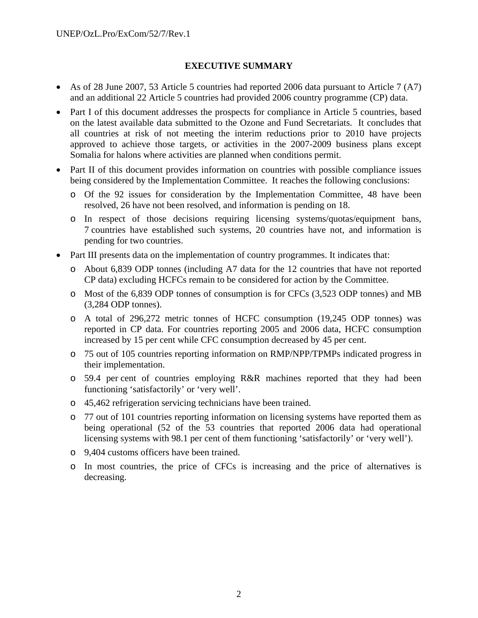## **EXECUTIVE SUMMARY**

- As of 28 June 2007, 53 Article 5 countries had reported 2006 data pursuant to Article 7 (A7) and an additional 22 Article 5 countries had provided 2006 country programme (CP) data.
- Part I of this document addresses the prospects for compliance in Article 5 countries, based on the latest available data submitted to the Ozone and Fund Secretariats. It concludes that all countries at risk of not meeting the interim reductions prior to 2010 have projects approved to achieve those targets, or activities in the 2007-2009 business plans except Somalia for halons where activities are planned when conditions permit.
- Part II of this document provides information on countries with possible compliance issues being considered by the Implementation Committee. It reaches the following conclusions:
	- o Of the 92 issues for consideration by the Implementation Committee, 48 have been resolved, 26 have not been resolved, and information is pending on 18.
	- o In respect of those decisions requiring licensing systems/quotas/equipment bans, 7 countries have established such systems, 20 countries have not, and information is pending for two countries.
- Part III presents data on the implementation of country programmes. It indicates that:
	- o About 6,839 ODP tonnes (including A7 data for the 12 countries that have not reported CP data) excluding HCFCs remain to be considered for action by the Committee.
	- o Most of the 6,839 ODP tonnes of consumption is for CFCs (3,523 ODP tonnes) and MB (3,284 ODP tonnes).
	- o A total of 296,272 metric tonnes of HCFC consumption (19,245 ODP tonnes) was reported in CP data. For countries reporting 2005 and 2006 data, HCFC consumption increased by 15 per cent while CFC consumption decreased by 45 per cent.
	- o 75 out of 105 countries reporting information on RMP/NPP/TPMPs indicated progress in their implementation.
	- o 59.4 per cent of countries employing R&R machines reported that they had been functioning 'satisfactorily' or 'very well'.
	- o 45,462 refrigeration servicing technicians have been trained.
	- o 77 out of 101 countries reporting information on licensing systems have reported them as being operational (52 of the 53 countries that reported 2006 data had operational licensing systems with 98.1 per cent of them functioning 'satisfactorily' or 'very well').
	- o 9,404 customs officers have been trained.
	- o In most countries, the price of CFCs is increasing and the price of alternatives is decreasing.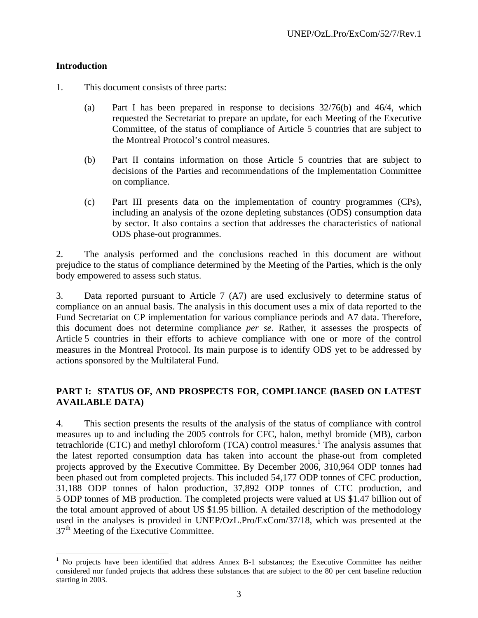## **Introduction**

 $\overline{a}$ 

- 1. This document consists of three parts:
	- (a) Part I has been prepared in response to decisions 32/76(b) and 46/4, which requested the Secretariat to prepare an update, for each Meeting of the Executive Committee, of the status of compliance of Article 5 countries that are subject to the Montreal Protocol's control measures.
	- (b) Part II contains information on those Article 5 countries that are subject to decisions of the Parties and recommendations of the Implementation Committee on compliance.
	- (c) Part III presents data on the implementation of country programmes (CPs), including an analysis of the ozone depleting substances (ODS) consumption data by sector. It also contains a section that addresses the characteristics of national ODS phase-out programmes.

2. The analysis performed and the conclusions reached in this document are without prejudice to the status of compliance determined by the Meeting of the Parties, which is the only body empowered to assess such status.

3. Data reported pursuant to Article 7 (A7) are used exclusively to determine status of compliance on an annual basis. The analysis in this document uses a mix of data reported to the Fund Secretariat on CP implementation for various compliance periods and A7 data. Therefore, this document does not determine compliance *per se*. Rather, it assesses the prospects of Article 5 countries in their efforts to achieve compliance with one or more of the control measures in the Montreal Protocol. Its main purpose is to identify ODS yet to be addressed by actions sponsored by the Multilateral Fund.

## **PART I: STATUS OF, AND PROSPECTS FOR, COMPLIANCE (BASED ON LATEST AVAILABLE DATA)**

4. This section presents the results of the analysis of the status of compliance with control measures up to and including the 2005 controls for CFC, halon, methyl bromide (MB), carbon tetrachloride (CTC) and methyl chloroform (TCA) control measures.<sup>1</sup> The analysis assumes that the latest reported consumption data has taken into account the phase-out from completed projects approved by the Executive Committee. By December 2006, 310,964 ODP tonnes had been phased out from completed projects. This included 54,177 ODP tonnes of CFC production, 31,188 ODP tonnes of halon production, 37,892 ODP tonnes of CTC production, and 5 ODP tonnes of MB production. The completed projects were valued at US \$1.47 billion out of the total amount approved of about US \$1.95 billion. A detailed description of the methodology used in the analyses is provided in UNEP/OzL.Pro/ExCom/37/18, which was presented at the 37<sup>th</sup> Meeting of the Executive Committee.

<sup>&</sup>lt;sup>1</sup> No projects have been identified that address Annex B-1 substances; the Executive Committee has neither considered nor funded projects that address these substances that are subject to the 80 per cent baseline reduction starting in 2003.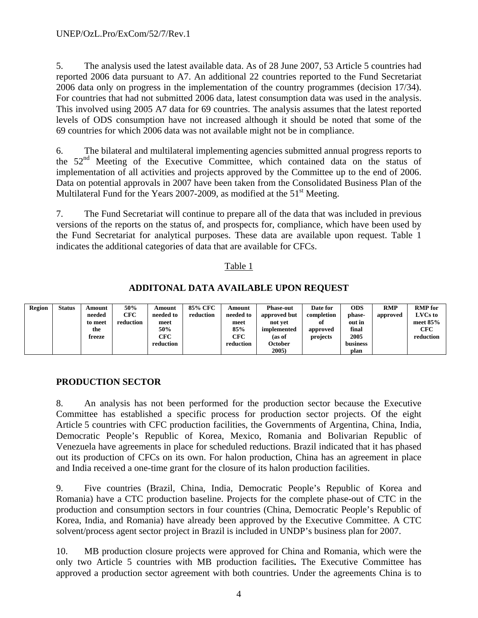5. The analysis used the latest available data. As of 28 June 2007, 53 Article 5 countries had reported 2006 data pursuant to A7. An additional 22 countries reported to the Fund Secretariat 2006 data only on progress in the implementation of the country programmes (decision 17/34). For countries that had not submitted 2006 data, latest consumption data was used in the analysis. This involved using 2005 A7 data for 69 countries. The analysis assumes that the latest reported levels of ODS consumption have not increased although it should be noted that some of the 69 countries for which 2006 data was not available might not be in compliance.

6. The bilateral and multilateral implementing agencies submitted annual progress reports to the  $52<sup>nd</sup>$  Meeting of the Executive Committee, which contained data on the status of implementation of all activities and projects approved by the Committee up to the end of 2006. Data on potential approvals in 2007 have been taken from the Consolidated Business Plan of the Multilateral Fund for the Years 2007-2009, as modified at the  $51<sup>st</sup>$  Meeting.

7. The Fund Secretariat will continue to prepare all of the data that was included in previous versions of the reports on the status of, and prospects for, compliance, which have been used by the Fund Secretariat for analytical purposes. These data are available upon request. Table 1 indicates the additional categories of data that are available for CFCs.

## Table 1

# **ADDITONAL DATA AVAILABLE UPON REQUEST**

| Region | Status | Amount  | 50%       | Amount    | 85% CFC   | Amount    | <b>Phase-out</b> | Date for   | <b>ODS</b> | <b>RMP</b> | <b>RMP</b> for |
|--------|--------|---------|-----------|-----------|-----------|-----------|------------------|------------|------------|------------|----------------|
|        |        | needed  | CFC       | needed to | reduction | needed to | approved but     | completion | phase-     | approved   | <b>LVCs</b> to |
|        |        | to meet | reduction | meet      |           | meet      | not vet          | оf         | out in     |            | meet $85%$     |
|        |        | the     |           | 50%       |           | 85%       | implemented      | approved   | final      |            | CFC            |
|        |        | freeze  |           | CFC       |           | CFC       | (as of           | projects   | 2005       |            | reduction      |
|        |        |         |           | reduction |           | reduction | October          |            | business   |            |                |
|        |        |         |           |           |           |           | 2005)            |            | plan       |            |                |

## **PRODUCTION SECTOR**

8. An analysis has not been performed for the production sector because the Executive Committee has established a specific process for production sector projects. Of the eight Article 5 countries with CFC production facilities, the Governments of Argentina, China, India, Democratic People's Republic of Korea, Mexico, Romania and Bolivarian Republic of Venezuela have agreements in place for scheduled reductions. Brazil indicated that it has phased out its production of CFCs on its own. For halon production, China has an agreement in place and India received a one-time grant for the closure of its halon production facilities.

9. Five countries (Brazil, China, India, Democratic People's Republic of Korea and Romania) have a CTC production baseline. Projects for the complete phase-out of CTC in the production and consumption sectors in four countries (China, Democratic People's Republic of Korea, India, and Romania) have already been approved by the Executive Committee. A CTC solvent/process agent sector project in Brazil is included in UNDP's business plan for 2007.

10. MB production closure projects were approved for China and Romania, which were the only two Article 5 countries with MB production facilities**.** The Executive Committee has approved a production sector agreement with both countries. Under the agreements China is to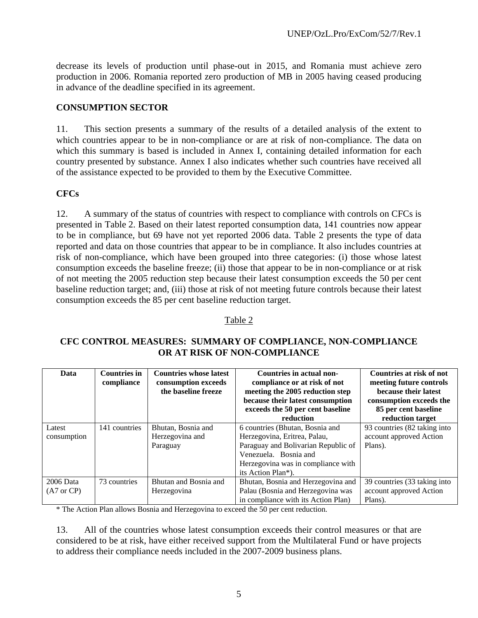decrease its levels of production until phase-out in 2015, and Romania must achieve zero production in 2006. Romania reported zero production of MB in 2005 having ceased producing in advance of the deadline specified in its agreement.

# **CONSUMPTION SECTOR**

11. This section presents a summary of the results of a detailed analysis of the extent to which countries appear to be in non-compliance or are at risk of non-compliance. The data on which this summary is based is included in Annex I, containing detailed information for each country presented by substance. Annex I also indicates whether such countries have received all of the assistance expected to be provided to them by the Executive Committee.

# **CFCs**

12. A summary of the status of countries with respect to compliance with controls on CFCs is presented in Table 2. Based on their latest reported consumption data, 141 countries now appear to be in compliance, but 69 have not yet reported 2006 data. Table 2 presents the type of data reported and data on those countries that appear to be in compliance. It also includes countries at risk of non-compliance, which have been grouped into three categories: (i) those whose latest consumption exceeds the baseline freeze; (ii) those that appear to be in non-compliance or at risk of not meeting the 2005 reduction step because their latest consumption exceeds the 50 per cent baseline reduction target; and, (iii) those at risk of not meeting future controls because their latest consumption exceeds the 85 per cent baseline reduction target.

## Table 2

## **CFC CONTROL MEASURES: SUMMARY OF COMPLIANCE, NON-COMPLIANCE OR AT RISK OF NON-COMPLIANCE**

| Data                               | <b>Countries in</b><br>compliance | <b>Countries whose latest</b><br>consumption exceeds<br>the baseline freeze | Countries in actual non-<br>compliance or at risk of not<br>meeting the 2005 reduction step<br>because their latest consumption<br>exceeds the 50 per cent baseline<br>reduction            | Countries at risk of not<br>meeting future controls<br>because their latest<br>consumption exceeds the<br>85 per cent baseline<br>reduction target |
|------------------------------------|-----------------------------------|-----------------------------------------------------------------------------|---------------------------------------------------------------------------------------------------------------------------------------------------------------------------------------------|----------------------------------------------------------------------------------------------------------------------------------------------------|
| Latest<br>consumption              | 141 countries                     | Bhutan, Bosnia and<br>Herzegovina and<br>Paraguay                           | 6 countries (Bhutan, Bosnia and<br>Herzegovina, Eritrea, Palau,<br>Paraguay and Bolivarian Republic of<br>Venezuela. Bosnia and<br>Herzegovina was in compliance with<br>its Action Plan*). | 93 countries (82 taking into<br>account approved Action<br>Plans).                                                                                 |
| 2006 Data<br>$(A7 \text{ or } CP)$ | 73 countries                      | Bhutan and Bosnia and<br>Herzegovina                                        | Bhutan, Bosnia and Herzegovina and<br>Palau (Bosnia and Herzegovina was<br>in compliance with its Action Plan)                                                                              | 39 countries (33 taking into<br>account approved Action<br>Plans).                                                                                 |

\* The Action Plan allows Bosnia and Herzegovina to exceed the 50 per cent reduction.

13. All of the countries whose latest consumption exceeds their control measures or that are considered to be at risk, have either received support from the Multilateral Fund or have projects to address their compliance needs included in the 2007-2009 business plans.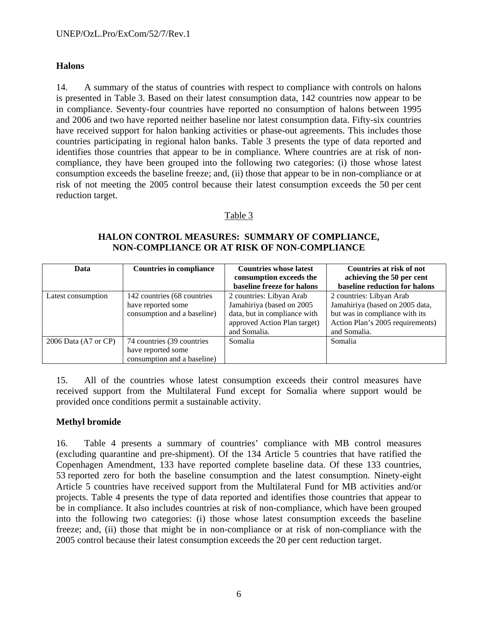# **Halons**

14. A summary of the status of countries with respect to compliance with controls on halons is presented in Table 3. Based on their latest consumption data, 142 countries now appear to be in compliance. Seventy-four countries have reported no consumption of halons between 1995 and 2006 and two have reported neither baseline nor latest consumption data. Fifty-six countries have received support for halon banking activities or phase-out agreements. This includes those countries participating in regional halon banks. Table 3 presents the type of data reported and identifies those countries that appear to be in compliance. Where countries are at risk of noncompliance, they have been grouped into the following two categories: (i) those whose latest consumption exceeds the baseline freeze; and, (ii) those that appear to be in non-compliance or at risk of not meeting the 2005 control because their latest consumption exceeds the 50 per cent reduction target.

## Table 3

## **HALON CONTROL MEASURES: SUMMARY OF COMPLIANCE, NON-COMPLIANCE OR AT RISK OF NON-COMPLIANCE**

| Data                 | <b>Countries in compliance</b> | <b>Countries whose latest</b><br>consumption exceeds the | Countries at risk of not<br>achieving the 50 per cent |
|----------------------|--------------------------------|----------------------------------------------------------|-------------------------------------------------------|
|                      |                                | baseline freeze for halons                               | baseline reduction for halons                         |
| Latest consumption   | 142 countries (68 countries    | 2 countries: Libyan Arab                                 | 2 countries: Libyan Arab                              |
|                      | have reported some             | Jamahiriya (based on 2005                                | Jamahiriya (based on 2005 data,                       |
|                      | consumption and a baseline)    | data, but in compliance with                             | but was in compliance with its                        |
|                      |                                | approved Action Plan target)                             | Action Plan's 2005 requirements)                      |
|                      |                                | and Somalia.                                             | and Somalia.                                          |
| 2006 Data (A7 or CP) | 74 countries (39 countries     | Somalia                                                  | Somalia                                               |
|                      | have reported some             |                                                          |                                                       |
|                      | consumption and a baseline)    |                                                          |                                                       |

15. All of the countries whose latest consumption exceeds their control measures have received support from the Multilateral Fund except for Somalia where support would be provided once conditions permit a sustainable activity.

## **Methyl bromide**

16. Table 4 presents a summary of countries' compliance with MB control measures (excluding quarantine and pre-shipment). Of the 134 Article 5 countries that have ratified the Copenhagen Amendment, 133 have reported complete baseline data. Of these 133 countries, 53 reported zero for both the baseline consumption and the latest consumption. Ninety-eight Article 5 countries have received support from the Multilateral Fund for MB activities and/or projects. Table 4 presents the type of data reported and identifies those countries that appear to be in compliance. It also includes countries at risk of non-compliance, which have been grouped into the following two categories: (i) those whose latest consumption exceeds the baseline freeze; and, (ii) those that might be in non-compliance or at risk of non-compliance with the 2005 control because their latest consumption exceeds the 20 per cent reduction target.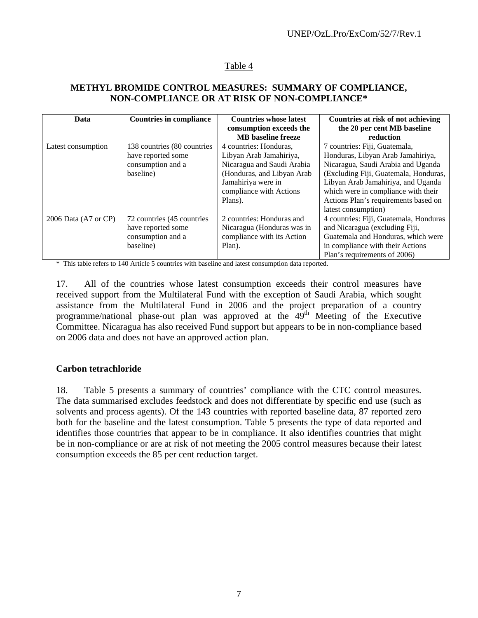# Table 4

## **METHYL BROMIDE CONTROL MEASURES: SUMMARY OF COMPLIANCE, NON-COMPLIANCE OR AT RISK OF NON-COMPLIANCE\***

| Data                 | <b>Countries in compliance</b> | <b>Countries whose latest</b><br>consumption exceeds the<br><b>MB</b> baseline freeze | Countries at risk of not achieving<br>the 20 per cent MB baseline<br>reduction |
|----------------------|--------------------------------|---------------------------------------------------------------------------------------|--------------------------------------------------------------------------------|
| Latest consumption   | 138 countries (80 countries)   | 4 countries: Honduras,                                                                | 7 countries: Fiji, Guatemala,                                                  |
|                      | have reported some             | Libyan Arab Jamahiriya,                                                               | Honduras, Libyan Arab Jamahiriya,                                              |
|                      | consumption and a              | Nicaragua and Saudi Arabia                                                            | Nicaragua, Saudi Arabia and Uganda                                             |
|                      | baseline)                      | (Honduras, and Libyan Arab                                                            | (Excluding Fiji, Guatemala, Honduras,                                          |
|                      |                                | Jamahiriya were in                                                                    | Libyan Arab Jamahiriya, and Uganda                                             |
|                      |                                | compliance with Actions                                                               | which were in compliance with their                                            |
|                      |                                | Plans).                                                                               | Actions Plan's requirements based on                                           |
|                      |                                |                                                                                       | latest consumption)                                                            |
| 2006 Data (A7 or CP) | 72 countries (45 countries     | 2 countries: Honduras and                                                             | 4 countries: Fiji, Guatemala, Honduras                                         |
|                      | have reported some             | Nicaragua (Honduras was in                                                            | and Nicaragua (excluding Fiji,                                                 |
|                      | consumption and a              | compliance with its Action                                                            | Guatemala and Honduras, which were                                             |
|                      | baseline)                      | Plan).                                                                                | in compliance with their Actions                                               |
|                      |                                |                                                                                       | Plan's requirements of 2006)                                                   |

\* This table refers to 140 Article 5 countries with baseline and latest consumption data reported.

17. All of the countries whose latest consumption exceeds their control measures have received support from the Multilateral Fund with the exception of Saudi Arabia, which sought assistance from the Multilateral Fund in 2006 and the project preparation of a country programme/national phase-out plan was approved at the  $49<sup>th</sup>$  Meeting of the Executive Committee. Nicaragua has also received Fund support but appears to be in non-compliance based on 2006 data and does not have an approved action plan.

#### **Carbon tetrachloride**

18. Table 5 presents a summary of countries' compliance with the CTC control measures. The data summarised excludes feedstock and does not differentiate by specific end use (such as solvents and process agents). Of the 143 countries with reported baseline data, 87 reported zero both for the baseline and the latest consumption. Table 5 presents the type of data reported and identifies those countries that appear to be in compliance. It also identifies countries that might be in non-compliance or are at risk of not meeting the 2005 control measures because their latest consumption exceeds the 85 per cent reduction target.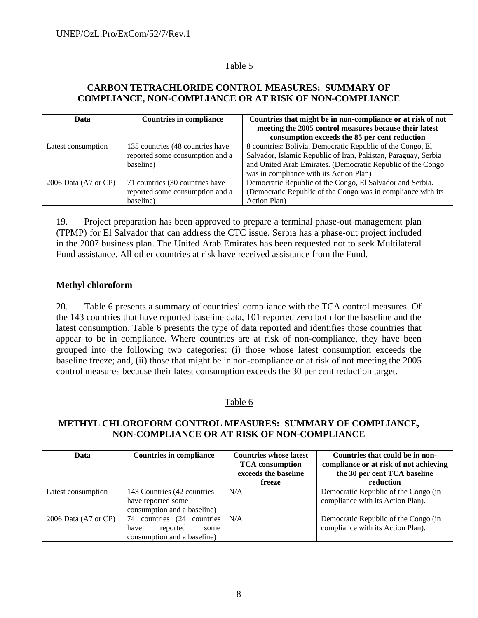# Table 5

## **CARBON TETRACHLORIDE CONTROL MEASURES: SUMMARY OF COMPLIANCE, NON-COMPLIANCE OR AT RISK OF NON-COMPLIANCE**

| Data                            | <b>Countries in compliance</b>   | Countries that might be in non-compliance or at risk of not    |
|---------------------------------|----------------------------------|----------------------------------------------------------------|
|                                 |                                  | meeting the 2005 control measures because their latest         |
|                                 |                                  | consumption exceeds the 85 per cent reduction                  |
| Latest consumption              | 135 countries (48 countries have | 8 countries: Bolivia, Democratic Republic of the Congo, El     |
|                                 | reported some consumption and a  | Salvador, Islamic Republic of Iran, Pakistan, Paraguay, Serbia |
|                                 | baseline)                        | and United Arab Emirates. (Democratic Republic of the Congo    |
|                                 |                                  | was in compliance with its Action Plan)                        |
| 2006 Data $(A7 \text{ or } CP)$ | 71 countries (30 countries have  | Democratic Republic of the Congo, El Salvador and Serbia.      |
|                                 | reported some consumption and a  | (Democratic Republic of the Congo was in compliance with its   |
|                                 | baseline)                        | Action Plan)                                                   |

19. Project preparation has been approved to prepare a terminal phase-out management plan (TPMP) for El Salvador that can address the CTC issue. Serbia has a phase-out project included in the 2007 business plan. The United Arab Emirates has been requested not to seek Multilateral Fund assistance. All other countries at risk have received assistance from the Fund.

## **Methyl chloroform**

20. Table 6 presents a summary of countries' compliance with the TCA control measures. Of the 143 countries that have reported baseline data, 101 reported zero both for the baseline and the latest consumption. Table 6 presents the type of data reported and identifies those countries that appear to be in compliance. Where countries are at risk of non-compliance, they have been grouped into the following two categories: (i) those whose latest consumption exceeds the baseline freeze; and, (ii) those that might be in non-compliance or at risk of not meeting the 2005 control measures because their latest consumption exceeds the 30 per cent reduction target.

## Table 6

## **METHYL CHLOROFORM CONTROL MEASURES: SUMMARY OF COMPLIANCE, NON-COMPLIANCE OR AT RISK OF NON-COMPLIANCE**

| Data                            | <b>Countries in compliance</b>   | <b>Countries whose latest</b><br><b>TCA</b> consumption<br>exceeds the baseline | Countries that could be in non-<br>compliance or at risk of not achieving<br>the 30 per cent TCA baseline |
|---------------------------------|----------------------------------|---------------------------------------------------------------------------------|-----------------------------------------------------------------------------------------------------------|
|                                 |                                  | freeze                                                                          | reduction                                                                                                 |
| Latest consumption              | 143 Countries (42 countries      | N/A                                                                             | Democratic Republic of the Congo (in                                                                      |
|                                 | have reported some               |                                                                                 | compliance with its Action Plan).                                                                         |
|                                 | consumption and a baseline)      |                                                                                 |                                                                                                           |
| 2006 Data $(A7 \text{ or } CP)$ | countries (24<br>countries<br>74 | N/A                                                                             | Democratic Republic of the Congo (in                                                                      |
|                                 | reported<br>have<br>some         |                                                                                 | compliance with its Action Plan).                                                                         |
|                                 | consumption and a baseline)      |                                                                                 |                                                                                                           |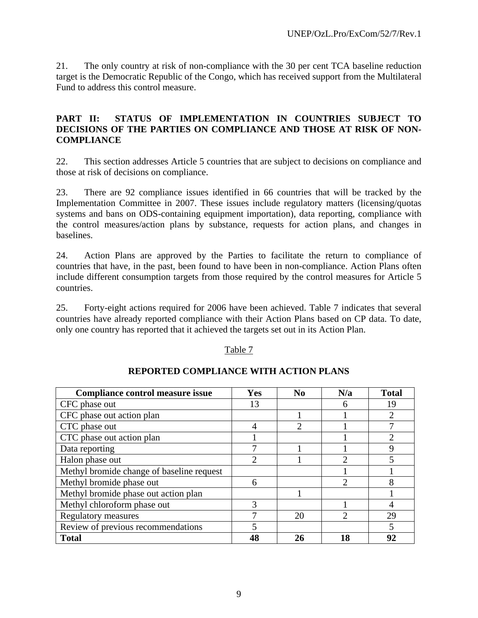21. The only country at risk of non-compliance with the 30 per cent TCA baseline reduction target is the Democratic Republic of the Congo, which has received support from the Multilateral Fund to address this control measure.

## **PART II: STATUS OF IMPLEMENTATION IN COUNTRIES SUBJECT TO DECISIONS OF THE PARTIES ON COMPLIANCE AND THOSE AT RISK OF NON-COMPLIANCE**

22. This section addresses Article 5 countries that are subject to decisions on compliance and those at risk of decisions on compliance.

23. There are 92 compliance issues identified in 66 countries that will be tracked by the Implementation Committee in 2007. These issues include regulatory matters (licensing/quotas systems and bans on ODS-containing equipment importation), data reporting, compliance with the control measures/action plans by substance, requests for action plans, and changes in baselines.

24. Action Plans are approved by the Parties to facilitate the return to compliance of countries that have, in the past, been found to have been in non-compliance. Action Plans often include different consumption targets from those required by the control measures for Article 5 countries.

25. Forty-eight actions required for 2006 have been achieved. Table 7 indicates that several countries have already reported compliance with their Action Plans based on CP data. To date, only one country has reported that it achieved the targets set out in its Action Plan.

#### Table 7

| Compliance control measure issue          | <b>Yes</b> | $\bf No$ | N/a            | <b>Total</b>             |
|-------------------------------------------|------------|----------|----------------|--------------------------|
| CFC phase out                             | 13         |          | 6              | 19                       |
| CFC phase out action plan                 |            |          |                | 2                        |
| CTC phase out                             | 4          | っ        |                |                          |
| CTC phase out action plan                 |            |          |                | 2                        |
| Data reporting                            |            |          |                | 9                        |
| Halon phase out                           |            |          | $\mathfrak{D}$ | 5                        |
| Methyl bromide change of baseline request |            |          |                |                          |
| Methyl bromide phase out                  | 6          |          | $\overline{2}$ | 8                        |
| Methyl bromide phase out action plan      |            |          |                |                          |
| Methyl chloroform phase out               | 3          |          |                |                          |
| <b>Regulatory measures</b>                |            | 20       | っ              | 29                       |
| Review of previous recommendations        |            |          |                | $\overline{\mathcal{L}}$ |
| <b>Total</b>                              | 48         | 26       | 18             | 92                       |

## **REPORTED COMPLIANCE WITH ACTION PLANS**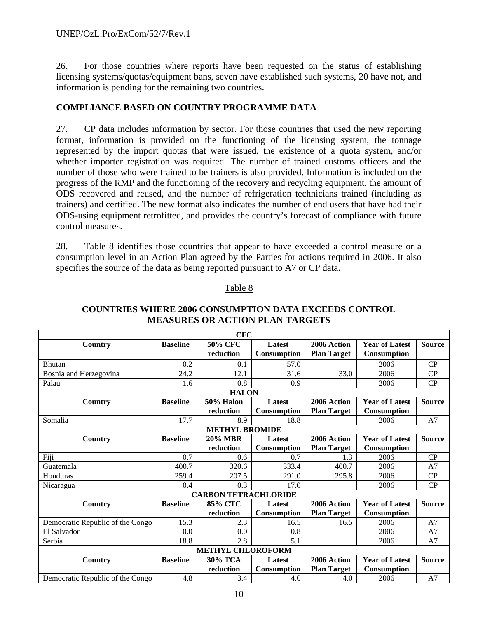26. For those countries where reports have been requested on the status of establishing licensing systems/quotas/equipment bans, seven have established such systems, 20 have not, and information is pending for the remaining two countries.

## **COMPLIANCE BASED ON COUNTRY PROGRAMME DATA**

27. CP data includes information by sector. For those countries that used the new reporting format, information is provided on the functioning of the licensing system, the tonnage represented by the import quotas that were issued, the existence of a quota system, and/or whether importer registration was required. The number of trained customs officers and the number of those who were trained to be trainers is also provided. Information is included on the progress of the RMP and the functioning of the recovery and recycling equipment, the amount of ODS recovered and reused, and the number of refrigeration technicians trained (including as trainers) and certified. The new format also indicates the number of end users that have had their ODS-using equipment retrofitted, and provides the country's forecast of compliance with future control measures.

28. Table 8 identifies those countries that appear to have exceeded a control measure or a consumption level in an Action Plan agreed by the Parties for actions required in 2006. It also specifies the source of the data as being reported pursuant to A7 or CP data.

## Table 8

|                                  |                 | <b>CFC</b>                  |               |                    |                       |               |
|----------------------------------|-----------------|-----------------------------|---------------|--------------------|-----------------------|---------------|
| <b>Country</b>                   | <b>Baseline</b> | 50% CFC                     | Latest        | 2006 Action        | <b>Year of Latest</b> | <b>Source</b> |
|                                  |                 | reduction                   | Consumption   | <b>Plan Target</b> | Consumption           |               |
| <b>Bhutan</b>                    | 0.2             | 0.1                         | 57.0          |                    | 2006                  | CP            |
| Bosnia and Herzegovina           | 24.2            | 12.1                        | 31.6          | 33.0               | 2006                  | CP            |
| Palau                            | 1.6             | 0.8                         | 0.9           |                    | 2006                  | CP            |
|                                  |                 | <b>HALON</b>                |               |                    |                       |               |
| Country                          | <b>Baseline</b> | <b>50% Halon</b>            | <b>Latest</b> | 2006 Action        | <b>Year of Latest</b> | <b>Source</b> |
|                                  |                 | reduction                   | Consumption   | <b>Plan Target</b> | <b>Consumption</b>    |               |
| Somalia                          | 17.7            | 8.9                         | 18.8          |                    | 2006                  | A7            |
|                                  |                 | <b>METHYL BROMIDE</b>       |               |                    |                       |               |
| <b>Country</b>                   | <b>Baseline</b> | <b>20% MBR</b>              | Latest        | 2006 Action        | <b>Year of Latest</b> | <b>Source</b> |
|                                  |                 | reduction                   | Consumption   | <b>Plan Target</b> | <b>Consumption</b>    |               |
| Fiji                             | 0.7             | 0.6                         | 0.7           | 1.3                | 2006                  | CP            |
| Guatemala                        | 400.7           | 320.6                       | 333.4         | 400.7              | 2006                  | A7            |
| Honduras                         | 259.4           | 207.5                       | 291.0         | 295.8              | 2006                  | CP            |
| Nicaragua                        | 0.4             | 0.3                         | 17.0          |                    | 2006                  | CP            |
|                                  |                 | <b>CARBON TETRACHLORIDE</b> |               |                    |                       |               |
| <b>Country</b>                   | <b>Baseline</b> | <b>85% CTC</b>              | <b>Latest</b> | 2006 Action        | <b>Year of Latest</b> | <b>Source</b> |
|                                  |                 | reduction                   | Consumption   | <b>Plan Target</b> | Consumption           |               |
| Democratic Republic of the Congo | 15.3            | 2.3                         | 16.5          | 16.5               | 2006                  | A7            |
| El Salvador                      | 0.0             | 0.0                         | 0.8           |                    | 2006                  | A7            |
| Serbia                           | 18.8            | 2.8                         | 5.1           |                    | 2006                  | A7            |
|                                  |                 | <b>METHYL CHLOROFORM</b>    |               |                    |                       |               |
| <b>Country</b>                   | <b>Baseline</b> | 30% ТСА                     | Latest        | 2006 Action        | <b>Year of Latest</b> | <b>Source</b> |
|                                  |                 | reduction                   | Consumption   | <b>Plan Target</b> | <b>Consumption</b>    |               |
| Democratic Republic of the Congo | 4.8             | 3.4                         | 4.0           | 4.0                | 2006                  | A7            |

## **COUNTRIES WHERE 2006 CONSUMPTION DATA EXCEEDS CONTROL MEASURES OR ACTION PLAN TARGETS**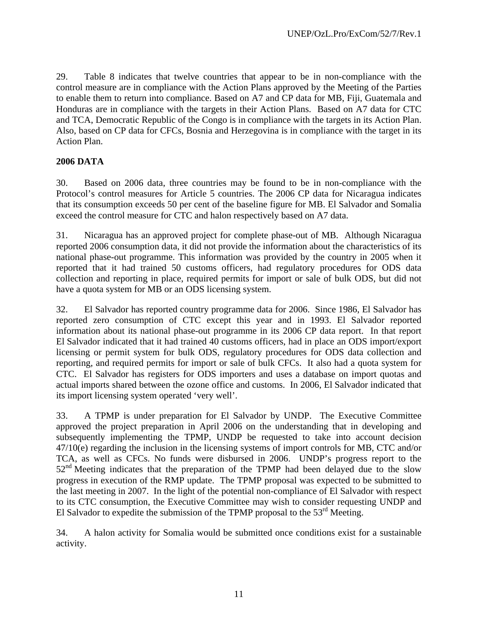29. Table 8 indicates that twelve countries that appear to be in non-compliance with the control measure are in compliance with the Action Plans approved by the Meeting of the Parties to enable them to return into compliance. Based on A7 and CP data for MB, Fiji, Guatemala and Honduras are in compliance with the targets in their Action Plans. Based on A7 data for CTC and TCA, Democratic Republic of the Congo is in compliance with the targets in its Action Plan. Also, based on CP data for CFCs, Bosnia and Herzegovina is in compliance with the target in its Action Plan.

# **2006 DATA**

30. Based on 2006 data, three countries may be found to be in non-compliance with the Protocol's control measures for Article 5 countries. The 2006 CP data for Nicaragua indicates that its consumption exceeds 50 per cent of the baseline figure for MB. El Salvador and Somalia exceed the control measure for CTC and halon respectively based on A7 data.

31. Nicaragua has an approved project for complete phase-out of MB. Although Nicaragua reported 2006 consumption data, it did not provide the information about the characteristics of its national phase-out programme. This information was provided by the country in 2005 when it reported that it had trained 50 customs officers, had regulatory procedures for ODS data collection and reporting in place, required permits for import or sale of bulk ODS, but did not have a quota system for MB or an ODS licensing system.

32. El Salvador has reported country programme data for 2006. Since 1986, El Salvador has reported zero consumption of CTC except this year and in 1993. El Salvador reported information about its national phase-out programme in its 2006 CP data report. In that report El Salvador indicated that it had trained 40 customs officers, had in place an ODS import/export licensing or permit system for bulk ODS, regulatory procedures for ODS data collection and reporting, and required permits for import or sale of bulk CFCs. It also had a quota system for CTC. El Salvador has registers for ODS importers and uses a database on import quotas and actual imports shared between the ozone office and customs. In 2006, El Salvador indicated that its import licensing system operated 'very well'.

33. A TPMP is under preparation for El Salvador by UNDP. The Executive Committee approved the project preparation in April 2006 on the understanding that in developing and subsequently implementing the TPMP, UNDP be requested to take into account decision 47/10(e) regarding the inclusion in the licensing systems of import controls for MB, CTC and/or TCA, as well as CFCs. No funds were disbursed in 2006. UNDP's progress report to the  $52<sup>nd</sup>$  Meeting indicates that the preparation of the TPMP had been delayed due to the slow progress in execution of the RMP update. The TPMP proposal was expected to be submitted to the last meeting in 2007. In the light of the potential non-compliance of El Salvador with respect to its CTC consumption, the Executive Committee may wish to consider requesting UNDP and El Salvador to expedite the submission of the TPMP proposal to the  $53<sup>rd</sup>$  Meeting.

34. A halon activity for Somalia would be submitted once conditions exist for a sustainable activity.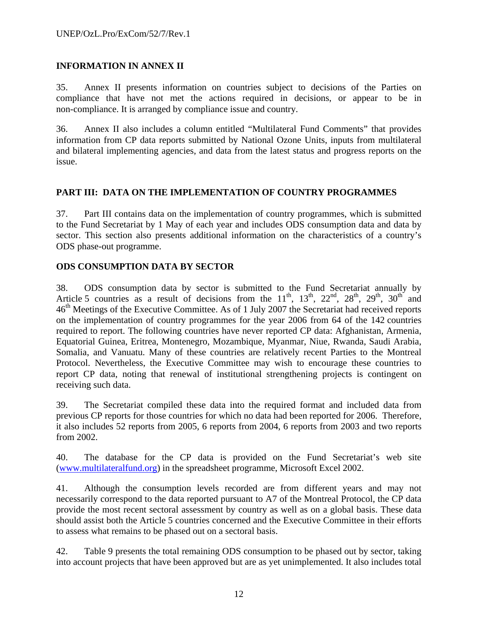# **INFORMATION IN ANNEX II**

35. Annex II presents information on countries subject to decisions of the Parties on compliance that have not met the actions required in decisions, or appear to be in non-compliance. It is arranged by compliance issue and country.

36. Annex II also includes a column entitled "Multilateral Fund Comments" that provides information from CP data reports submitted by National Ozone Units, inputs from multilateral and bilateral implementing agencies, and data from the latest status and progress reports on the issue.

## **PART III: DATA ON THE IMPLEMENTATION OF COUNTRY PROGRAMMES**

37. Part III contains data on the implementation of country programmes, which is submitted to the Fund Secretariat by 1 May of each year and includes ODS consumption data and data by sector. This section also presents additional information on the characteristics of a country's ODS phase-out programme.

## **ODS CONSUMPTION DATA BY SECTOR**

38. ODS consumption data by sector is submitted to the Fund Secretariat annually by Article 5 countries as a result of decisions from the  $11^{th}$ ,  $13^{th}$ ,  $22^{nd}$ ,  $28^{th}$ ,  $29^{th}$ ,  $30^{th}$  and 46<sup>th</sup> Meetings of the Executive Committee. As of 1 July 2007 the Secretariat had received reports on the implementation of country programmes for the year 2006 from 64 of the 142 countries required to report. The following countries have never reported CP data: Afghanistan, Armenia, Equatorial Guinea, Eritrea, Montenegro, Mozambique, Myanmar, Niue, Rwanda, Saudi Arabia, Somalia, and Vanuatu. Many of these countries are relatively recent Parties to the Montreal Protocol. Nevertheless, the Executive Committee may wish to encourage these countries to report CP data, noting that renewal of institutional strengthening projects is contingent on receiving such data.

39. The Secretariat compiled these data into the required format and included data from previous CP reports for those countries for which no data had been reported for 2006. Therefore, it also includes 52 reports from 2005, 6 reports from 2004, 6 reports from 2003 and two reports from 2002.

40. The database for the CP data is provided on the Fund Secretariat's web site (www.multilateralfund.org) in the spreadsheet programme, Microsoft Excel 2002.

41. Although the consumption levels recorded are from different years and may not necessarily correspond to the data reported pursuant to A7 of the Montreal Protocol, the CP data provide the most recent sectoral assessment by country as well as on a global basis. These data should assist both the Article 5 countries concerned and the Executive Committee in their efforts to assess what remains to be phased out on a sectoral basis.

42. Table 9 presents the total remaining ODS consumption to be phased out by sector, taking into account projects that have been approved but are as yet unimplemented. It also includes total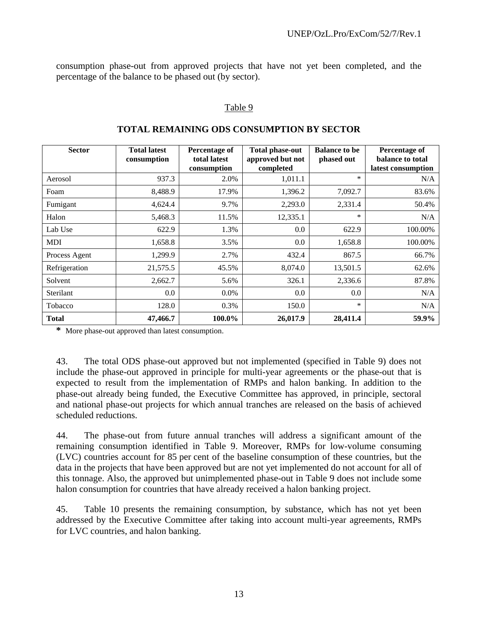consumption phase-out from approved projects that have not yet been completed, and the percentage of the balance to be phased out (by sector).

## Table 9

| <b>Sector</b> | <b>Total latest</b><br>consumption | <b>Percentage of</b><br>total latest<br>consumption | <b>Total phase-out</b><br>approved but not<br>completed | <b>Balance to be</b><br>phased out | <b>Percentage of</b><br>balance to total<br>latest consumption |
|---------------|------------------------------------|-----------------------------------------------------|---------------------------------------------------------|------------------------------------|----------------------------------------------------------------|
| Aerosol       | 937.3                              | 2.0%                                                | 1,011.1                                                 | $\ast$                             | N/A                                                            |
| Foam          | 8,488.9                            | 17.9%                                               | 1,396.2                                                 | 7,092.7                            | 83.6%                                                          |
| Fumigant      | 4,624.4                            | 9.7%                                                | 2,293.0                                                 | 2,331.4                            | 50.4%                                                          |
| Halon         | 5,468.3                            | 11.5%                                               | 12,335.1                                                | *                                  | N/A                                                            |
| Lab Use       | 622.9                              | 1.3%                                                | 0.0                                                     | 622.9                              | 100.00%                                                        |
| <b>MDI</b>    | 1,658.8                            | 3.5%                                                | 0.0                                                     | 1,658.8                            | 100.00%                                                        |
| Process Agent | 1,299.9                            | 2.7%                                                | 432.4                                                   | 867.5                              | 66.7%                                                          |
| Refrigeration | 21,575.5                           | 45.5%                                               | 8,074.0                                                 | 13,501.5                           | 62.6%                                                          |
| Solvent       | 2,662.7                            | 5.6%                                                | 326.1                                                   | 2,336.6                            | 87.8%                                                          |
| Sterilant     | 0.0                                | $0.0\%$                                             | 0.0                                                     | 0.0                                | N/A                                                            |
| Tobacco       | 128.0                              | 0.3%                                                | 150.0                                                   | *                                  | N/A                                                            |
| <b>Total</b>  | 47,466.7                           | 100.0%                                              | 26,017.9                                                | 28,411.4                           | 59.9%                                                          |

## **TOTAL REMAINING ODS CONSUMPTION BY SECTOR**

**\*** More phase-out approved than latest consumption.

43. The total ODS phase-out approved but not implemented (specified in Table 9) does not include the phase-out approved in principle for multi-year agreements or the phase-out that is expected to result from the implementation of RMPs and halon banking. In addition to the phase-out already being funded, the Executive Committee has approved, in principle, sectoral and national phase-out projects for which annual tranches are released on the basis of achieved scheduled reductions.

44. The phase-out from future annual tranches will address a significant amount of the remaining consumption identified in Table 9. Moreover, RMPs for low-volume consuming (LVC) countries account for 85 per cent of the baseline consumption of these countries, but the data in the projects that have been approved but are not yet implemented do not account for all of this tonnage. Also, the approved but unimplemented phase-out in Table 9 does not include some halon consumption for countries that have already received a halon banking project.

45. Table 10 presents the remaining consumption, by substance, which has not yet been addressed by the Executive Committee after taking into account multi-year agreements, RMPs for LVC countries, and halon banking.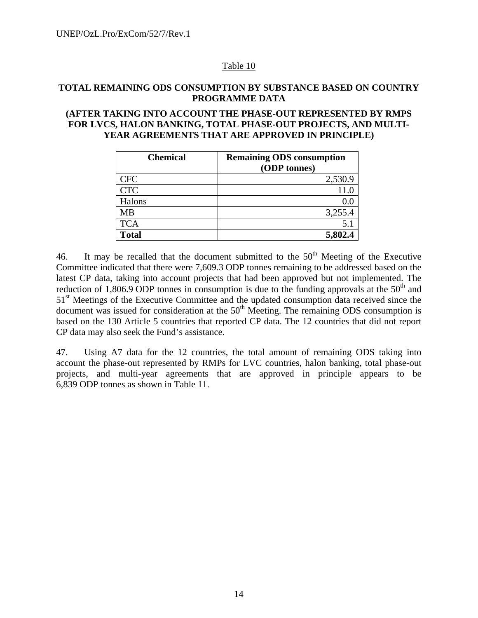## Table 10

## **TOTAL REMAINING ODS CONSUMPTION BY SUBSTANCE BASED ON COUNTRY PROGRAMME DATA**

#### **(AFTER TAKING INTO ACCOUNT THE PHASE-OUT REPRESENTED BY RMPS FOR LVCS, HALON BANKING, TOTAL PHASE-OUT PROJECTS, AND MULTI-YEAR AGREEMENTS THAT ARE APPROVED IN PRINCIPLE)**

| <b>Chemical</b> | <b>Remaining ODS consumption</b><br>(ODP tonnes) |
|-----------------|--------------------------------------------------|
| <b>CFC</b>      | 2,530.9                                          |
| <b>CTC</b>      |                                                  |
| Halons          | 0.0                                              |
| <b>MB</b>       | 3,255.4                                          |
| <b>TCA</b>      | 5.1                                              |
| <b>Total</b>    |                                                  |

46. It may be recalled that the document submitted to the  $50<sup>th</sup>$  Meeting of the Executive Committee indicated that there were 7,609.3 ODP tonnes remaining to be addressed based on the latest CP data, taking into account projects that had been approved but not implemented. The reduction of 1,806.9 ODP tonnes in consumption is due to the funding approvals at the  $50<sup>th</sup>$  and 51<sup>st</sup> Meetings of the Executive Committee and the updated consumption data received since the document was issued for consideration at the  $50<sup>th</sup>$  Meeting. The remaining ODS consumption is based on the 130 Article 5 countries that reported CP data. The 12 countries that did not report CP data may also seek the Fund's assistance.

47. Using A7 data for the 12 countries, the total amount of remaining ODS taking into account the phase-out represented by RMPs for LVC countries, halon banking, total phase-out projects, and multi-year agreements that are approved in principle appears to be 6,839 ODP tonnes as shown in Table 11.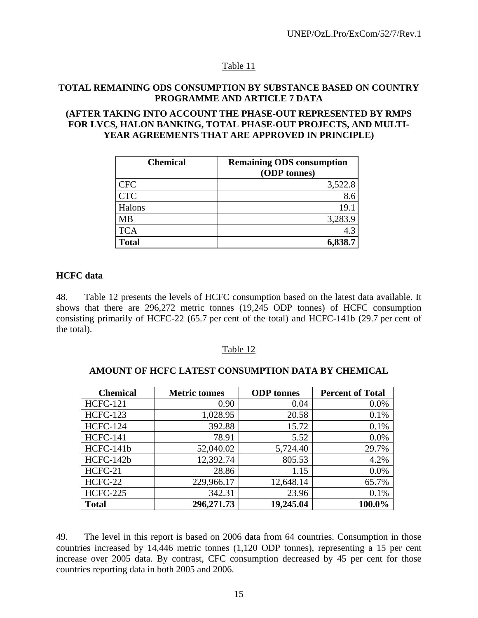# Table 11

## **TOTAL REMAINING ODS CONSUMPTION BY SUBSTANCE BASED ON COUNTRY PROGRAMME AND ARTICLE 7 DATA**

#### **(AFTER TAKING INTO ACCOUNT THE PHASE-OUT REPRESENTED BY RMPS FOR LVCS, HALON BANKING, TOTAL PHASE-OUT PROJECTS, AND MULTI-YEAR AGREEMENTS THAT ARE APPROVED IN PRINCIPLE)**

| <b>Chemical</b> | <b>Remaining ODS consumption</b><br>(ODP tonnes) |
|-----------------|--------------------------------------------------|
| <b>CFC</b>      | 3,522.8                                          |
| <b>CTC</b>      | 8.6                                              |
| Halons          | 19.1                                             |
| <b>MB</b>       | 3,283.9                                          |
| <b>TCA</b>      | 4.3                                              |
| <b>Total</b>    | 6,838.7                                          |

## **HCFC data**

48. Table 12 presents the levels of HCFC consumption based on the latest data available. It shows that there are 296,272 metric tonnes (19,245 ODP tonnes) of HCFC consumption consisting primarily of HCFC-22 (65.7 per cent of the total) and HCFC-141b (29.7 per cent of the total).

#### Table 12

#### **AMOUNT OF HCFC LATEST CONSUMPTION DATA BY CHEMICAL**

| <b>Chemical</b> | <b>Metric tonnes</b> | <b>ODP</b> tonnes | <b>Percent of Total</b> |
|-----------------|----------------------|-------------------|-------------------------|
| <b>HCFC-121</b> | 0.90                 | 0.04              | 0.0%                    |
| <b>HCFC-123</b> | 1,028.95             | 20.58             | 0.1%                    |
| <b>HCFC-124</b> | 392.88               | 15.72             | 0.1%                    |
| <b>HCFC-141</b> | 78.91                | 5.52              | 0.0%                    |
| HCFC-141b       | 52,040.02            | 5,724.40          | 29.7%                   |
| HCFC-142b       | 12,392.74            | 805.53            | 4.2%                    |
| HCFC-21         | 28.86                | 1.15              | 0.0%                    |
| HCFC-22         | 229,966.17           | 12,648.14         | 65.7%                   |
| <b>HCFC-225</b> | 342.31               | 23.96             | 0.1%                    |
| <b>Total</b>    | 296,271.73           | 19,245.04         | 100.0%                  |

49. The level in this report is based on 2006 data from 64 countries. Consumption in those countries increased by 14,446 metric tonnes (1,120 ODP tonnes), representing a 15 per cent increase over 2005 data. By contrast, CFC consumption decreased by 45 per cent for those countries reporting data in both 2005 and 2006.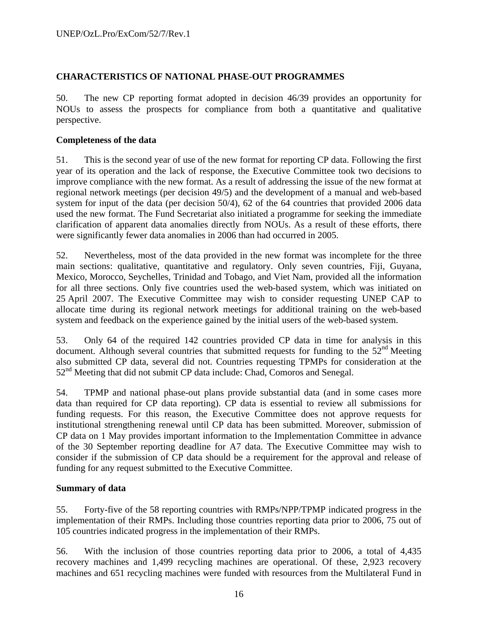## **CHARACTERISTICS OF NATIONAL PHASE-OUT PROGRAMMES**

50. The new CP reporting format adopted in decision 46/39 provides an opportunity for NOUs to assess the prospects for compliance from both a quantitative and qualitative perspective.

## **Completeness of the data**

51. This is the second year of use of the new format for reporting CP data. Following the first year of its operation and the lack of response, the Executive Committee took two decisions to improve compliance with the new format. As a result of addressing the issue of the new format at regional network meetings (per decision 49/5) and the development of a manual and web-based system for input of the data (per decision 50/4), 62 of the 64 countries that provided 2006 data used the new format. The Fund Secretariat also initiated a programme for seeking the immediate clarification of apparent data anomalies directly from NOUs. As a result of these efforts, there were significantly fewer data anomalies in 2006 than had occurred in 2005.

52. Nevertheless, most of the data provided in the new format was incomplete for the three main sections: qualitative, quantitative and regulatory. Only seven countries, Fiji, Guyana, Mexico, Morocco, Seychelles, Trinidad and Tobago, and Viet Nam, provided all the information for all three sections. Only five countries used the web-based system, which was initiated on 25 April 2007. The Executive Committee may wish to consider requesting UNEP CAP to allocate time during its regional network meetings for additional training on the web-based system and feedback on the experience gained by the initial users of the web-based system.

53. Only 64 of the required 142 countries provided CP data in time for analysis in this document. Although several countries that submitted requests for funding to the  $52<sup>nd</sup>$  Meeting also submitted CP data, several did not. Countries requesting TPMPs for consideration at the 52<sup>nd</sup> Meeting that did not submit CP data include: Chad, Comoros and Senegal.

54. TPMP and national phase-out plans provide substantial data (and in some cases more data than required for CP data reporting). CP data is essential to review all submissions for funding requests. For this reason, the Executive Committee does not approve requests for institutional strengthening renewal until CP data has been submitted. Moreover, submission of CP data on 1 May provides important information to the Implementation Committee in advance of the 30 September reporting deadline for A7 data. The Executive Committee may wish to consider if the submission of CP data should be a requirement for the approval and release of funding for any request submitted to the Executive Committee.

## **Summary of data**

55. Forty-five of the 58 reporting countries with RMPs/NPP/TPMP indicated progress in the implementation of their RMPs. Including those countries reporting data prior to 2006, 75 out of 105 countries indicated progress in the implementation of their RMPs.

56. With the inclusion of those countries reporting data prior to 2006, a total of 4,435 recovery machines and 1,499 recycling machines are operational. Of these, 2,923 recovery machines and 651 recycling machines were funded with resources from the Multilateral Fund in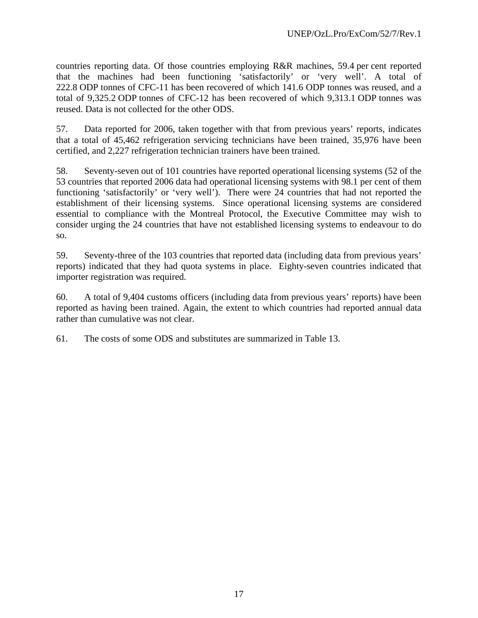countries reporting data. Of those countries employing R&R machines, 59.4 per cent reported that the machines had been functioning 'satisfactorily' or 'very well'. A total of 222.8 ODP tonnes of CFC-11 has been recovered of which 141.6 ODP tonnes was reused, and a total of 9,325.2 ODP tonnes of CFC-12 has been recovered of which 9,313.1 ODP tonnes was reused. Data is not collected for the other ODS.

57. Data reported for 2006, taken together with that from previous years' reports, indicates that a total of 45,462 refrigeration servicing technicians have been trained, 35,976 have been certified, and 2,227 refrigeration technician trainers have been trained.

58. Seventy-seven out of 101 countries have reported operational licensing systems (52 of the 53 countries that reported 2006 data had operational licensing systems with 98.1 per cent of them functioning 'satisfactorily' or 'very well'). There were 24 countries that had not reported the establishment of their licensing systems. Since operational licensing systems are considered essential to compliance with the Montreal Protocol, the Executive Committee may wish to consider urging the 24 countries that have not established licensing systems to endeavour to do so.

59. Seventy-three of the 103 countries that reported data (including data from previous years' reports) indicated that they had quota systems in place. Eighty-seven countries indicated that importer registration was required.

60. A total of 9,404 customs officers (including data from previous years' reports) have been reported as having been trained. Again, the extent to which countries had reported annual data rather than cumulative was not clear.

61. The costs of some ODS and substitutes are summarized in Table 13.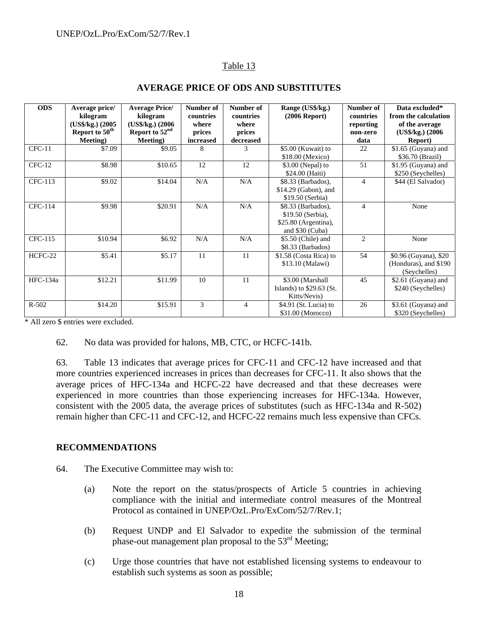# Table 13

| <b>ODS</b>     | Average price/             | <b>Average Price/</b> | Number of | Number of      | Range (US\$/kg.)          | Number of | Data excluded*        |
|----------------|----------------------------|-----------------------|-----------|----------------|---------------------------|-----------|-----------------------|
|                | kilogram                   | kilogram              | countries | countries      | $(2006$ Report)           | countries | from the calculation  |
|                | (US\$/kg.) (2005           | (US\$/kg.) (2006)     | where     | where          |                           | reporting | of the average        |
|                | Report to 50 <sup>th</sup> | Report to $52nd$      | prices    | prices         |                           | non-zero  | $(US\$ {kg.}) $(2006$ |
|                | Meeting)                   | Meeting)              | increased | decreased      |                           | data      | <b>Report</b> )       |
| $CFC-11$       | \$7.09                     | \$9.05                | 8         | 3              | $$5.00$ (Kuwait) to       | 22        | $$1.65$ (Guyana) and  |
|                |                            |                       |           |                | \$18.00 (Mexico)          |           | \$36.70 (Brazil)      |
| $CFC-12$       | \$8.98                     | \$10.65               | 12        | 12             | $$3.00$ (Nepal) to        | 51        | \$1.95 (Guyana) and   |
|                |                            |                       |           |                | \$24.00 (Haiti)           |           | \$250 (Seychelles)    |
| CFC-113        | \$9.02                     | \$14.04               | N/A       | N/A            | \$8.33 (Barbados),        | 4         | \$44 (El Salvador)    |
|                |                            |                       |           |                | \$14.29 (Gabon), and      |           |                       |
|                |                            |                       |           |                | \$19.50 (Serbia)          |           |                       |
| <b>CFC-114</b> | \$9.98                     | \$20.91               | N/A       | N/A            | \$8.33 (Barbados),        | 4         | None                  |
|                |                            |                       |           |                | \$19.50 (Serbia),         |           |                       |
|                |                            |                       |           |                | \$25.80 (Argentina),      |           |                       |
|                |                            |                       |           |                | and \$30 (Cuba)           |           |                       |
| CFC-115        | \$10.94                    | \$6.92                | N/A       | N/A            | \$5.50 (Chile) and        | 2         | None                  |
|                |                            |                       |           |                | \$8.33 (Barbados)         |           |                       |
| HCFC-22        | \$5.41                     | \$5.17                | 11        | 11             | \$1.58 (Costa Rica) to    | 54        | \$0.96 (Guyana), \$20 |
|                |                            |                       |           |                | \$13.10 (Malawi)          |           | (Honduras), and \$190 |
|                |                            |                       |           |                |                           |           | (Seychelles)          |
| HFC-134a       | \$12.21                    | \$11.99               | 10        | 11             | \$3.00 (Marshall          | 45        | \$2.61 (Guyana) and   |
|                |                            |                       |           |                | Islands) to $$29.63$ (St. |           | \$240 (Seychelles)    |
|                |                            |                       |           |                | Kitts/Nevis)              |           |                       |
| $R - 502$      | \$14.20                    | \$15.91               | 3         | $\overline{4}$ | $$4.91$ (St. Lucia) to    | 26        | \$3.61 (Guyana) and   |
|                |                            |                       |           |                | \$31.00 (Morocco)         |           | \$320 (Seychelles)    |

# **AVERAGE PRICE OF ODS AND SUBSTITUTES**

\* All zero \$ entries were excluded.

62. No data was provided for halons, MB, CTC, or HCFC-141b.

63. Table 13 indicates that average prices for CFC-11 and CFC-12 have increased and that more countries experienced increases in prices than decreases for CFC-11. It also shows that the average prices of HFC-134a and HCFC-22 have decreased and that these decreases were experienced in more countries than those experiencing increases for HFC-134a. However, consistent with the 2005 data, the average prices of substitutes (such as HFC-134a and R-502) remain higher than CFC-11 and CFC-12, and HCFC-22 remains much less expensive than CFCs.

## **RECOMMENDATIONS**

- 64. The Executive Committee may wish to:
	- (a) Note the report on the status/prospects of Article 5 countries in achieving compliance with the initial and intermediate control measures of the Montreal Protocol as contained in UNEP/OzL.Pro/ExCom/52/7/Rev.1;
	- (b) Request UNDP and El Salvador to expedite the submission of the terminal phase-out management plan proposal to the 53rd Meeting;
	- (c) Urge those countries that have not established licensing systems to endeavour to establish such systems as soon as possible;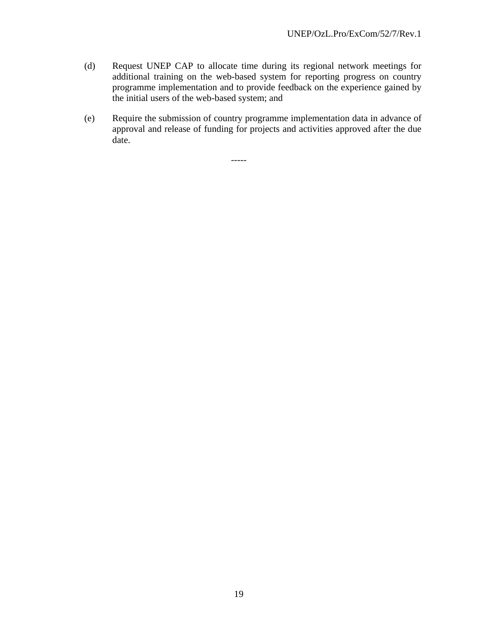- (d) Request UNEP CAP to allocate time during its regional network meetings for additional training on the web-based system for reporting progress on country programme implementation and to provide feedback on the experience gained by the initial users of the web-based system; and
- (e) Require the submission of country programme implementation data in advance of approval and release of funding for projects and activities approved after the due date.

-----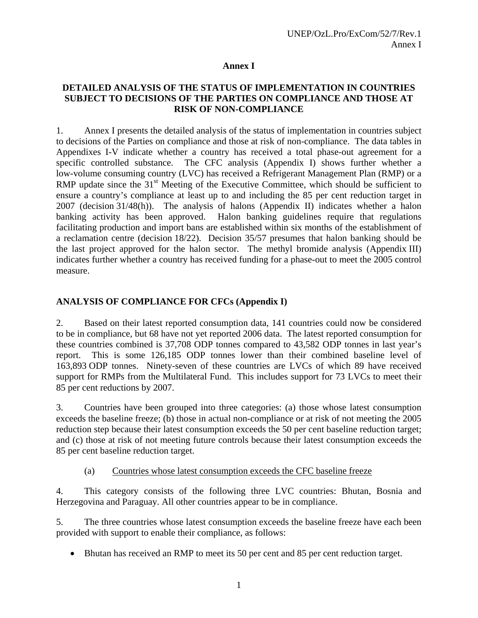## **Annex I**

## **DETAILED ANALYSIS OF THE STATUS OF IMPLEMENTATION IN COUNTRIES SUBJECT TO DECISIONS OF THE PARTIES ON COMPLIANCE AND THOSE AT RISK OF NON-COMPLIANCE**

1. Annex I presents the detailed analysis of the status of implementation in countries subject to decisions of the Parties on compliance and those at risk of non-compliance. The data tables in Appendixes I-V indicate whether a country has received a total phase-out agreement for a specific controlled substance. The CFC analysis (Appendix I) shows further whether a low-volume consuming country (LVC) has received a Refrigerant Management Plan (RMP) or a RMP update since the  $31<sup>st</sup>$  Meeting of the Executive Committee, which should be sufficient to ensure a country's compliance at least up to and including the 85 per cent reduction target in 2007 (decision 31/48(h)). The analysis of halons (Appendix II) indicates whether a halon banking activity has been approved. Halon banking guidelines require that regulations facilitating production and import bans are established within six months of the establishment of a reclamation centre (decision 18/22). Decision 35/57 presumes that halon banking should be the last project approved for the halon sector. The methyl bromide analysis (Appendix III) indicates further whether a country has received funding for a phase-out to meet the 2005 control measure.

# **ANALYSIS OF COMPLIANCE FOR CFCs (Appendix I)**

2. Based on their latest reported consumption data, 141 countries could now be considered to be in compliance, but 68 have not yet reported 2006 data. The latest reported consumption for these countries combined is 37,708 ODP tonnes compared to 43,582 ODP tonnes in last year's report. This is some 126,185 ODP tonnes lower than their combined baseline level of 163,893 ODP tonnes. Ninety-seven of these countries are LVCs of which 89 have received support for RMPs from the Multilateral Fund. This includes support for 73 LVCs to meet their 85 per cent reductions by 2007.

3. Countries have been grouped into three categories: (a) those whose latest consumption exceeds the baseline freeze; (b) those in actual non-compliance or at risk of not meeting the 2005 reduction step because their latest consumption exceeds the 50 per cent baseline reduction target; and (c) those at risk of not meeting future controls because their latest consumption exceeds the 85 per cent baseline reduction target.

(a) Countries whose latest consumption exceeds the CFC baseline freeze

4. This category consists of the following three LVC countries: Bhutan, Bosnia and Herzegovina and Paraguay. All other countries appear to be in compliance.

5. The three countries whose latest consumption exceeds the baseline freeze have each been provided with support to enable their compliance, as follows:

• Bhutan has received an RMP to meet its 50 per cent and 85 per cent reduction target.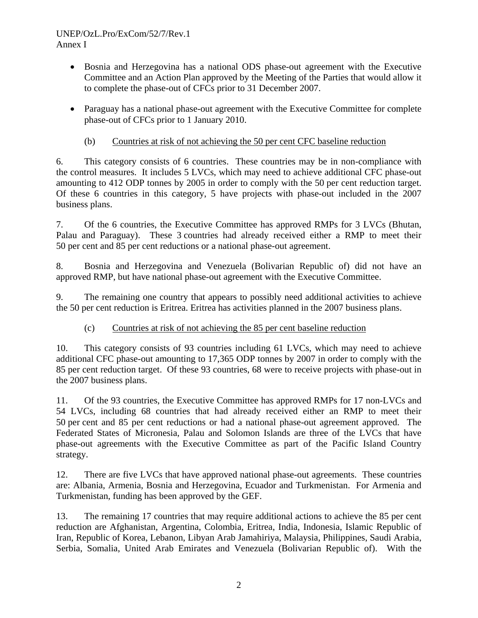## UNEP/OzL.Pro/ExCom/52/7/Rev.1 Annex I

- Bosnia and Herzegovina has a national ODS phase-out agreement with the Executive Committee and an Action Plan approved by the Meeting of the Parties that would allow it to complete the phase-out of CFCs prior to 31 December 2007.
- Paraguay has a national phase-out agreement with the Executive Committee for complete phase-out of CFCs prior to 1 January 2010.

# (b) Countries at risk of not achieving the 50 per cent CFC baseline reduction

6. This category consists of 6 countries. These countries may be in non-compliance with the control measures. It includes 5 LVCs, which may need to achieve additional CFC phase-out amounting to 412 ODP tonnes by 2005 in order to comply with the 50 per cent reduction target. Of these 6 countries in this category, 5 have projects with phase-out included in the 2007 business plans.

7. Of the 6 countries, the Executive Committee has approved RMPs for 3 LVCs (Bhutan, Palau and Paraguay). These 3 countries had already received either a RMP to meet their 50 per cent and 85 per cent reductions or a national phase-out agreement.

8. Bosnia and Herzegovina and Venezuela (Bolivarian Republic of) did not have an approved RMP, but have national phase-out agreement with the Executive Committee.

9. The remaining one country that appears to possibly need additional activities to achieve the 50 per cent reduction is Eritrea. Eritrea has activities planned in the 2007 business plans.

# (c) Countries at risk of not achieving the 85 per cent baseline reduction

10. This category consists of 93 countries including 61 LVCs, which may need to achieve additional CFC phase-out amounting to 17,365 ODP tonnes by 2007 in order to comply with the 85 per cent reduction target. Of these 93 countries, 68 were to receive projects with phase-out in the 2007 business plans.

11. Of the 93 countries, the Executive Committee has approved RMPs for 17 non-LVCs and 54 LVCs, including 68 countries that had already received either an RMP to meet their 50 per cent and 85 per cent reductions or had a national phase-out agreement approved. The Federated States of Micronesia, Palau and Solomon Islands are three of the LVCs that have phase-out agreements with the Executive Committee as part of the Pacific Island Country strategy.

12. There are five LVCs that have approved national phase-out agreements. These countries are: Albania, Armenia, Bosnia and Herzegovina, Ecuador and Turkmenistan. For Armenia and Turkmenistan, funding has been approved by the GEF.

13. The remaining 17 countries that may require additional actions to achieve the 85 per cent reduction are Afghanistan, Argentina, Colombia, Eritrea, India, Indonesia, Islamic Republic of Iran, Republic of Korea, Lebanon, Libyan Arab Jamahiriya, Malaysia, Philippines, Saudi Arabia, Serbia, Somalia, United Arab Emirates and Venezuela (Bolivarian Republic of). With the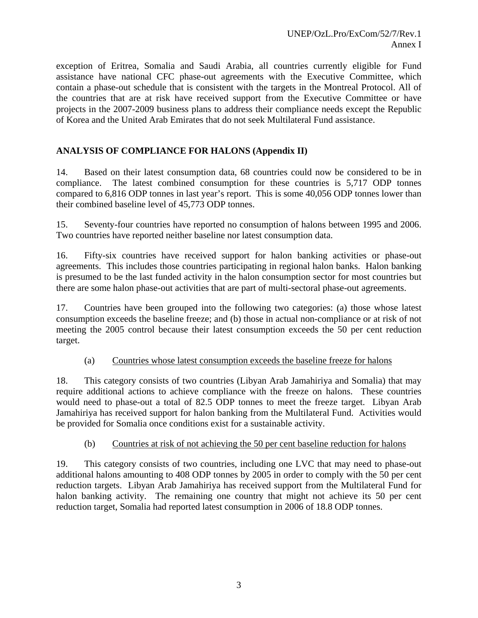exception of Eritrea, Somalia and Saudi Arabia, all countries currently eligible for Fund assistance have national CFC phase-out agreements with the Executive Committee, which contain a phase-out schedule that is consistent with the targets in the Montreal Protocol. All of the countries that are at risk have received support from the Executive Committee or have projects in the 2007-2009 business plans to address their compliance needs except the Republic of Korea and the United Arab Emirates that do not seek Multilateral Fund assistance.

# **ANALYSIS OF COMPLIANCE FOR HALONS (Appendix II)**

14. Based on their latest consumption data, 68 countries could now be considered to be in compliance. The latest combined consumption for these countries is 5,717 ODP tonnes compared to 6,816 ODP tonnes in last year's report. This is some 40,056 ODP tonnes lower than their combined baseline level of 45,773 ODP tonnes.

15. Seventy-four countries have reported no consumption of halons between 1995 and 2006. Two countries have reported neither baseline nor latest consumption data.

16. Fifty-six countries have received support for halon banking activities or phase-out agreements. This includes those countries participating in regional halon banks. Halon banking is presumed to be the last funded activity in the halon consumption sector for most countries but there are some halon phase-out activities that are part of multi-sectoral phase-out agreements.

17. Countries have been grouped into the following two categories: (a) those whose latest consumption exceeds the baseline freeze; and (b) those in actual non-compliance or at risk of not meeting the 2005 control because their latest consumption exceeds the 50 per cent reduction target.

## (a) Countries whose latest consumption exceeds the baseline freeze for halons

18. This category consists of two countries (Libyan Arab Jamahiriya and Somalia) that may require additional actions to achieve compliance with the freeze on halons. These countries would need to phase-out a total of 82.5 ODP tonnes to meet the freeze target. Libyan Arab Jamahiriya has received support for halon banking from the Multilateral Fund. Activities would be provided for Somalia once conditions exist for a sustainable activity.

## (b) Countries at risk of not achieving the 50 per cent baseline reduction for halons

19. This category consists of two countries, including one LVC that may need to phase-out additional halons amounting to 408 ODP tonnes by 2005 in order to comply with the 50 per cent reduction targets. Libyan Arab Jamahiriya has received support from the Multilateral Fund for halon banking activity. The remaining one country that might not achieve its 50 per cent reduction target, Somalia had reported latest consumption in 2006 of 18.8 ODP tonnes.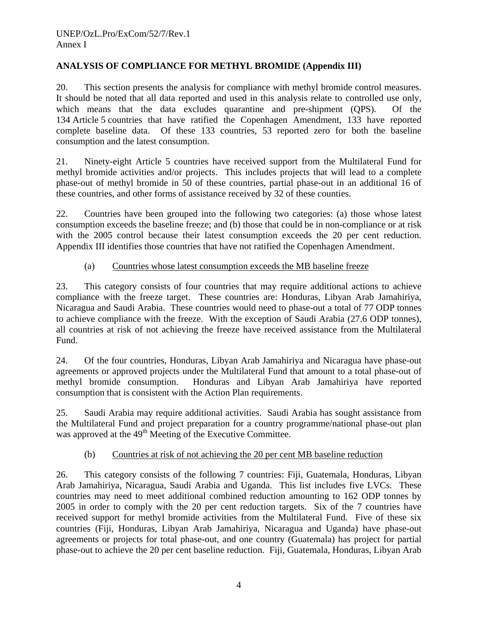## **ANALYSIS OF COMPLIANCE FOR METHYL BROMIDE (Appendix III)**

20. This section presents the analysis for compliance with methyl bromide control measures. It should be noted that all data reported and used in this analysis relate to controlled use only, which means that the data excludes quarantine and pre-shipment (QPS). Of the 134 Article 5 countries that have ratified the Copenhagen Amendment, 133 have reported complete baseline data. Of these 133 countries, 53 reported zero for both the baseline consumption and the latest consumption.

21. Ninety-eight Article 5 countries have received support from the Multilateral Fund for methyl bromide activities and/or projects. This includes projects that will lead to a complete phase-out of methyl bromide in 50 of these countries, partial phase-out in an additional 16 of these countries, and other forms of assistance received by 32 of these counties.

22. Countries have been grouped into the following two categories: (a) those whose latest consumption exceeds the baseline freeze; and (b) those that could be in non-compliance or at risk with the 2005 control because their latest consumption exceeds the 20 per cent reduction. Appendix III identifies those countries that have not ratified the Copenhagen Amendment.

## (a) Countries whose latest consumption exceeds the MB baseline freeze

23. This category consists of four countries that may require additional actions to achieve compliance with the freeze target. These countries are: Honduras, Libyan Arab Jamahiriya, Nicaragua and Saudi Arabia. These countries would need to phase-out a total of 77 ODP tonnes to achieve compliance with the freeze. With the exception of Saudi Arabia (27.6 ODP tonnes), all countries at risk of not achieving the freeze have received assistance from the Multilateral Fund.

24. Of the four countries, Honduras, Libyan Arab Jamahiriya and Nicaragua have phase-out agreements or approved projects under the Multilateral Fund that amount to a total phase-out of methyl bromide consumption. Honduras and Libyan Arab Jamahiriya have reported consumption that is consistent with the Action Plan requirements.

25. Saudi Arabia may require additional activities. Saudi Arabia has sought assistance from the Multilateral Fund and project preparation for a country programme/national phase-out plan was approved at the 49<sup>th</sup> Meeting of the Executive Committee.

## (b) Countries at risk of not achieving the 20 per cent MB baseline reduction

26. This category consists of the following 7 countries: Fiji, Guatemala, Honduras, Libyan Arab Jamahiriya, Nicaragua, Saudi Arabia and Uganda. This list includes five LVCs. These countries may need to meet additional combined reduction amounting to 162 ODP tonnes by 2005 in order to comply with the 20 per cent reduction targets. Six of the 7 countries have received support for methyl bromide activities from the Multilateral Fund. Five of these six countries (Fiji, Honduras, Libyan Arab Jamahiriya, Nicaragua and Uganda) have phase-out agreements or projects for total phase-out, and one country (Guatemala) has project for partial phase-out to achieve the 20 per cent baseline reduction. Fiji, Guatemala, Honduras, Libyan Arab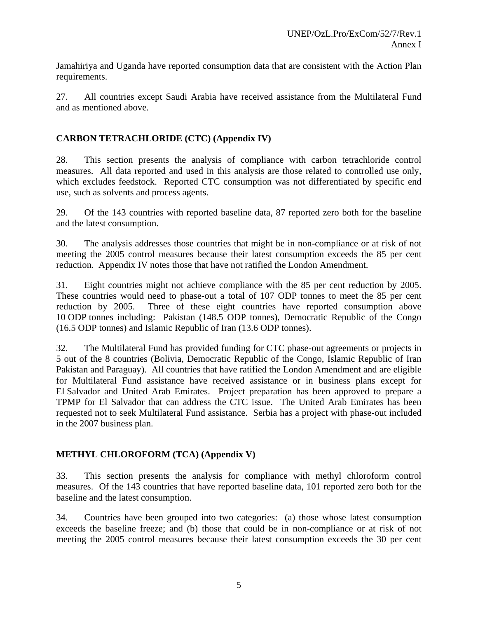Jamahiriya and Uganda have reported consumption data that are consistent with the Action Plan requirements.

27. All countries except Saudi Arabia have received assistance from the Multilateral Fund and as mentioned above.

# **CARBON TETRACHLORIDE (CTC) (Appendix IV)**

28. This section presents the analysis of compliance with carbon tetrachloride control measures. All data reported and used in this analysis are those related to controlled use only, which excludes feedstock. Reported CTC consumption was not differentiated by specific end use, such as solvents and process agents.

29. Of the 143 countries with reported baseline data, 87 reported zero both for the baseline and the latest consumption.

30. The analysis addresses those countries that might be in non-compliance or at risk of not meeting the 2005 control measures because their latest consumption exceeds the 85 per cent reduction. Appendix IV notes those that have not ratified the London Amendment.

31. Eight countries might not achieve compliance with the 85 per cent reduction by 2005. These countries would need to phase-out a total of 107 ODP tonnes to meet the 85 per cent reduction by 2005. Three of these eight countries have reported consumption above 10 ODP tonnes including: Pakistan (148.5 ODP tonnes), Democratic Republic of the Congo (16.5 ODP tonnes) and Islamic Republic of Iran (13.6 ODP tonnes).

32. The Multilateral Fund has provided funding for CTC phase-out agreements or projects in 5 out of the 8 countries (Bolivia, Democratic Republic of the Congo, Islamic Republic of Iran Pakistan and Paraguay). All countries that have ratified the London Amendment and are eligible for Multilateral Fund assistance have received assistance or in business plans except for El Salvador and United Arab Emirates. Project preparation has been approved to prepare a TPMP for El Salvador that can address the CTC issue. The United Arab Emirates has been requested not to seek Multilateral Fund assistance. Serbia has a project with phase-out included in the 2007 business plan.

# **METHYL CHLOROFORM (TCA) (Appendix V)**

33. This section presents the analysis for compliance with methyl chloroform control measures. Of the 143 countries that have reported baseline data, 101 reported zero both for the baseline and the latest consumption.

34. Countries have been grouped into two categories: (a) those whose latest consumption exceeds the baseline freeze; and (b) those that could be in non-compliance or at risk of not meeting the 2005 control measures because their latest consumption exceeds the 30 per cent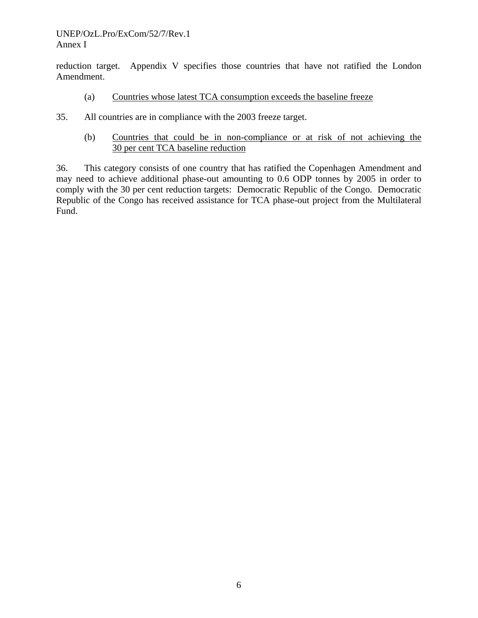### UNEP/OzL.Pro/ExCom/52/7/Rev.1 Annex I

reduction target. Appendix V specifies those countries that have not ratified the London Amendment.

- (a) Countries whose latest TCA consumption exceeds the baseline freeze
- 35. All countries are in compliance with the 2003 freeze target.
	- (b) Countries that could be in non-compliance or at risk of not achieving the 30 per cent TCA baseline reduction

36. This category consists of one country that has ratified the Copenhagen Amendment and may need to achieve additional phase-out amounting to 0.6 ODP tonnes by 2005 in order to comply with the 30 per cent reduction targets: Democratic Republic of the Congo. Democratic Republic of the Congo has received assistance for TCA phase-out project from the Multilateral Fund.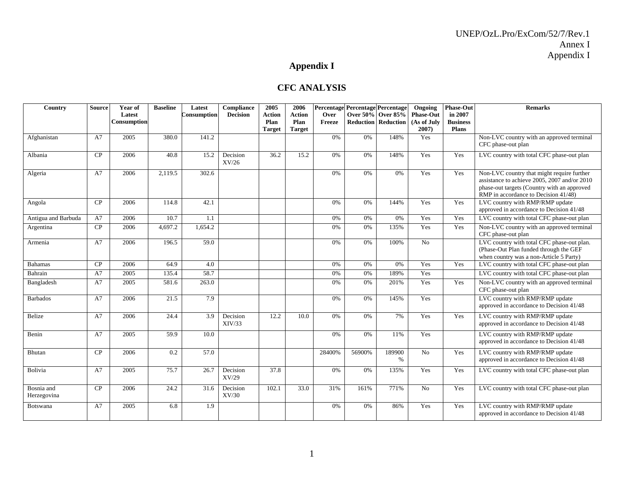# **Appendix I**

## **CFC ANALYSIS**

| Country                   | <b>Source</b> | Year of<br>Latest<br>Consumption | <b>Baseline</b>  | Latest<br>Consumption | Compliance<br><b>Decision</b> | 2005<br><b>Action</b><br>Plan<br><b>Target</b> | 2006<br><b>Action</b><br>Plan<br><b>Target</b> | Over<br>Freeze |        | Percentage Percentage Percentage<br>Over 50% Over 85%<br><b>Reduction Reduction</b> | Ongoing<br><b>Phase-Out</b><br>(As of July<br>2007) | <b>Phase-Out</b><br>in 2007<br><b>Business</b><br>Plans | <b>Remarks</b>                                                                                                                                                                    |
|---------------------------|---------------|----------------------------------|------------------|-----------------------|-------------------------------|------------------------------------------------|------------------------------------------------|----------------|--------|-------------------------------------------------------------------------------------|-----------------------------------------------------|---------------------------------------------------------|-----------------------------------------------------------------------------------------------------------------------------------------------------------------------------------|
| Afghanistan               | A7            | 2005                             | 380.0            | 141.2                 |                               |                                                |                                                | 0%             | 0%     | 148%                                                                                | Yes                                                 |                                                         | Non-LVC country with an approved terminal<br>CFC phase-out plan                                                                                                                   |
| Albania                   | CP            | 2006                             | 40.8             | 15.2                  | Decision<br>XV/26             | 36.2                                           | 15.2                                           | 0%             | 0%     | 148%                                                                                | Yes                                                 | Yes                                                     | LVC country with total CFC phase-out plan                                                                                                                                         |
| Algeria                   | A7            | 2006                             | 2,119.5          | 302.6                 |                               |                                                |                                                | 0%             | 0%     | 0%                                                                                  | Yes                                                 | Yes                                                     | Non-LVC country that might require further<br>assistance to achieve 2005, 2007 and/or 2010<br>phase-out targets (Country with an approved<br>RMP in accordance to Decision 41/48) |
| Angola                    | CP            | 2006                             | 114.8            | 42.1                  |                               |                                                |                                                | 0%             | 0%     | 144%                                                                                | Yes                                                 | Yes                                                     | LVC country with RMP/RMP update<br>approved in accordance to Decision 41/48                                                                                                       |
| Antigua and Barbuda       | A7            | 2006                             | 10.7             | 1.1                   |                               |                                                |                                                | 0%             | 0%     | 0%                                                                                  | Yes                                                 | Yes                                                     | LVC country with total CFC phase-out plan                                                                                                                                         |
| Argentina                 | CP            | 2006                             | 4,697.2          | 1,654.2               |                               |                                                |                                                | 0%             | 0%     | 135%                                                                                | Yes                                                 | Yes                                                     | Non-LVC country with an approved terminal<br>CFC phase-out plan                                                                                                                   |
| Armenia                   | A7            | 2006                             | 196.5            | $\overline{59.0}$     |                               |                                                |                                                | 0%             | 0%     | 100%                                                                                | No                                                  |                                                         | LVC country with total CFC phase-out plan.<br>(Phase-Out Plan funded through the GEF<br>when country was a non-Article 5 Party)                                                   |
| <b>Bahamas</b>            | CP            | 2006                             | 64.9             | 4.0                   |                               |                                                |                                                | 0%             | 0%     | 0%                                                                                  | Yes                                                 | Yes                                                     | LVC country with total CFC phase-out plan                                                                                                                                         |
| Bahrain                   | A7            | 2005                             | 135.4            | 58.7                  |                               |                                                |                                                | 0%             | 0%     | 189%                                                                                | Yes                                                 |                                                         | LVC country with total CFC phase-out plan                                                                                                                                         |
| Bangladesh                | A7            | 2005                             | 581.6            | 263.0                 |                               |                                                |                                                | 0%             | 0%     | 201%                                                                                | Yes                                                 | Yes                                                     | Non-LVC country with an approved terminal<br>CFC phase-out plan                                                                                                                   |
| <b>Barbados</b>           | A7            | 2006                             | 21.5             | 7.9                   |                               |                                                |                                                | 0%             | 0%     | 145%                                                                                | Yes                                                 |                                                         | LVC country with RMP/RMP update<br>approved in accordance to Decision 41/48                                                                                                       |
| <b>Belize</b>             | A7            | 2006                             | 24.4             | 3.9                   | Decision<br>XIV/33            | 12.2                                           | 10.0                                           | 0%             | 0%     | 7%                                                                                  | Yes                                                 | Yes                                                     | LVC country with RMP/RMP update<br>approved in accordance to Decision 41/48                                                                                                       |
| Benin                     | A7            | 2005                             | 59.9             | 10.0                  |                               |                                                |                                                | 0%             | 0%     | 11%                                                                                 | Yes                                                 |                                                         | LVC country with RMP/RMP update<br>approved in accordance to Decision 41/48                                                                                                       |
| <b>Bhutan</b>             | CP            | 2006                             | $\overline{0.2}$ | $\overline{57.0}$     |                               |                                                |                                                | 28400%         | 56900% | 189900<br>$\%$                                                                      | $\overline{No}$                                     | Yes                                                     | LVC country with RMP/RMP update<br>approved in accordance to Decision 41/48                                                                                                       |
| Bolivia                   | A7            | 2005                             | 75.7             | 26.7                  | Decision<br>XV/29             | $\overline{37.8}$                              |                                                | 0%             | 0%     | 135%                                                                                | Yes                                                 | Yes                                                     | LVC country with total CFC phase-out plan                                                                                                                                         |
| Bosnia and<br>Herzegovina | CP            | 2006                             | 24.2             | 31.6                  | Decision<br>XV/30             | 102.1                                          | 33.0                                           | 31%            | 161%   | 771%                                                                                | No                                                  | Yes                                                     | LVC country with total CFC phase-out plan                                                                                                                                         |
| <b>Botswana</b>           | A7            | 2005                             | 6.8              | 1.9                   |                               |                                                |                                                | 0%             | 0%     | 86%                                                                                 | Yes                                                 | Yes                                                     | LVC country with RMP/RMP update<br>approved in accordance to Decision 41/48                                                                                                       |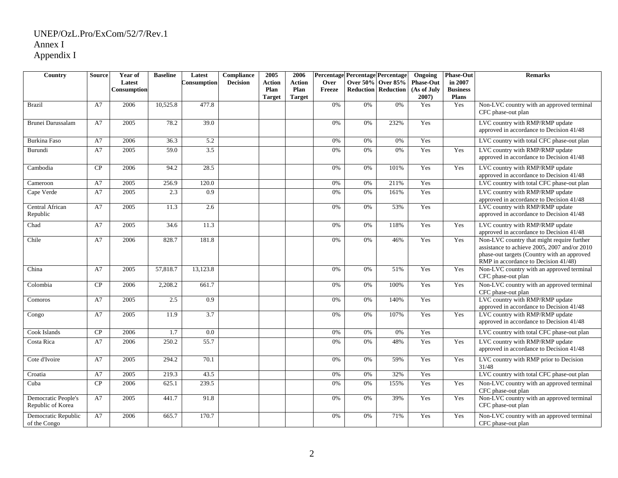| Country                                  | <b>Source</b> | Year of     | <b>Baseline</b> | Latest           | Compliance      | 2005          | 2006          | Percentage Percentage Percentage |    |                            | Ongoing          | <b>Phase-Out</b> | <b>Remarks</b>                                                                                                                                                                    |
|------------------------------------------|---------------|-------------|-----------------|------------------|-----------------|---------------|---------------|----------------------------------|----|----------------------------|------------------|------------------|-----------------------------------------------------------------------------------------------------------------------------------------------------------------------------------|
|                                          |               | Latest      |                 | Consumption      | <b>Decision</b> | <b>Action</b> | <b>Action</b> | Over                             |    | Over 50% Over 85%          | <b>Phase-Out</b> | in 2007          |                                                                                                                                                                                   |
|                                          |               | Consumption |                 |                  |                 | Plan          | Plan          | Freeze                           |    | <b>Reduction Reduction</b> | (As of July      | <b>Business</b>  |                                                                                                                                                                                   |
|                                          |               |             |                 |                  |                 | <b>Target</b> | <b>Target</b> |                                  |    |                            | $2007$ )         | <b>Plans</b>     |                                                                                                                                                                                   |
| <b>Brazil</b>                            | A7            | 2006        | 10,525.8        | 477.8            |                 |               |               | 0%                               | 0% | 0%                         | Yes              | Yes              | Non-LVC country with an approved terminal<br>CFC phase-out plan                                                                                                                   |
| Brunei Darussalam                        | A7            | 2005        | 78.2            | 39.0             |                 |               |               | 0%                               | 0% | 232%                       | Yes              |                  | LVC country with RMP/RMP update<br>approved in accordance to Decision 41/48                                                                                                       |
| <b>Burkina Faso</b>                      | A7            | 2006        | 36.3            | 5.2              |                 |               |               | 0%                               | 0% | 0%                         | Yes              |                  | LVC country with total CFC phase-out plan                                                                                                                                         |
| Burundi                                  | A7            | 2005        | 59.0            | 3.5              |                 |               |               | 0%                               | 0% | 0%                         | Yes              | Yes              | LVC country with RMP/RMP update<br>approved in accordance to Decision 41/48                                                                                                       |
| Cambodia                                 | CP            | 2006        | 94.2            | 28.5             |                 |               |               | 0%                               | 0% | 101%                       | Yes              | Yes              | LVC country with RMP/RMP update<br>approved in accordance to Decision 41/48                                                                                                       |
| Cameroon                                 | A7            | 2005        | 256.9           | 120.0            |                 |               |               | 0%                               | 0% | 211%                       | Yes              |                  | LVC country with total CFC phase-out plan                                                                                                                                         |
| Cape Verde                               | A7            | 2005        | 2.3             | $\overline{0.9}$ |                 |               |               | 0%                               | 0% | 161%                       | Yes              |                  | LVC country with RMP/RMP update<br>approved in accordance to Decision 41/48                                                                                                       |
| Central African<br>Republic              | A7            | 2005        | 11.3            | 2.6              |                 |               |               | 0%                               | 0% | 53%                        | Yes              |                  | LVC country with RMP/RMP update<br>approved in accordance to Decision 41/48                                                                                                       |
| Chad                                     | A7            | 2005        | 34.6            | 11.3             |                 |               |               | 0%                               | 0% | 118%                       | Yes              | Yes              | LVC country with RMP/RMP update<br>approved in accordance to Decision 41/48                                                                                                       |
| Chile                                    | A7            | 2006        | 828.7           | 181.8            |                 |               |               | 0%                               | 0% | 46%                        | Yes              | Yes              | Non-LVC country that might require further<br>assistance to achieve 2005, 2007 and/or 2010<br>phase-out targets (Country with an approved<br>RMP in accordance to Decision 41/48) |
| China                                    | A7            | 2005        | 57,818.7        | 13,123.8         |                 |               |               | 0%                               | 0% | 51%                        | Yes              | Yes              | Non-LVC country with an approved terminal<br>CFC phase-out plan                                                                                                                   |
| Colombia                                 | CP            | 2006        | 2,208.2         | 661.7            |                 |               |               | 0%                               | 0% | 100%                       | Yes              | Yes              | Non-LVC country with an approved terminal<br>CFC phase-out plan                                                                                                                   |
| Comoros                                  | A7            | 2005        | 2.5             | 0.9              |                 |               |               | 0%                               | 0% | 140%                       | Yes              |                  | LVC country with RMP/RMP update<br>approved in accordance to Decision 41/48                                                                                                       |
| Congo                                    | A7            | 2005        | 11.9            | 3.7              |                 |               |               | 0%                               | 0% | 107%                       | Yes              | Yes              | LVC country with RMP/RMP update<br>approved in accordance to Decision 41/48                                                                                                       |
| Cook Islands                             | CP            | 2006        | 1.7             | 0.0              |                 |               |               | 0%                               | 0% | 0%                         | Yes              |                  | LVC country with total CFC phase-out plan                                                                                                                                         |
| Costa Rica                               | A7            | 2006        | 250.2           | 55.7             |                 |               |               | 0%                               | 0% | 48%                        | Yes              | Yes              | LVC country with RMP/RMP update<br>approved in accordance to Decision 41/48                                                                                                       |
| Cote d'Ivoire                            | A7            | 2005        | 294.2           | 70.1             |                 |               |               | 0%                               | 0% | 59%                        | Yes              | Yes              | LVC country with RMP prior to Decision<br>31/48                                                                                                                                   |
| Croatia                                  | A7            | 2005        | 219.3           | 43.5             |                 |               |               | 0%                               | 0% | 32%                        | Yes              |                  | LVC country with total CFC phase-out plan                                                                                                                                         |
| Cuba                                     | CP            | 2006        | 625.1           | 239.5            |                 |               |               | 0%                               | 0% | 155%                       | Yes              | Yes              | Non-LVC country with an approved terminal<br>CFC phase-out plan                                                                                                                   |
| Democratic People's<br>Republic of Korea | A7            | 2005        | 441.7           | 91.8             |                 |               |               | 0%                               | 0% | 39%                        | Yes              | Yes              | Non-LVC country with an approved terminal<br>CFC phase-out plan                                                                                                                   |
| Democratic Republic<br>of the Congo      | A7            | 2006        | 665.7           | 170.7            |                 |               |               | 0%                               | 0% | 71%                        | Yes              | Yes              | Non-LVC country with an approved terminal<br>CFC phase-out plan                                                                                                                   |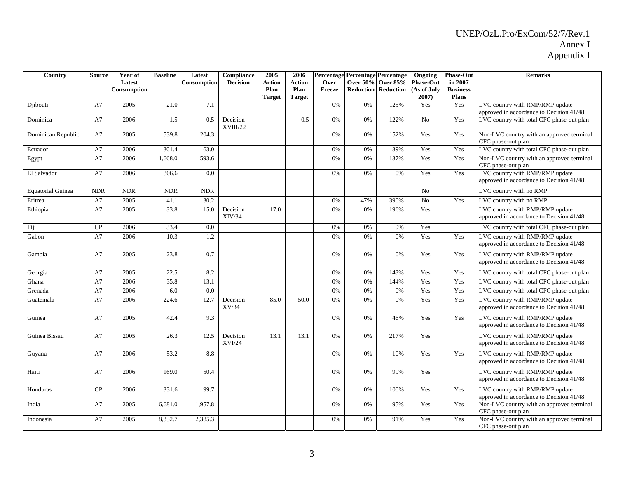| Country                  | Source     | Year of               | <b>Baseline</b>   | Latest      | <b>Compliance</b>         | 2005           | 2006           |                |     | Percentage Percentage Percentage                       | Ongoing                         | <b>Phase-Out</b>           | <b>Remarks</b>                                                              |
|--------------------------|------------|-----------------------|-------------------|-------------|---------------------------|----------------|----------------|----------------|-----|--------------------------------------------------------|---------------------------------|----------------------------|-----------------------------------------------------------------------------|
|                          |            | Latest<br>Consumption |                   | Consumption | <b>Decision</b>           | Action<br>Plan | Action<br>Plan | Over<br>Freeze |     | <b>Over 50% Over 85%</b><br><b>Reduction Reduction</b> | <b>Phase-Out</b><br>(As of July | in 2007<br><b>Business</b> |                                                                             |
|                          |            |                       |                   |             |                           | <b>Target</b>  | <b>Target</b>  |                |     |                                                        | 2007)                           | <b>Plans</b>               |                                                                             |
| Djibouti                 | A7         | 2005                  | 21.0              | 7.1         |                           |                |                | 0%             | 0%  | 125%                                                   | Yes                             | Yes                        | LVC country with RMP/RMP update                                             |
|                          |            |                       |                   |             |                           |                |                |                |     |                                                        |                                 |                            | approved in accordance to Decision 41/48                                    |
| Dominica                 | A7         | 2006                  | 1.5               | 0.5         | Decision<br>XVIII/22      |                | 0.5            | 0%             | 0%  | 122%                                                   | No                              | Yes                        | LVC country with total CFC phase-out plan                                   |
| Dominican Republic       | A7         | 2005                  | 539.8             | 204.3       |                           |                |                | 0%             | 0%  | 152%                                                   | Yes                             | Yes                        | Non-LVC country with an approved terminal<br>CFC phase-out plan             |
| Ecuador                  | A7         | 2006                  | 301.4             | 63.0        |                           |                |                | 0%             | 0%  | 39%                                                    | Yes                             | Yes                        | LVC country with total CFC phase-out plan                                   |
| Egypt                    | A7         | 2006                  | 1,668.0           | 593.6       |                           |                |                | 0%             | 0%  | 137%                                                   | Yes                             | Yes                        | Non-LVC country with an approved terminal<br>CFC phase-out plan             |
| El Salvador              | A7         | 2006                  | 306.6             | 0.0         |                           |                |                | 0%             | 0%  | 0%                                                     | Yes                             | Yes                        | LVC country with RMP/RMP update<br>approved in accordance to Decision 41/48 |
| <b>Equatorial Guinea</b> | <b>NDR</b> | <b>NDR</b>            | <b>NDR</b>        | <b>NDR</b>  |                           |                |                |                |     |                                                        | No                              |                            | LVC country with no RMP                                                     |
| Eritrea                  | A7         | 2005                  | 41.1              | 30.2        |                           |                |                | 0%             | 47% | 390%                                                   | No                              | Yes                        | LVC country with no RMP                                                     |
| Ethiopia                 | A7         | 2005                  | 33.8              | 15.0        | Decision<br>XIV/34        | 17.0           |                | 0%             | 0%  | 196%                                                   | Yes                             |                            | LVC country with RMP/RMP update<br>approved in accordance to Decision 41/48 |
| Fiji                     | CP         | 2006                  | 33.4              | 0.0         |                           |                |                | 0%             | 0%  | 0%                                                     | Yes                             |                            | LVC country with total CFC phase-out plan                                   |
| Gabon                    | A7         | 2006                  | 10.3              | 1.2         |                           |                |                | 0%             | 0%  | 0%                                                     | Yes                             | Yes                        | LVC country with RMP/RMP update<br>approved in accordance to Decision 41/48 |
| Gambia                   | A7         | 2005                  | 23.8              | 0.7         |                           |                |                | 0%             | 0%  | 0%                                                     | Yes                             | Yes                        | LVC country with RMP/RMP update<br>approved in accordance to Decision 41/48 |
| Georgia                  | A7         | 2005                  | $\overline{22.5}$ | 8.2         |                           |                |                | 0%             | 0%  | 143%                                                   | Yes                             | Yes                        | LVC country with total CFC phase-out plan                                   |
| Ghana                    | A7         | 2006                  | 35.8              | 13.1        |                           |                |                | 0%             | 0%  | 144%                                                   | Yes                             | Yes                        | LVC country with total CFC phase-out plan                                   |
| Grenada                  | A7         | 2006                  | 6.0               | 0.0         |                           |                |                | 0%             | 0%  | 0%                                                     | Yes                             | Yes                        | LVC country with total CFC phase-out plan                                   |
| Guatemala                | A7         | 2006                  | 224.6             | 12.7        | Decision<br>XV/34         | 85.0           | 50.0           | 0%             | 0%  | 0%                                                     | Yes                             | Yes                        | LVC country with RMP/RMP update<br>approved in accordance to Decision 41/48 |
| Guinea                   | A7         | 2005                  | 42.4              | 9.3         |                           |                |                | 0%             | 0%  | 46%                                                    | Yes                             | Yes                        | LVC country with RMP/RMP update<br>approved in accordance to Decision 41/48 |
| Guinea Bissau            | A7         | 2005                  | 26.3              | 12.5        | Decision<br><b>XVI/24</b> | 13.1           | 13.1           | 0%             | 0%  | 217%                                                   | Yes                             |                            | LVC country with RMP/RMP update<br>approved in accordance to Decision 41/48 |
| Guyana                   | A7         | 2006                  | 53.2              | 8.8         |                           |                |                | 0%             | 0%  | 10%                                                    | Yes                             | Yes                        | LVC country with RMP/RMP update<br>approved in accordance to Decision 41/48 |
| Haiti                    | A7         | 2006                  | 169.0             | 50.4        |                           |                |                | 0%             | 0%  | 99%                                                    | Yes                             |                            | LVC country with RMP/RMP update<br>approved in accordance to Decision 41/48 |
| Honduras                 | CP         | 2006                  | 331.6             | 99.7        |                           |                |                | 0%             | 0%  | 100%                                                   | Yes                             | Yes                        | LVC country with RMP/RMP update<br>approved in accordance to Decision 41/48 |
| India                    | A7         | 2005                  | 6,681.0           | 1,957.8     |                           |                |                | 0%             | 0%  | 95%                                                    | Yes                             | Yes                        | Non-LVC country with an approved terminal<br>CFC phase-out plan             |
| Indonesia                | A7         | 2005                  | 8,332.7           | 2,385.3     |                           |                |                | 0%             | 0%  | 91%                                                    | Yes                             | Yes                        | Non-LVC country with an approved terminal<br>CFC phase-out plan             |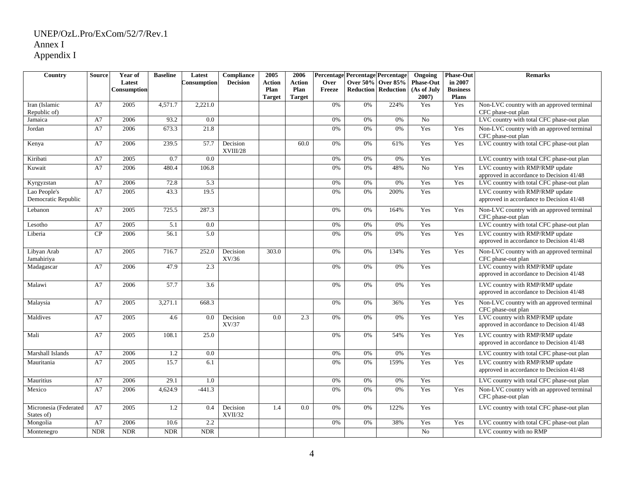| Country                             | <b>Source</b> | Year of     | <b>Baseline</b> | Latest      | Compliance           | 2005          | 2006          | Percentage Percentage Percentage |                 |                            | Ongoing          | <b>Phase-Out</b> | <b>Remarks</b>                                                              |
|-------------------------------------|---------------|-------------|-----------------|-------------|----------------------|---------------|---------------|----------------------------------|-----------------|----------------------------|------------------|------------------|-----------------------------------------------------------------------------|
|                                     |               | Latest      |                 | Consumption | <b>Decision</b>      | Action        | <b>Action</b> | Over                             | <b>Over 50%</b> | <b>Over 85%</b>            | <b>Phase-Out</b> | in 2007          |                                                                             |
|                                     |               | Consumption |                 |             |                      | Plan          | Plan          | Freeze                           |                 | <b>Reduction Reduction</b> | (As of July      | <b>Business</b>  |                                                                             |
|                                     |               |             |                 |             |                      | <b>Target</b> | <b>Target</b> |                                  |                 |                            | $2007$ )         | <b>Plans</b>     |                                                                             |
| Iran (Islamic<br>Republic of)       | A7            | 2005        | 4.571.7         | 2.221.0     |                      |               |               | 0%                               | 0%              | 224%                       | Yes              | Yes              | Non-LVC country with an approved terminal<br>CFC phase-out plan             |
| Jamaica                             | A7            | 2006        | 93.2            | 0.0         |                      |               |               | 0%                               | 0%              | 0%                         | $\overline{No}$  |                  | LVC country with total CFC phase-out plan                                   |
| Jordan                              | A7            | 2006        | 673.3           | 21.8        |                      |               |               | 0%                               | 0%              | 0%                         | Yes              | Yes              | Non-LVC country with an approved terminal<br>CFC phase-out plan             |
| Kenya                               | A7            | 2006        | 239.5           | 57.7        | Decision<br>XVIII/28 |               | 60.0          | 0%                               | 0%              | 61%                        | Yes              | Yes              | LVC country with total CFC phase-out plan                                   |
| Kiribati                            | A7            | 2005        | 0.7             | 0.0         |                      |               |               | 0%                               | 0%              | 0%                         | Yes              |                  | LVC country with total CFC phase-out plan                                   |
| Kuwait                              | A7            | 2006        | 480.4           | 106.8       |                      |               |               | 0%                               | 0%              | 48%                        | No               | Yes              | LVC country with RMP/RMP update<br>approved in accordance to Decision 41/48 |
| Kyrgyzstan                          | A7            | 2006        | 72.8            | 5.3         |                      |               |               | 0%                               | 0%              | 0%                         | Yes              | Yes              | LVC country with total CFC phase-out plan                                   |
| Lao People's<br>Democratic Republic | A7            | 2005        | 43.3            | 19.5        |                      |               |               | 0%                               | 0%              | 200%                       | Yes              |                  | LVC country with RMP/RMP update<br>approved in accordance to Decision 41/48 |
| Lebanon                             | A7            | 2005        | 725.5           | 287.3       |                      |               |               | 0%                               | 0%              | 164%                       | Yes              | Yes              | Non-LVC country with an approved terminal<br>CFC phase-out plan             |
| Lesotho                             | A7            | 2005        | 5.1             | 0.0         |                      |               |               | 0%                               | 0%              | 0%                         | Yes              |                  | LVC country with total CFC phase-out plan                                   |
| Liberia                             | CP            | 2006        | 56.1            | 5.0         |                      |               |               | 0%                               | 0%              | 0%                         | Yes              | Yes              | LVC country with RMP/RMP update<br>approved in accordance to Decision 41/48 |
| Libyan Arab<br>Jamahiriya           | A7            | 2005        | 716.7           | 252.0       | Decision<br>XV/36    | 303.0         |               | 0%                               | 0%              | 134%                       | Yes              | Yes              | Non-LVC country with an approved terminal<br>CFC phase-out plan             |
| Madagascar                          | A7            | 2006        | 47.9            | 2.3         |                      |               |               | 0%                               | 0%              | 0%                         | Yes              |                  | LVC country with RMP/RMP update<br>approved in accordance to Decision 41/48 |
| Malawi                              | A7            | 2006        | 57.7            | 3.6         |                      |               |               | 0%                               | 0%              | 0%                         | Yes              |                  | LVC country with RMP/RMP update<br>approved in accordance to Decision 41/48 |
| Malaysia                            | A7            | 2005        | 3,271.1         | 668.3       |                      |               |               | 0%                               | 0%              | 36%                        | Yes              | Yes              | Non-LVC country with an approved terminal<br>CFC phase-out plan             |
| Maldives                            | A7            | 2005        | 4.6             | 0.0         | Decision<br>XV/37    | 0.0           | 2.3           | 0%                               | 0%              | 0%                         | Yes              | Yes              | LVC country with RMP/RMP update<br>approved in accordance to Decision 41/48 |
| Mali                                | A7            | 2005        | 108.1           | 25.0        |                      |               |               | 0%                               | 0%              | 54%                        | Yes              | Yes              | LVC country with RMP/RMP update<br>approved in accordance to Decision 41/48 |
| Marshall Islands                    | A7            | 2006        | 1.2             | 0.0         |                      |               |               | 0%                               | 0%              | 0%                         | Yes              |                  | LVC country with total CFC phase-out plan                                   |
| Mauritania                          | A7            | 2005        | 15.7            | 6.1         |                      |               |               | 0%                               | 0%              | 159%                       | Yes              | Yes              | LVC country with RMP/RMP update<br>approved in accordance to Decision 41/48 |
| Mauritius                           | A7            | 2006        | 29.1            | 1.0         |                      |               |               | 0%                               | 0%              | 0%                         | Yes              |                  | LVC country with total CFC phase-out plan                                   |
| Mexico                              | A7            | 2006        | 4,624.9         | $-441.3$    |                      |               |               | 0%                               | 0%              | 0%                         | Yes              | Yes              | Non-LVC country with an approved terminal<br>CFC phase-out plan             |
| Micronesia (Federated<br>States of) | A7            | 2005        | 1.2             | 0.4         | Decision<br>XVII/32  | 1.4           | 0.0           | 0%                               | 0%              | 122%                       | Yes              |                  | LVC country with total CFC phase-out plan                                   |
| Mongolia                            | A7            | 2006        | 10.6            | 2.2         |                      |               |               | 0%                               | 0%              | 38%                        | Yes              | Yes              | LVC country with total CFC phase-out plan                                   |
| Montenegro                          | <b>NDR</b>    | <b>NDR</b>  | <b>NDR</b>      | <b>NDR</b>  |                      |               |               |                                  |                 |                            | No               |                  | LVC country with no RMP                                                     |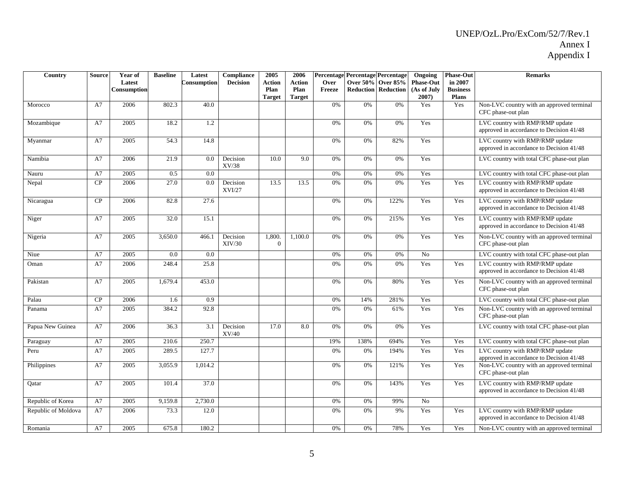| Country             | Source | Year of<br>Latest<br>Consumption | <b>Baseline</b> | Latest<br>Consumption | Compliance<br><b>Decision</b> | 2005<br>Action<br>Plan<br><b>Target</b> | 2006<br><b>Action</b><br>Plan<br><b>Target</b> | Over<br>Freeze |      | Percentage Percentage Percentage<br><b>Over 50% Over 85%</b><br><b>Reduction Reduction</b> | Ongoing<br><b>Phase-Out</b><br>(As of July<br>$2007$ ) | <b>Phase-Out</b><br>in 2007<br><b>Business</b><br><b>Plans</b> | <b>Remarks</b>                                                              |
|---------------------|--------|----------------------------------|-----------------|-----------------------|-------------------------------|-----------------------------------------|------------------------------------------------|----------------|------|--------------------------------------------------------------------------------------------|--------------------------------------------------------|----------------------------------------------------------------|-----------------------------------------------------------------------------|
| Morocco             | A7     | 2006                             | 802.3           | 40.0                  |                               |                                         |                                                | 0%             | 0%   | 0%                                                                                         | Yes                                                    | Yes                                                            | Non-LVC country with an approved terminal<br>CFC phase-out plan             |
| Mozambique          | A7     | 2005                             | 18.2            | 1.2                   |                               |                                         |                                                | 0%             | 0%   | 0%                                                                                         | Yes                                                    |                                                                | LVC country with RMP/RMP update<br>approved in accordance to Decision 41/48 |
| Myanmar             | A7     | 2005                             | 54.3            | 14.8                  |                               |                                         |                                                | 0%             | 0%   | 82%                                                                                        | Yes                                                    |                                                                | LVC country with RMP/RMP update<br>approved in accordance to Decision 41/48 |
| Namibia             | A7     | 2006                             | 21.9            | 0.0                   | Decision<br>XV/38             | 10.0                                    | 9.0                                            | 0%             | 0%   | 0%                                                                                         | Yes                                                    |                                                                | LVC country with total CFC phase-out plan                                   |
| Nauru               | A7     | 2005                             | 0.5             | 0.0                   |                               |                                         |                                                | 0%             | 0%   | 0%                                                                                         | Yes                                                    |                                                                | LVC country with total CFC phase-out plan                                   |
| Nepal               | CP     | 2006                             | 27.0            | 0.0                   | Decision<br>XVI/27            | 13.5                                    | 13.5                                           | 0%             | 0%   | 0%                                                                                         | Yes                                                    | Yes                                                            | LVC country with RMP/RMP update<br>approved in accordance to Decision 41/48 |
| Nicaragua           | CP     | 2006                             | 82.8            | 27.6                  |                               |                                         |                                                | 0%             | 0%   | 122%                                                                                       | Yes                                                    | Yes                                                            | LVC country with RMP/RMP update<br>approved in accordance to Decision 41/48 |
| Niger               | A7     | 2005                             | 32.0            | 15.1                  |                               |                                         |                                                | 0%             | 0%   | 215%                                                                                       | Yes                                                    | Yes                                                            | LVC country with RMP/RMP update<br>approved in accordance to Decision 41/48 |
| Nigeria             | A7     | 2005                             | 3,650.0         | 466.1                 | Decision<br>XIV/30            | 1,800.<br>$\mathbf{0}$                  | 1,100.0                                        | 0%             | 0%   | 0%                                                                                         | Yes                                                    | Yes                                                            | Non-LVC country with an approved terminal<br>CFC phase-out plan             |
| Niue                | A7     | 2005                             | 0.0             | 0.0                   |                               |                                         |                                                | 0%             | 0%   | 0%                                                                                         | N <sub>o</sub>                                         |                                                                | LVC country with total CFC phase-out plan                                   |
| Oman                | A7     | 2006                             | 248.4           | 25.8                  |                               |                                         |                                                | 0%             | 0%   | 0%                                                                                         | Yes                                                    | Yes                                                            | LVC country with RMP/RMP update<br>approved in accordance to Decision 41/48 |
| Pakistan            | A7     | 2005                             | 1,679.4         | 453.0                 |                               |                                         |                                                | 0%             | 0%   | 80%                                                                                        | Yes                                                    | Yes                                                            | Non-LVC country with an approved terminal<br>CFC phase-out plan             |
| Palau               | CP     | 2006                             | 1.6             | 0.9                   |                               |                                         |                                                | 0%             | 14%  | 281%                                                                                       | Yes                                                    |                                                                | LVC country with total CFC phase-out plan                                   |
| Panama              | A7     | 2005                             | 384.2           | 92.8                  |                               |                                         |                                                | 0%             | 0%   | 61%                                                                                        | Yes                                                    | Yes                                                            | Non-LVC country with an approved terminal<br>CFC phase-out plan             |
| Papua New Guinea    | A7     | 2006                             | 36.3            | 3.1                   | Decision<br>XV/40             | 17.0                                    | 8.0                                            | 0%             | 0%   | 0%                                                                                         | Yes                                                    |                                                                | LVC country with total CFC phase-out plan                                   |
| Paraguay            | A7     | 2005                             | 210.6           | 250.7                 |                               |                                         |                                                | 19%            | 138% | 694%                                                                                       | Yes                                                    | Yes                                                            | LVC country with total CFC phase-out plan                                   |
| Peru                | A7     | 2005                             | 289.5           | 127.7                 |                               |                                         |                                                | 0%             | 0%   | 194%                                                                                       | Yes                                                    | Yes                                                            | LVC country with RMP/RMP update<br>approved in accordance to Decision 41/48 |
| Philippines         | A7     | 2005                             | 3,055.9         | 1,014.2               |                               |                                         |                                                | 0%             | 0%   | 121%                                                                                       | Yes                                                    | Yes                                                            | Non-LVC country with an approved terminal<br>CFC phase-out plan             |
| Oatar               | A7     | 2005                             | 101.4           | 37.0                  |                               |                                         |                                                | 0%             | 0%   | 143%                                                                                       | Yes                                                    | Yes                                                            | LVC country with RMP/RMP update<br>approved in accordance to Decision 41/48 |
| Republic of Korea   | A7     | 2005                             | 9,159.8         | 2,730.0               |                               |                                         |                                                | 0%             | 0%   | 99%                                                                                        | No                                                     |                                                                |                                                                             |
| Republic of Moldova | A7     | 2006                             | 73.3            | 12.0                  |                               |                                         |                                                | 0%             | 0%   | 9%                                                                                         | Yes                                                    | Yes                                                            | LVC country with RMP/RMP update<br>approved in accordance to Decision 41/48 |
| Romania             | A7     | 2005                             | 675.8           | 180.2                 |                               |                                         |                                                | 0%             | 0%   | 78%                                                                                        | Yes                                                    | Yes                                                            | Non-LVC country with an approved terminal                                   |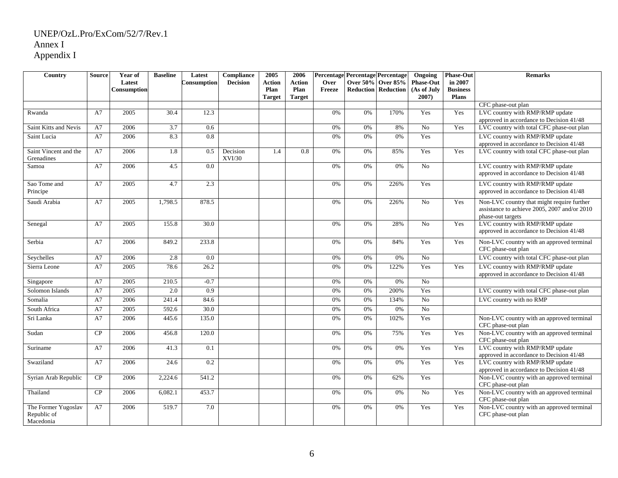| Country                                         | <b>Source</b> | Year of               | <b>Baseline</b>    | Latest           | Compliance<br><b>Decision</b> | 2005                  | 2006                  | Over   |    | Percentage Percentage Percentage<br>Over 50% Over 85% | Ongoing<br><b>Phase-Out</b> | <b>Phase-Out</b><br>in 2007 | <b>Remarks</b>                                                                                                  |
|-------------------------------------------------|---------------|-----------------------|--------------------|------------------|-------------------------------|-----------------------|-----------------------|--------|----|-------------------------------------------------------|-----------------------------|-----------------------------|-----------------------------------------------------------------------------------------------------------------|
|                                                 |               | Latest<br>Consumption |                    | Consumption      |                               | <b>Action</b><br>Plan | <b>Action</b><br>Plan | Freeze |    | <b>Reduction Reduction</b>                            | (As of July                 | <b>Business</b>             |                                                                                                                 |
|                                                 |               |                       |                    |                  |                               | <b>Target</b>         | <b>Target</b>         |        |    |                                                       | $2007$ )                    | <b>Plans</b>                |                                                                                                                 |
|                                                 |               |                       |                    |                  |                               |                       |                       |        |    |                                                       |                             |                             | CFC phase-out plan                                                                                              |
| Rwanda                                          | A7            | 2005                  | 30.4               | 12.3             |                               |                       |                       | 0%     | 0% | 170%                                                  | Yes                         | Yes                         | LVC country with RMP/RMP update                                                                                 |
|                                                 |               |                       |                    |                  |                               |                       |                       |        |    |                                                       |                             |                             | approved in accordance to Decision 41/48                                                                        |
| Saint Kitts and Nevis                           | A7            | 2006                  | $\overline{3.7}$   | 0.6              |                               |                       |                       | 0%     | 0% | 8%                                                    | No                          | Yes                         | LVC country with total CFC phase-out plan                                                                       |
| Saint Lucia                                     | A7            | 2006                  | 8.3                | 0.8              |                               |                       |                       | 0%     | 0% | 0%                                                    | Yes                         |                             | LVC country with RMP/RMP update<br>approved in accordance to Decision 41/48                                     |
| Saint Vincent and the<br>Grenadines             | A7            | 2006                  | 1.8                | 0.5              | Decision<br>XVI/30            | 1.4                   | 0.8                   | 0%     | 0% | 85%                                                   | Yes                         | Yes                         | LVC country with total CFC phase-out plan                                                                       |
| Samoa                                           | A7            | 2006                  | 4.5                | 0.0              |                               |                       |                       | 0%     | 0% | 0%                                                    | No                          |                             | LVC country with RMP/RMP update<br>approved in accordance to Decision 41/48                                     |
| Sao Tome and<br>Principe                        | A7            | 2005                  | 4.7                | 2.3              |                               |                       |                       | 0%     | 0% | 226%                                                  | Yes                         |                             | LVC country with RMP/RMP update<br>approved in accordance to Decision 41/48                                     |
| Saudi Arabia                                    | A7            | 2005                  | 1,798.5            | 878.5            |                               |                       |                       | 0%     | 0% | 226%                                                  | N <sub>o</sub>              | Yes                         | Non-LVC country that might require further<br>assistance to achieve 2005, 2007 and/or 2010<br>phase-out targets |
| Senegal                                         | A7            | 2005                  | 155.8              | 30.0             |                               |                       |                       | $0\%$  | 0% | 28%                                                   | No                          | Yes                         | LVC country with RMP/RMP update<br>approved in accordance to Decision 41/48                                     |
| Serbia                                          | A7            | 2006                  | 849.2              | 233.8            |                               |                       |                       | 0%     | 0% | 84%                                                   | Yes                         | Yes                         | Non-LVC country with an approved terminal<br>CFC phase-out plan                                                 |
| Seychelles                                      | A7            | 2006                  | 2.8                | 0.0              |                               |                       |                       | 0%     | 0% | 0%                                                    | N <sub>o</sub>              |                             | LVC country with total CFC phase-out plan                                                                       |
| Sierra Leone                                    | A7            | 2005                  | 78.6               | 26.2             |                               |                       |                       | 0%     | 0% | 122%                                                  | Yes                         | Yes                         | LVC country with RMP/RMP update<br>approved in accordance to Decision 41/48                                     |
| Singapore                                       | A7            | 2005                  | $\overline{210.5}$ | $-0.7$           |                               |                       |                       | 0%     | 0% | 0%                                                    | N <sub>o</sub>              |                             |                                                                                                                 |
| Solomon Islands                                 | A7            | 2005                  | 2.0                | $\overline{0.9}$ |                               |                       |                       | 0%     | 0% | 200%                                                  | Yes                         |                             | LVC country with total CFC phase-out plan                                                                       |
| Somalia                                         | A7            | 2006                  | 241.4              | 84.6             |                               |                       |                       | 0%     | 0% | 134%                                                  | $\overline{No}$             |                             | LVC country with no RMP                                                                                         |
| South Africa                                    | A7            | 2005                  | 592.6              | 30.0             |                               |                       |                       | 0%     | 0% | 0%                                                    | N <sub>o</sub>              |                             |                                                                                                                 |
| Sri Lanka                                       | A7            | 2006                  | 445.6              | 135.0            |                               |                       |                       | 0%     | 0% | 102%                                                  | Yes                         |                             | Non-LVC country with an approved terminal<br>CFC phase-out plan                                                 |
| Sudan                                           | CP            | 2006                  | 456.8              | 120.0            |                               |                       |                       | 0%     | 0% | 75%                                                   | Yes                         | Yes                         | Non-LVC country with an approved terminal<br>CFC phase-out plan                                                 |
| Suriname                                        | A7            | 2006                  | 41.3               | 0.1              |                               |                       |                       | 0%     | 0% | 0%                                                    | Yes                         | Yes                         | LVC country with RMP/RMP update<br>approved in accordance to Decision 41/48                                     |
| Swaziland                                       | A7            | 2006                  | 24.6               | 0.2              |                               |                       |                       | 0%     | 0% | 0%                                                    | Yes                         | Yes                         | LVC country with RMP/RMP update<br>approved in accordance to Decision 41/48                                     |
| Syrian Arab Republic                            | CP            | 2006                  | 2,224.6            | 541.2            |                               |                       |                       | 0%     | 0% | 62%                                                   | Yes                         |                             | Non-LVC country with an approved terminal<br>CFC phase-out plan                                                 |
| Thailand                                        | CP            | 2006                  | 6,082.1            | 453.7            |                               |                       |                       | 0%     | 0% | 0%                                                    | $\overline{No}$             | Yes                         | Non-LVC country with an approved terminal<br>CFC phase-out plan                                                 |
| The Former Yugoslav<br>Republic of<br>Macedonia | A7            | 2006                  | 519.7              | 7.0              |                               |                       |                       | 0%     | 0% | 0%                                                    | Yes                         | Yes                         | Non-LVC country with an approved terminal<br>CFC phase-out plan                                                 |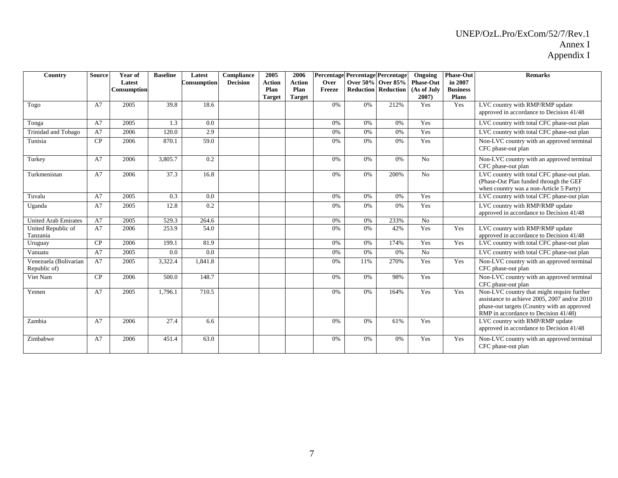| Country                               | <b>Source</b> | Year of<br>Latest<br>Consumption | <b>Baseline</b> | Latest<br>Consumption | <b>Compliance</b><br><b>Decision</b> | 2005<br><b>Action</b><br>Plan<br><b>Target</b> | 2006<br><b>Action</b><br>Plan<br><b>Target</b> | Over<br>Freeze |     | Percentage Percentage Percentage<br>Over 50% Over 85%<br><b>Reduction Reduction</b> | Ongoing<br><b>Phase-Out</b><br>(As of July<br>$2007$ ) | <b>Phase-Out</b><br>in 2007<br><b>Business</b><br><b>Plans</b> | <b>Remarks</b>                                                                                                                                                                    |
|---------------------------------------|---------------|----------------------------------|-----------------|-----------------------|--------------------------------------|------------------------------------------------|------------------------------------------------|----------------|-----|-------------------------------------------------------------------------------------|--------------------------------------------------------|----------------------------------------------------------------|-----------------------------------------------------------------------------------------------------------------------------------------------------------------------------------|
| Togo                                  | A7            | 2005                             | 39.8            | 18.6                  |                                      |                                                |                                                | 0%             | 0%  | 212%                                                                                | Yes                                                    | Yes                                                            | LVC country with RMP/RMP update<br>approved in accordance to Decision 41/48                                                                                                       |
| Tonga                                 | A7            | 2005                             | 1.3             | 0.0                   |                                      |                                                |                                                | 0%             | 0%  | 0%                                                                                  | Yes                                                    |                                                                | LVC country with total CFC phase-out plan                                                                                                                                         |
| Trinidad and Tobago                   | A7            | 2006                             | 120.0           | 2.9                   |                                      |                                                |                                                | 0%             | 0%  | 0%                                                                                  | Yes                                                    |                                                                | LVC country with total CFC phase-out plan                                                                                                                                         |
| Tunisia                               | CP            | 2006                             | 870.1           | 59.0                  |                                      |                                                |                                                | 0%             | 0%  | 0%                                                                                  | Yes                                                    |                                                                | Non-LVC country with an approved terminal<br>CFC phase-out plan                                                                                                                   |
| Turkey                                | A7            | 2006                             | 3,805.7         | 0.2                   |                                      |                                                |                                                | 0%             | 0%  | 0%                                                                                  | No                                                     |                                                                | Non-LVC country with an approved terminal<br>CFC phase-out plan                                                                                                                   |
| Turkmenistan                          | A7            | 2006                             | 37.3            | 16.8                  |                                      |                                                |                                                | 0%             | 0%  | 200%                                                                                | N <sub>o</sub>                                         |                                                                | LVC country with total CFC phase-out plan.<br>(Phase-Out Plan funded through the GEF<br>when country was a non-Article 5 Party)                                                   |
| Tuvalu                                | A7            | 2005                             | 0.3             | 0.0                   |                                      |                                                |                                                | 0%             | 0%  | 0%                                                                                  | Yes                                                    |                                                                | LVC country with total CFC phase-out plan                                                                                                                                         |
| Uganda                                | A7            | 2005                             | 12.8            | 0.2                   |                                      |                                                |                                                | 0%             | 0%  | 0%                                                                                  | Yes                                                    |                                                                | LVC country with RMP/RMP update<br>approved in accordance to Decision 41/48                                                                                                       |
| <b>United Arab Emirates</b>           | A7            | 2005                             | 529.3           | 264.6                 |                                      |                                                |                                                | 0%             | 0%  | 233%                                                                                | No                                                     |                                                                |                                                                                                                                                                                   |
| United Republic of<br>Tanzania        | A7            | 2006                             | 253.9           | 54.0                  |                                      |                                                |                                                | 0%             | 0%  | 42%                                                                                 | Yes                                                    | Yes                                                            | LVC country with RMP/RMP update<br>approved in accordance to Decision 41/48                                                                                                       |
| Uruguay                               | CP            | 2006                             | 199.1           | 81.9                  |                                      |                                                |                                                | 0%             | 0%  | 174%                                                                                | Yes                                                    | Yes                                                            | LVC country with total CFC phase-out plan                                                                                                                                         |
| Vanuatu                               | A7            | 2005                             | 0.0             | 0.0                   |                                      |                                                |                                                | 0%             | 0%  | 0%                                                                                  | N <sub>o</sub>                                         |                                                                | LVC country with total CFC phase-out plan                                                                                                                                         |
| Venezuela (Bolivarian<br>Republic of) | A7            | 2005                             | 3,322.4         | 1.841.8               |                                      |                                                |                                                | 0%             | 11% | 270%                                                                                | Yes                                                    | Yes                                                            | Non-LVC country with an approved terminal<br>CFC phase-out plan                                                                                                                   |
| Viet Nam                              | CP            | 2006                             | 500.0           | 148.7                 |                                      |                                                |                                                | 0%             | 0%  | 98%                                                                                 | Yes                                                    |                                                                | Non-LVC country with an approved terminal<br>CFC phase-out plan                                                                                                                   |
| Yemen                                 | A7            | 2005                             | 1,796.1         | 710.5                 |                                      |                                                |                                                | 0%             | 0%  | 164%                                                                                | Yes                                                    | Yes                                                            | Non-LVC country that might require further<br>assistance to achieve 2005, 2007 and/or 2010<br>phase-out targets (Country with an approved<br>RMP in accordance to Decision 41/48) |
| Zambia                                | A7            | 2006                             | 27.4            | 6.6                   |                                      |                                                |                                                | 0%             | 0%  | 61%                                                                                 | Yes                                                    |                                                                | LVC country with RMP/RMP update<br>approved in accordance to Decision 41/48                                                                                                       |
| Zimbabwe                              | A7            | 2006                             | 451.4           | 63.0                  |                                      |                                                |                                                | 0%             | 0%  | 0%                                                                                  | Yes                                                    | Yes                                                            | Non-LVC country with an approved terminal<br>CFC phase-out plan                                                                                                                   |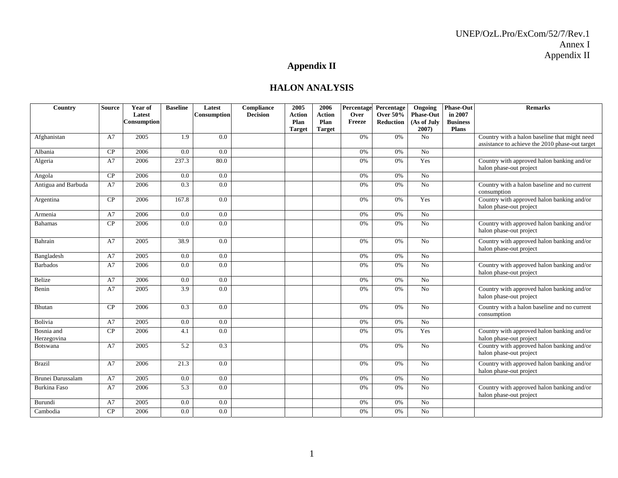# **Appendix II**

## **HALON ANALYSIS**

| Country                   | <b>Source</b> | Year of<br>Latest<br>Consumption | <b>Baseline</b> | Latest<br><b>Consumption</b> | Compliance<br><b>Decision</b> | 2005<br><b>Action</b><br>Plan | 2006<br><b>Action</b><br>Plan | Percentage<br>Over<br>Freeze | Percentage<br><b>Over 50%</b><br>Reduction | Ongoing<br><b>Phase-Out</b><br>(As of July | <b>Phase-Out</b><br>in 2007<br><b>Business</b> | <b>Remarks</b>                                                        |
|---------------------------|---------------|----------------------------------|-----------------|------------------------------|-------------------------------|-------------------------------|-------------------------------|------------------------------|--------------------------------------------|--------------------------------------------|------------------------------------------------|-----------------------------------------------------------------------|
| Afghanistan               | A7            | 2005                             | 1.9             | 0.0                          |                               | <b>Target</b>                 | <b>Target</b>                 | 0%                           | 0%                                         | 2007)<br>No                                | <b>Plans</b>                                   | Country with a halon baseline that might need                         |
|                           |               |                                  |                 |                              |                               |                               |                               |                              |                                            |                                            |                                                | assistance to achieve the 2010 phase-out target                       |
| Albania                   | CP            | 2006                             | 0.0             | 0.0                          |                               |                               |                               | 0%                           | 0%                                         | <b>No</b>                                  |                                                |                                                                       |
| Algeria                   | A7            | 2006                             | 237.3           | 80.0                         |                               |                               |                               | 0%                           | 0%                                         | Yes                                        |                                                | Country with approved halon banking and/or<br>halon phase-out project |
| Angola                    | CP            | 2006                             | 0.0             | 0.0                          |                               |                               |                               | 0%                           | 0%                                         | N <sub>o</sub>                             |                                                |                                                                       |
| Antigua and Barbuda       | A7            | 2006                             | 0.3             | 0.0                          |                               |                               |                               | 0%                           | 0%                                         | No                                         |                                                | Country with a halon baseline and no current<br>consumption           |
| Argentina                 | CP            | 2006                             | 167.8           | 0.0                          |                               |                               |                               | 0%                           | 0%                                         | Yes                                        |                                                | Country with approved halon banking and/or<br>halon phase-out project |
| Armenia                   | A7            | 2006                             | 0.0             | 0.0                          |                               |                               |                               | 0%                           | 0%                                         | N <sub>o</sub>                             |                                                |                                                                       |
| <b>Bahamas</b>            | CP            | 2006                             | 0.0             | 0.0                          |                               |                               |                               | 0%                           | 0%                                         | N <sub>o</sub>                             |                                                | Country with approved halon banking and/or<br>halon phase-out project |
| Bahrain                   | A7            | 2005                             | 38.9            | 0.0                          |                               |                               |                               | 0%                           | 0%                                         | $\overline{N_0}$                           |                                                | Country with approved halon banking and/or<br>halon phase-out project |
| Bangladesh                | A7            | 2005                             | 0.0             | 0.0                          |                               |                               |                               | 0%                           | 0%                                         | N <sub>o</sub>                             |                                                |                                                                       |
| <b>Barbados</b>           | A7            | 2006                             | 0.0             | 0.0                          |                               |                               |                               | 0%                           | 0%                                         | No                                         |                                                | Country with approved halon banking and/or<br>halon phase-out project |
| Belize                    | A7            | 2006                             | 0.0             | 0.0                          |                               |                               |                               | 0%                           | 0%                                         | N <sub>o</sub>                             |                                                |                                                                       |
| Benin                     | A7            | 2005                             | 3.9             | 0.0                          |                               |                               |                               | 0%                           | 0%                                         | N <sub>0</sub>                             |                                                | Country with approved halon banking and/or<br>halon phase-out project |
| Bhutan                    | CP            | 2006                             | 0.3             | 0.0                          |                               |                               |                               | 0%                           | 0%                                         | No                                         |                                                | Country with a halon baseline and no current<br>consumption           |
| Bolivia                   | A7            | 2005                             | 0.0             | 0.0                          |                               |                               |                               | 0%                           | 0%                                         | N <sub>o</sub>                             |                                                |                                                                       |
| Bosnia and<br>Herzegovina | CP            | 2006                             | 4.1             | 0.0                          |                               |                               |                               | 0%                           | 0%                                         | Yes                                        |                                                | Country with approved halon banking and/or<br>halon phase-out project |
| <b>Botswana</b>           | A7            | 2005                             | 5.2             | 0.3                          |                               |                               |                               | 0%                           | 0%                                         | N <sub>0</sub>                             |                                                | Country with approved halon banking and/or<br>halon phase-out project |
| <b>Brazil</b>             | A7            | 2006                             | 21.3            | 0.0                          |                               |                               |                               | 0%                           | 0%                                         | N <sub>o</sub>                             |                                                | Country with approved halon banking and/or<br>halon phase-out project |
| Brunei Darussalam         | A7            | 2005                             | 0.0             | 0.0                          |                               |                               |                               | 0%                           | 0%                                         | No                                         |                                                |                                                                       |
| Burkina Faso              | A7            | 2006                             | 5.3             | 0.0                          |                               |                               |                               | 0%                           | 0%                                         | No                                         |                                                | Country with approved halon banking and/or<br>halon phase-out project |
| Burundi                   | A7            | 2005                             | 0.0             | 0.0                          |                               |                               |                               | 0%                           | 0%                                         | No                                         |                                                |                                                                       |
| Cambodia                  | CP            | 2006                             | 0.0             | 0.0                          |                               |                               |                               | 0%                           | 0%                                         | N <sub>o</sub>                             |                                                |                                                                       |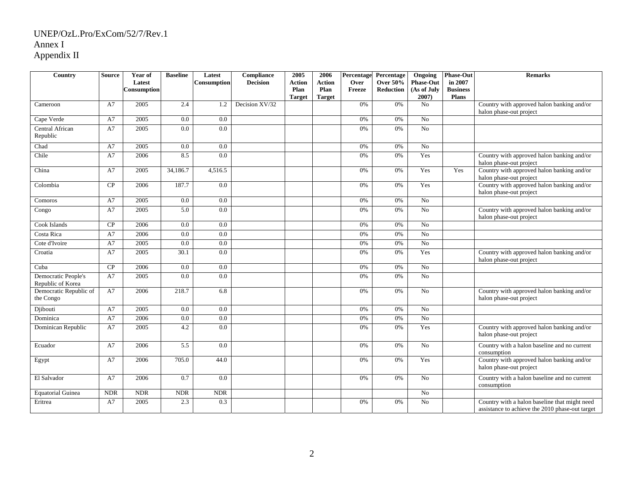| Country                                  | <b>Source</b> | Year of<br>Latest<br>Consumption | <b>Baseline</b> | Latest<br><b>Consumption</b> | Compliance<br><b>Decision</b> | 2005<br>Action<br>Plan<br><b>Target</b> | 2006<br><b>Action</b><br>Plan<br><b>Target</b> | Percentage<br>Over<br>Freeze | Percentage<br><b>Over 50%</b><br><b>Reduction</b> | Ongoing<br><b>Phase-Out</b><br>(As of July<br>2007) | <b>Phase-Out</b><br>in 2007<br><b>Business</b><br><b>Plans</b> | <b>Remarks</b>                                                                                   |
|------------------------------------------|---------------|----------------------------------|-----------------|------------------------------|-------------------------------|-----------------------------------------|------------------------------------------------|------------------------------|---------------------------------------------------|-----------------------------------------------------|----------------------------------------------------------------|--------------------------------------------------------------------------------------------------|
| Cameroon                                 | A7            | 2005                             | 2.4             | 1.2                          | Decision XV/32                |                                         |                                                | 0%                           | 0%                                                | No                                                  |                                                                | Country with approved halon banking and/or<br>halon phase-out project                            |
| Cape Verde                               | A7            | 2005                             | 0.0             | 0.0                          |                               |                                         |                                                | 0%                           | 0%                                                | $\overline{No}$                                     |                                                                |                                                                                                  |
| Central African<br>Republic              | A7            | 2005                             | 0.0             | 0.0                          |                               |                                         |                                                | 0%                           | 0%                                                | No                                                  |                                                                |                                                                                                  |
| Chad                                     | A7            | 2005                             | 0.0             | 0.0                          |                               |                                         |                                                | 0%                           | 0%                                                | No                                                  |                                                                |                                                                                                  |
| Chile                                    | A7            | 2006                             | 8.5             | 0.0                          |                               |                                         |                                                | 0%                           | 0%                                                | Yes                                                 |                                                                | Country with approved halon banking and/or<br>halon phase-out project                            |
| China                                    | A7            | 2005                             | 34,186.7        | 4,516.5                      |                               |                                         |                                                | 0%                           | 0%                                                | Yes                                                 | Yes                                                            | Country with approved halon banking and/or<br>halon phase-out project                            |
| Colombia                                 | CP            | 2006                             | 187.7           | 0.0                          |                               |                                         |                                                | 0%                           | 0%                                                | Yes                                                 |                                                                | Country with approved halon banking and/or<br>halon phase-out project                            |
| Comoros                                  | A7            | 2005                             | 0.0             | 0.0                          |                               |                                         |                                                | 0%                           | 0%                                                | No                                                  |                                                                |                                                                                                  |
| Congo                                    | A7            | 2005                             | 5.0             | 0.0                          |                               |                                         |                                                | 0%                           | 0%                                                | No                                                  |                                                                | Country with approved halon banking and/or<br>halon phase-out project                            |
| Cook Islands                             | CP            | 2006                             | 0.0             | 0.0                          |                               |                                         |                                                | 0%                           | 0%                                                | No                                                  |                                                                |                                                                                                  |
| Costa Rica                               | A7            | 2006                             | 0.0             | 0.0                          |                               |                                         |                                                | 0%                           | 0%                                                | No                                                  |                                                                |                                                                                                  |
| Cote d'Ivoire                            | A7            | 2005                             | 0.0             | 0.0                          |                               |                                         |                                                | 0%                           | 0%                                                | No                                                  |                                                                |                                                                                                  |
| Croatia                                  | A7            | 2005                             | 30.1            | 0.0                          |                               |                                         |                                                | 0%                           | 0%                                                | Yes                                                 |                                                                | Country with approved halon banking and/or<br>halon phase-out project                            |
| Cuba                                     | CP            | 2006                             | 0.0             | 0.0                          |                               |                                         |                                                | 0%                           | 0%                                                | No                                                  |                                                                |                                                                                                  |
| Democratic People's<br>Republic of Korea | A7            | 2005                             | 0.0             | 0.0                          |                               |                                         |                                                | 0%                           | 0%                                                | No                                                  |                                                                |                                                                                                  |
| Democratic Republic of<br>the Congo      | A7            | 2006                             | 218.7           | 6.8                          |                               |                                         |                                                | 0%                           | 0%                                                | No                                                  |                                                                | Country with approved halon banking and/or<br>halon phase-out project                            |
| Djibouti                                 | A7            | 2005                             | 0.0             | 0.0                          |                               |                                         |                                                | 0%                           | 0%                                                | No                                                  |                                                                |                                                                                                  |
| Dominica                                 | A7            | 2006                             | 0.0             | 0.0                          |                               |                                         |                                                | $0\%$                        | 0%                                                | N <sub>o</sub>                                      |                                                                |                                                                                                  |
| Dominican Republic                       | A7            | 2005                             | 4.2             | 0.0                          |                               |                                         |                                                | 0%                           | 0%                                                | Yes                                                 |                                                                | Country with approved halon banking and/or<br>halon phase-out project                            |
| Ecuador                                  | A7            | 2006                             | 5.5             | 0.0                          |                               |                                         |                                                | 0%                           | 0%                                                | No                                                  |                                                                | Country with a halon baseline and no current<br>consumption                                      |
| Egypt                                    | A7            | 2006                             | 705.0           | 44.0                         |                               |                                         |                                                | 0%                           | 0%                                                | Yes                                                 |                                                                | Country with approved halon banking and/or<br>halon phase-out project                            |
| El Salvador                              | A7            | 2006                             | 0.7             | 0.0                          |                               |                                         |                                                | 0%                           | 0%                                                | No                                                  |                                                                | Country with a halon baseline and no current<br>consumption                                      |
| <b>Equatorial Guinea</b>                 | <b>NDR</b>    | $\ensuremath{\mathsf{NDR}}$      | <b>NDR</b>      | <b>NDR</b>                   |                               |                                         |                                                |                              |                                                   | No                                                  |                                                                |                                                                                                  |
| Eritrea                                  | A7            | 2005                             | 2.3             | 0.3                          |                               |                                         |                                                | 0%                           | 0%                                                | No                                                  |                                                                | Country with a halon baseline that might need<br>assistance to achieve the 2010 phase-out target |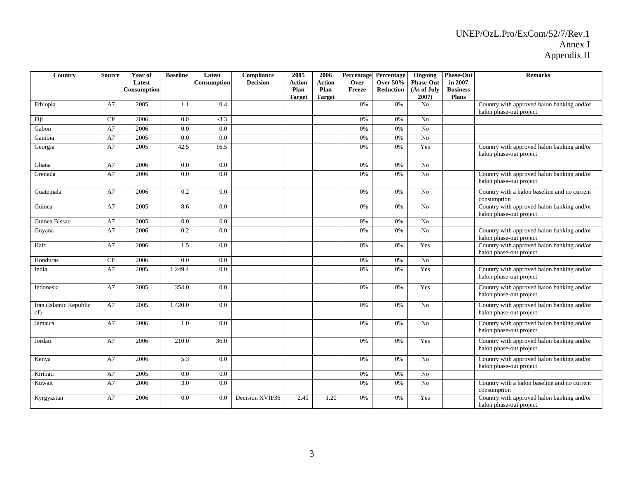| Country                       | <b>Source</b> | Year of<br>Latest<br>Consumption | <b>Baseline</b> | Latest<br><b>Consumption</b> | Compliance<br><b>Decision</b> | 2005<br><b>Action</b><br>Plan<br><b>Target</b> | 2006<br><b>Action</b><br>Plan<br><b>Target</b> | Percentage<br>Over<br>Freeze | Percentage<br><b>Over 50%</b><br><b>Reduction</b> | Ongoing<br><b>Phase-Out</b><br>(As of July<br>$2007$ ) | <b>Phase-Out</b><br>in 2007<br><b>Business</b><br><b>Plans</b> | <b>Remarks</b>                                                        |
|-------------------------------|---------------|----------------------------------|-----------------|------------------------------|-------------------------------|------------------------------------------------|------------------------------------------------|------------------------------|---------------------------------------------------|--------------------------------------------------------|----------------------------------------------------------------|-----------------------------------------------------------------------|
| Ethiopia                      | A7            | 2005                             | 1.1             | 0.4                          |                               |                                                |                                                | 0%                           | 0%                                                | No                                                     |                                                                | Country with approved halon banking and/or<br>halon phase-out project |
| Fiji                          | CP            | 2006                             | 0.0             | $-3.3$                       |                               |                                                |                                                | 0%                           | 0%                                                | No                                                     |                                                                |                                                                       |
| Gabon                         | A7            | 2006                             | 0.0             | 0.0                          |                               |                                                |                                                | 0%                           | 0%                                                | No                                                     |                                                                |                                                                       |
| Gambia                        | A7            | 2005                             | 0.0             | 0.0                          |                               |                                                |                                                | 0%                           | 0%                                                | No                                                     |                                                                |                                                                       |
| Georgia                       | A7            | 2005                             | 42.5            | 16.5                         |                               |                                                |                                                | 0%                           | 0%                                                | Yes                                                    |                                                                | Country with approved halon banking and/or<br>halon phase-out project |
| Ghana                         | A7            | 2006                             | 0.0             | 0.0                          |                               |                                                |                                                | 0%                           | 0%                                                | No                                                     |                                                                |                                                                       |
| Grenada                       | A7            | 2006                             | 0.0             | 0.0                          |                               |                                                |                                                | 0%                           | 0%                                                | N <sub>o</sub>                                         |                                                                | Country with approved halon banking and/or<br>halon phase-out project |
| Guatemala                     | A7            | 2006                             | 0.2             | 0.0                          |                               |                                                |                                                | 0%                           | $0\%$                                             | No                                                     |                                                                | Country with a halon baseline and no current<br>consumption           |
| Guinea                        | A7            | 2005                             | 8.6             | 0.0                          |                               |                                                |                                                | 0%                           | 0%                                                | No                                                     |                                                                | Country with approved halon banking and/or<br>halon phase-out project |
| Guinea Bissau                 | A7            | 2005                             | 0.0             | 0.0                          |                               |                                                |                                                | 0%                           | $0\%$                                             | No                                                     |                                                                |                                                                       |
| Guyana                        | A7            | 2006                             | 0.2             | 0.0                          |                               |                                                |                                                | 0%                           | $0\%$                                             | No                                                     |                                                                | Country with approved halon banking and/or<br>halon phase-out project |
| Haiti                         | A7            | 2006                             | 1.5             | 0.0                          |                               |                                                |                                                | 0%                           | 0%                                                | Yes                                                    |                                                                | Country with approved halon banking and/or<br>halon phase-out project |
| Honduras                      | CP            | 2006                             | 0.0             | $0.0\,$                      |                               |                                                |                                                | 0%                           | $0\%$                                             | No                                                     |                                                                |                                                                       |
| India                         | A7            | 2005                             | 1,249.4         | 0.0                          |                               |                                                |                                                | 0%                           | 0%                                                | Yes                                                    |                                                                | Country with approved halon banking and/or<br>halon phase-out project |
| Indonesia                     | A7            | 2005                             | 354.0           | 0.0                          |                               |                                                |                                                | 0%                           | 0%                                                | Yes                                                    |                                                                | Country with approved halon banking and/or<br>halon phase-out project |
| Iran (Islamic Republic<br>of) | A7            | 2005                             | 1,420.0         | 0.0                          |                               |                                                |                                                | 0%                           | 0%                                                | N <sub>o</sub>                                         |                                                                | Country with approved halon banking and/or<br>halon phase-out project |
| Jamaica                       | A7            | 2006                             | 1.0             | 0.0                          |                               |                                                |                                                | 0%                           | 0%                                                | N <sub>o</sub>                                         |                                                                | Country with approved halon banking and/or<br>halon phase-out project |
| Jordan                        | A7            | 2006                             | 210.0           | 36.0                         |                               |                                                |                                                | 0%                           | 0%                                                | Yes                                                    |                                                                | Country with approved halon banking and/or<br>halon phase-out project |
| Kenya                         | A7            | 2006                             | 5.3             | 0.0                          |                               |                                                |                                                | 0%                           | 0%                                                | N <sub>o</sub>                                         |                                                                | Country with approved halon banking and/or<br>halon phase-out project |
| Kiribati                      | A7            | 2005                             | 0.0             | 0.0                          |                               |                                                |                                                | 0%                           | 0%                                                | No                                                     |                                                                |                                                                       |
| Kuwait                        | A7            | 2006                             | 3.0             | 0.0                          |                               |                                                |                                                | 0%                           | 0%                                                | No                                                     |                                                                | Country with a halon baseline and no current<br>consumption           |
| Kyrgyzstan                    | A7            | 2006                             | 0.0             | 0.0                          | Decision XVII/36              | 2.40                                           | 1.20                                           | 0%                           | 0%                                                | Yes                                                    |                                                                | Country with approved halon banking and/or<br>halon phase-out project |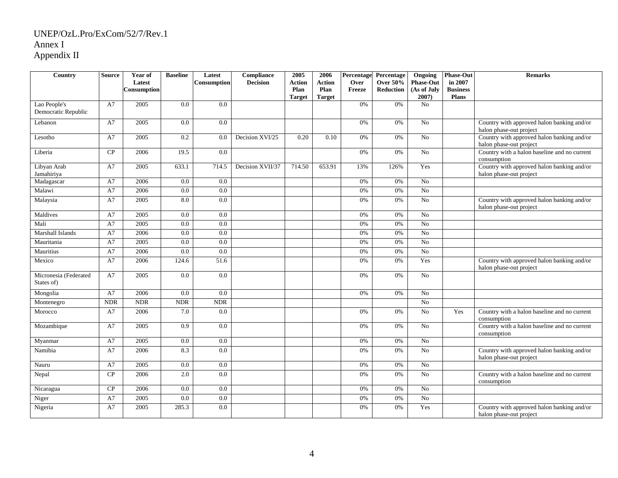| Country                             | <b>Source</b> | Year of<br>Latest<br>Consumption | <b>Baseline</b> | Latest<br><b>Consumption</b> | Compliance<br><b>Decision</b> | 2005<br>Action<br>Plan<br><b>Target</b> | 2006<br><b>Action</b><br>Plan<br><b>Target</b> | Over<br><b>Freeze</b> | Percentage Percentage<br><b>Over 50%</b><br><b>Reduction</b> | Ongoing<br><b>Phase-Out</b><br>(As of July<br>2007) | <b>Phase-Out</b><br>in 2007<br><b>Business</b><br><b>Plans</b> | <b>Remarks</b>                                                        |
|-------------------------------------|---------------|----------------------------------|-----------------|------------------------------|-------------------------------|-----------------------------------------|------------------------------------------------|-----------------------|--------------------------------------------------------------|-----------------------------------------------------|----------------------------------------------------------------|-----------------------------------------------------------------------|
| Lao People's<br>Democratic Republic | A7            | 2005                             | 0.0             | 0.0                          |                               |                                         |                                                | 0%                    | 0%                                                           | N <sub>o</sub>                                      |                                                                |                                                                       |
| Lebanon                             | A7            | 2005                             | 0.0             | 0.0                          |                               |                                         |                                                | 0%                    | 0%                                                           | N <sub>o</sub>                                      |                                                                | Country with approved halon banking and/or<br>halon phase-out project |
| Lesotho                             | A7            | 2005                             | 0.2             | 0.0                          | Decision XVI/25               | 0.20                                    | 0.10                                           | 0%                    | 0%                                                           | N <sub>0</sub>                                      |                                                                | Country with approved halon banking and/or<br>halon phase-out project |
| Liberia                             | CP            | 2006                             | 19.5            | 0.0                          |                               |                                         |                                                | 0%                    | 0%                                                           | N <sub>o</sub>                                      |                                                                | Country with a halon baseline and no current<br>consumption           |
| Libyan Arab<br>Jamahiriya           | A7            | 2005                             | 633.1           | 714.5                        | Decision XVII/37              | 714.50                                  | 653.91                                         | 13%                   | 126%                                                         | Yes                                                 |                                                                | Country with approved halon banking and/or<br>halon phase-out project |
| Madagascar                          | A7            | 2006                             | 0.0             | 0.0                          |                               |                                         |                                                | 0%                    | 0%                                                           | N <sub>o</sub>                                      |                                                                |                                                                       |
| Malawi                              | A7            | 2006                             | 0.0             | 0.0                          |                               |                                         |                                                | 0%                    | 0%                                                           | $\overline{No}$                                     |                                                                |                                                                       |
| Malaysia                            | A7            | 2005                             | 8.0             | 0.0                          |                               |                                         |                                                | 0%                    | 0%                                                           | $\overline{N_0}$                                    |                                                                | Country with approved halon banking and/or<br>halon phase-out project |
| Maldives                            | A7            | 2005                             | 0.0             | 0.0                          |                               |                                         |                                                | 0%                    | 0%                                                           | N <sub>o</sub>                                      |                                                                |                                                                       |
| Mali                                | A7            | 2005                             | 0.0             | 0.0                          |                               |                                         |                                                | 0%                    | 0%                                                           | N <sub>0</sub>                                      |                                                                |                                                                       |
| Marshall Islands                    | A7            | 2006                             | 0.0             | 0.0                          |                               |                                         |                                                | 0%                    | 0%                                                           | N <sub>o</sub>                                      |                                                                |                                                                       |
| Mauritania                          | A7            | 2005                             | 0.0             | 0.0                          |                               |                                         |                                                | 0%                    | 0%                                                           | No                                                  |                                                                |                                                                       |
| Mauritius                           | A7            | 2006                             | 0.0             | 0.0                          |                               |                                         |                                                | 0%                    | 0%                                                           | $\overline{No}$                                     |                                                                |                                                                       |
| Mexico                              | A7            | 2006                             | 124.6           | 51.6                         |                               |                                         |                                                | 0%                    | 0%                                                           | Yes                                                 |                                                                | Country with approved halon banking and/or<br>halon phase-out project |
| Micronesia (Federated<br>States of) | A7            | 2005                             | 0.0             | 0.0                          |                               |                                         |                                                | 0%                    | 0%                                                           | N <sub>o</sub>                                      |                                                                |                                                                       |
| Mongolia                            | A7            | 2006                             | 0.0             | 0.0                          |                               |                                         |                                                | 0%                    | $0\%$                                                        | N <sub>o</sub>                                      |                                                                |                                                                       |
| Montenegro                          | <b>NDR</b>    | <b>NDR</b>                       | <b>NDR</b>      | <b>NDR</b>                   |                               |                                         |                                                |                       |                                                              | No                                                  |                                                                |                                                                       |
| Morocco                             | A7            | 2006                             | 7.0             | 0.0                          |                               |                                         |                                                | 0%                    | 0%                                                           | N <sub>0</sub>                                      | Yes                                                            | Country with a halon baseline and no current<br>consumption           |
| Mozambique                          | A7            | 2005                             | 0.9             | 0.0                          |                               |                                         |                                                | 0%                    | 0%                                                           | $\overline{N_0}$                                    |                                                                | Country with a halon baseline and no current<br>consumption           |
| Myanmar                             | A7            | 2005                             | 0.0             | 0.0                          |                               |                                         |                                                | 0%                    | 0%                                                           | N <sub>o</sub>                                      |                                                                |                                                                       |
| Namibia                             | A7            | 2006                             | 8.3             | 0.0                          |                               |                                         |                                                | 0%                    | 0%                                                           | N <sub>o</sub>                                      |                                                                | Country with approved halon banking and/or<br>halon phase-out project |
| Nauru                               | A7            | 2005                             | 0.0             | 0.0                          |                               |                                         |                                                | 0%                    | 0%                                                           | N <sub>0</sub>                                      |                                                                |                                                                       |
| Nepal                               | CP            | 2006                             | 2.0             | 0.0                          |                               |                                         |                                                | 0%                    | 0%                                                           | N <sub>0</sub>                                      |                                                                | Country with a halon baseline and no current<br>consumption           |
| Nicaragua                           | CP            | 2006                             | 0.0             | 0.0                          |                               |                                         |                                                | 0%                    | 0%                                                           | N <sub>o</sub>                                      |                                                                |                                                                       |
| Niger                               | A7            | 2005                             | 0.0             | 0.0                          |                               |                                         |                                                | 0%                    | 0%                                                           | N <sub>o</sub>                                      |                                                                |                                                                       |
| Nigeria                             | A7            | 2005                             | 285.3           | 0.0                          |                               |                                         |                                                | 0%                    | 0%                                                           | Yes                                                 |                                                                | Country with approved halon banking and/or<br>halon phase-out project |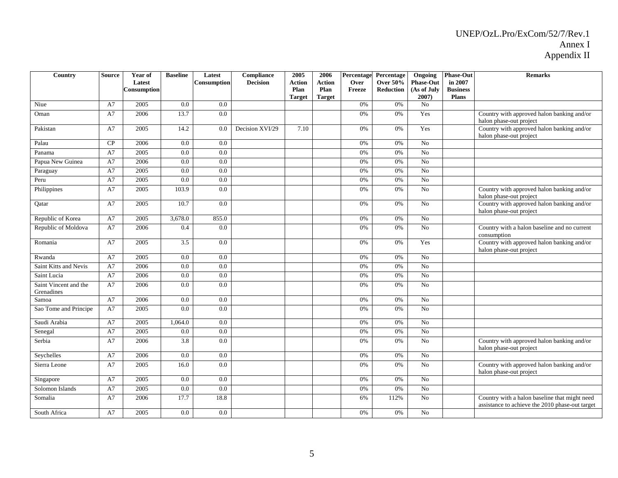| Country                             | <b>Source</b> | Year of<br>Latest<br>Consumption | <b>Baseline</b>  | Latest<br><b>Consumption</b> | Compliance<br><b>Decision</b> | 2005<br><b>Action</b><br>Plan<br><b>Target</b> | 2006<br><b>Action</b><br>Plan<br><b>Target</b> | Percentage<br>Over<br>Freeze | Percentage<br><b>Over 50%</b><br><b>Reduction</b> | Ongoing<br><b>Phase-Out</b><br>(As of July<br>$2007$ ) | <b>Phase-Out</b><br>in 2007<br><b>Business</b><br><b>Plans</b> | <b>Remarks</b>                                                                                   |
|-------------------------------------|---------------|----------------------------------|------------------|------------------------------|-------------------------------|------------------------------------------------|------------------------------------------------|------------------------------|---------------------------------------------------|--------------------------------------------------------|----------------------------------------------------------------|--------------------------------------------------------------------------------------------------|
| Niue                                | A7            | 2005                             | 0.0              | 0.0                          |                               |                                                |                                                | 0%                           | 0%                                                | No                                                     |                                                                |                                                                                                  |
| Oman                                | A7            | 2006                             | 13.7             | 0.0                          |                               |                                                |                                                | 0%                           | 0%                                                | Yes                                                    |                                                                | Country with approved halon banking and/or<br>halon phase-out project                            |
| Pakistan                            | A7            | 2005                             | 14.2             | 0.0                          | Decision XVI/29               | 7.10                                           |                                                | 0%                           | 0%                                                | Yes                                                    |                                                                | Country with approved halon banking and/or<br>halon phase-out project                            |
| Palau                               | CP            | 2006                             | 0.0              | 0.0                          |                               |                                                |                                                | 0%                           | 0%                                                | N <sub>o</sub>                                         |                                                                |                                                                                                  |
| Panama                              | A7            | 2005                             | 0.0              | 0.0                          |                               |                                                |                                                | 0%                           | 0%                                                | $\overline{No}$                                        |                                                                |                                                                                                  |
| Papua New Guinea                    | A7            | 2006                             | 0.0              | 0.0                          |                               |                                                |                                                | 0%                           | 0%                                                | $\overline{No}$                                        |                                                                |                                                                                                  |
| Paraguay                            | A7            | 2005                             | 0.0              | 0.0                          |                               |                                                |                                                | 0%                           | 0%                                                | $\overline{No}$                                        |                                                                |                                                                                                  |
| Peru                                | A7            | 2005                             | 0.0              | 0.0                          |                               |                                                |                                                | 0%                           | 0%                                                | No                                                     |                                                                |                                                                                                  |
| Philippines                         | A7            | 2005                             | 103.9            | 0.0                          |                               |                                                |                                                | 0%                           | 0%                                                | No                                                     |                                                                | Country with approved halon banking and/or<br>halon phase-out project                            |
| Qatar                               | A7            | 2005                             | 10.7             | 0.0                          |                               |                                                |                                                | 0%                           | 0%                                                | N <sub>o</sub>                                         |                                                                | Country with approved halon banking and/or<br>halon phase-out project                            |
| Republic of Korea                   | A7            | 2005                             | 3,678.0          | 855.0                        |                               |                                                |                                                | 0%                           | 0%                                                | No                                                     |                                                                |                                                                                                  |
| Republic of Moldova                 | A7            | 2006                             | 0.4              | 0.0                          |                               |                                                |                                                | 0%                           | 0%                                                | No                                                     |                                                                | Country with a halon baseline and no current<br>consumption                                      |
| Romania                             | A7            | 2005                             | 3.5              | 0.0                          |                               |                                                |                                                | 0%                           | 0%                                                | Yes                                                    |                                                                | Country with approved halon banking and/or<br>halon phase-out project                            |
| Rwanda                              | A7            | 2005                             | 0.0              | 0.0                          |                               |                                                |                                                | 0%                           | 0%                                                | No                                                     |                                                                |                                                                                                  |
| Saint Kitts and Nevis               | A7            | 2006                             | 0.0              | 0.0                          |                               |                                                |                                                | 0%                           | 0%                                                | $\overline{No}$                                        |                                                                |                                                                                                  |
| Saint Lucia                         | A7            | 2006                             | 0.0              | 0.0                          |                               |                                                |                                                | 0%                           | $0\%$                                             | $\overline{No}$                                        |                                                                |                                                                                                  |
| Saint Vincent and the<br>Grenadines | A7            | 2006                             | 0.0              | 0.0                          |                               |                                                |                                                | 0%                           | 0%                                                | No                                                     |                                                                |                                                                                                  |
| Samoa                               | A7            | 2006                             | 0.0              | 0.0                          |                               |                                                |                                                | 0%                           | 0%                                                | No                                                     |                                                                |                                                                                                  |
| Sao Tome and Principe               | A7            | 2005                             | 0.0              | 0.0                          |                               |                                                |                                                | 0%                           | 0%                                                | No                                                     |                                                                |                                                                                                  |
| Saudi Arabia                        | A7            | 2005                             | 1,064.0          | 0.0                          |                               |                                                |                                                | 0%                           | $0\%$                                             | No                                                     |                                                                |                                                                                                  |
| Senegal                             | A7            | 2005                             | 0.0              | 0.0                          |                               |                                                |                                                | 0%                           | 0%                                                | No                                                     |                                                                |                                                                                                  |
| Serbia                              | A7            | 2006                             | $\overline{3.8}$ | 0.0                          |                               |                                                |                                                | 0%                           | 0%                                                | No                                                     |                                                                | Country with approved halon banking and/or<br>halon phase-out project                            |
| Seychelles                          | A7            | 2006                             | 0.0              | 0.0                          |                               |                                                |                                                | 0%                           | 0%                                                | No                                                     |                                                                |                                                                                                  |
| Sierra Leone                        | A7            | 2005                             | 16.0             | 0.0                          |                               |                                                |                                                | 0%                           | $0\%$                                             | N <sub>o</sub>                                         |                                                                | Country with approved halon banking and/or<br>halon phase-out project                            |
| Singapore                           | A7            | 2005                             | $\overline{0.0}$ | $\overline{0.0}$             |                               |                                                |                                                | 0%                           | 0%                                                | $\overline{N_0}$                                       |                                                                |                                                                                                  |
| Solomon Islands                     | A7            | 2005                             | 0.0              | 0.0                          |                               |                                                |                                                | 0%                           | 0%                                                | $\overline{N_0}$                                       |                                                                |                                                                                                  |
| Somalia                             | A7            | 2006                             | 17.7             | 18.8                         |                               |                                                |                                                | 6%                           | 112%                                              | $\overline{No}$                                        |                                                                | Country with a halon baseline that might need<br>assistance to achieve the 2010 phase-out target |
| South Africa                        | A7            | 2005                             | 0.0              | 0.0                          |                               |                                                |                                                | 0%                           | 0%                                                | No                                                     |                                                                |                                                                                                  |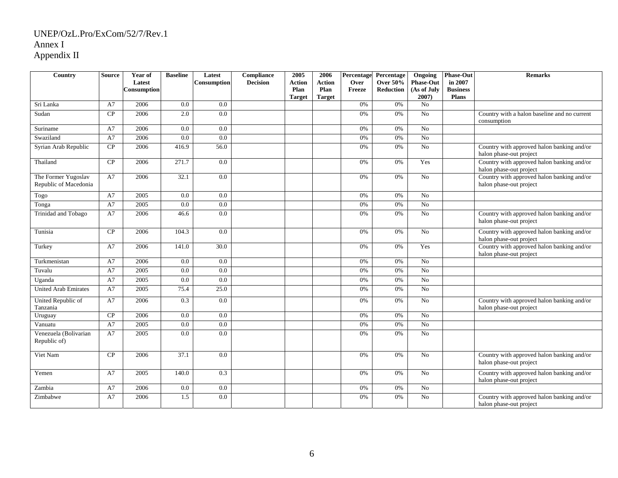| Country                                      | <b>Source</b> | Year of<br>Latest<br>Consumption | <b>Baseline</b> | Latest<br>Consumption | Compliance<br><b>Decision</b> | 2005<br>Action<br>Plan<br><b>Target</b> | 2006<br><b>Action</b><br>Plan<br><b>Target</b> | Percentage<br>Over<br>Freeze | Percentage<br><b>Over 50%</b><br>Reduction | Ongoing<br><b>Phase-Out</b><br>(As of July<br>2007) | <b>Phase-Out</b><br>in 2007<br><b>Business</b><br>Plans | <b>Remarks</b>                                                        |
|----------------------------------------------|---------------|----------------------------------|-----------------|-----------------------|-------------------------------|-----------------------------------------|------------------------------------------------|------------------------------|--------------------------------------------|-----------------------------------------------------|---------------------------------------------------------|-----------------------------------------------------------------------|
| Sri Lanka                                    | A7            | 2006                             | 0.0             | 0.0                   |                               |                                         |                                                | 0%                           | 0%                                         | N <sub>o</sub>                                      |                                                         |                                                                       |
| Sudan                                        | CP            | 2006                             | 2.0             | 0.0                   |                               |                                         |                                                | 0%                           | 0%                                         | N <sub>o</sub>                                      |                                                         | Country with a halon baseline and no current<br>consumption           |
| Suriname                                     | A7            | 2006                             | 0.0             | 0.0                   |                               |                                         |                                                | 0%                           | 0%                                         | N <sub>o</sub>                                      |                                                         |                                                                       |
| Swaziland                                    | A7            | 2006                             | 0.0             | 0.0                   |                               |                                         |                                                | 0%                           | $0\%$                                      | N <sub>0</sub>                                      |                                                         |                                                                       |
| Syrian Arab Republic                         | CP            | 2006                             | 416.9           | 56.0                  |                               |                                         |                                                | 0%                           | 0%                                         | $\overline{No}$                                     |                                                         | Country with approved halon banking and/or<br>halon phase-out project |
| Thailand                                     | CP            | 2006                             | 271.7           | 0.0                   |                               |                                         |                                                | 0%                           | 0%                                         | Yes                                                 |                                                         | Country with approved halon banking and/or<br>halon phase-out project |
| The Former Yugoslav<br>Republic of Macedonia | A7            | 2006                             | 32.1            | 0.0                   |                               |                                         |                                                | 0%                           | 0%                                         | No                                                  |                                                         | Country with approved halon banking and/or<br>halon phase-out project |
| Togo                                         | A7            | 2005                             | 0.0             | 0.0                   |                               |                                         |                                                | 0%                           | 0%                                         | No                                                  |                                                         |                                                                       |
| Tonga                                        | A7            | 2005                             | 0.0             | 0.0                   |                               |                                         |                                                | 0%                           | 0%                                         | $\overline{N_0}$                                    |                                                         |                                                                       |
| Trinidad and Tobago                          | A7            | 2006                             | 46.6            | 0.0                   |                               |                                         |                                                | 0%                           | 0%                                         | $\overline{N_0}$                                    |                                                         | Country with approved halon banking and/or<br>halon phase-out project |
| Tunisia                                      | CP            | 2006                             | 104.3           | 0.0                   |                               |                                         |                                                | 0%                           | 0%                                         | No                                                  |                                                         | Country with approved halon banking and/or<br>halon phase-out project |
| Turkey                                       | A7            | 2006                             | 141.0           | 30.0                  |                               |                                         |                                                | 0%                           | 0%                                         | Yes                                                 |                                                         | Country with approved halon banking and/or<br>halon phase-out project |
| Turkmenistan                                 | A7            | 2006                             | 0.0             | 0.0                   |                               |                                         |                                                | 0%                           | 0%                                         | No                                                  |                                                         |                                                                       |
| Tuvalu                                       | A7            | 2005                             | 0.0             | 0.0                   |                               |                                         |                                                | 0%                           | 0%                                         | N <sub>o</sub>                                      |                                                         |                                                                       |
| Uganda                                       | A7            | 2005                             | 0.0             | 0.0                   |                               |                                         |                                                | 0%                           | 0%                                         | N <sub>o</sub>                                      |                                                         |                                                                       |
| <b>United Arab Emirates</b>                  | A7            | 2005                             | 75.4            | 25.0                  |                               |                                         |                                                | 0%                           | 0%                                         | N <sub>o</sub>                                      |                                                         |                                                                       |
| United Republic of<br>Tanzania               | A7            | 2006                             | 0.3             | 0.0                   |                               |                                         |                                                | 0%                           | 0%                                         | N <sub>0</sub>                                      |                                                         | Country with approved halon banking and/or<br>halon phase-out project |
| Uruguay                                      | CP            | 2006                             | 0.0             | 0.0                   |                               |                                         |                                                | 0%                           | $0\%$                                      | N <sub>0</sub>                                      |                                                         |                                                                       |
| Vanuatu                                      | A7            | 2005                             | 0.0             | 0.0                   |                               |                                         |                                                | 0%                           | 0%                                         | N <sub>o</sub>                                      |                                                         |                                                                       |
| Venezuela (Bolivarian<br>Republic of)        | A7            | 2005                             | 0.0             | 0.0                   |                               |                                         |                                                | 0%                           | 0%                                         | No                                                  |                                                         |                                                                       |
| Viet Nam                                     | CP            | 2006                             | 37.1            | 0.0                   |                               |                                         |                                                | 0%                           | 0%                                         | No                                                  |                                                         | Country with approved halon banking and/or<br>halon phase-out project |
| Yemen                                        | A7            | 2005                             | 140.0           | 0.3                   |                               |                                         |                                                | 0%                           | 0%                                         | No                                                  |                                                         | Country with approved halon banking and/or<br>halon phase-out project |
| Zambia                                       | A7            | 2006                             | 0.0             | $0.0\,$               |                               |                                         |                                                | 0%                           | $0\%$                                      | N <sub>o</sub>                                      |                                                         |                                                                       |
| Zimbabwe                                     | A7            | 2006                             | 1.5             | 0.0                   |                               |                                         |                                                | 0%                           | 0%                                         | N <sub>o</sub>                                      |                                                         | Country with approved halon banking and/or<br>halon phase-out project |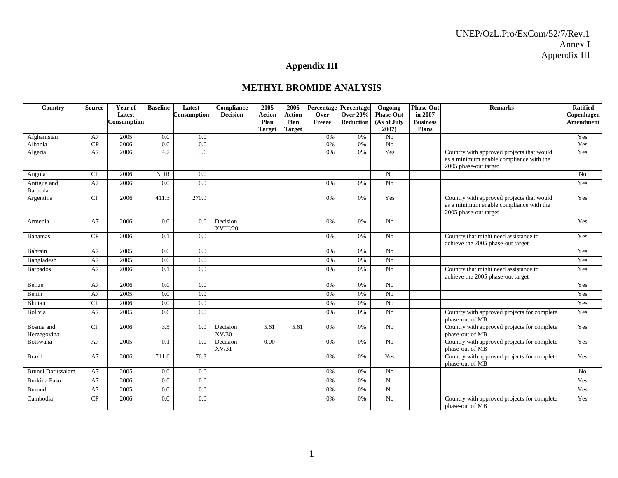# **Appendix III**

### **METHYL BROMIDE ANALYSIS**

| Country                       | <b>Source</b> | Year of            | <b>Baseline</b> | Latest           | Compliance           | 2005                  | 2006                  |        | Percentage Percentage | Ongoing              | <b>Phase-Out</b>                | <b>Remarks</b>                                                                                                | <b>Ratified</b>  |
|-------------------------------|---------------|--------------------|-----------------|------------------|----------------------|-----------------------|-----------------------|--------|-----------------------|----------------------|---------------------------------|---------------------------------------------------------------------------------------------------------------|------------------|
|                               |               | Latest             |                 | Consumption      | <b>Decision</b>      | <b>Action</b>         | <b>Action</b>         | Over   | <b>Over 20%</b>       | <b>Phase-Out</b>     | in 2007                         |                                                                                                               | Copenhagen       |
|                               |               | <b>Consumption</b> |                 |                  |                      | Plan<br><b>Target</b> | Plan<br><b>Target</b> | Freeze | Reduction             | (As of July<br>2007) | <b>Business</b><br><b>Plans</b> |                                                                                                               | <b>Amendment</b> |
| Afghanistan                   | A7            | 2005               | 0.0             | 0.0              |                      |                       |                       | 0%     | 0%                    | N <sub>o</sub>       |                                 |                                                                                                               | Yes              |
| Albania                       | CP            | 2006               | 0.0             | 0.0              |                      |                       |                       | 0%     | 0%                    | No                   |                                 |                                                                                                               | Yes              |
| Algeria                       | A7            | 2006               | 4.7             | $\overline{3.6}$ |                      |                       |                       | 0%     | 0%                    | Yes                  |                                 | Country with approved projects that would<br>as a minimum enable compliance with the<br>2005 phase-out target | Yes              |
| Angola                        | CP            | 2006               | <b>NDR</b>      | 0.0              |                      |                       |                       |        |                       | N <sub>o</sub>       |                                 |                                                                                                               | N <sub>o</sub>   |
| Antigua and<br><b>Barbuda</b> | A7            | 2006               | 0.0             | 0.0              |                      |                       |                       | 0%     | 0%                    | No                   |                                 |                                                                                                               | Yes              |
| Argentina                     | CP            | 2006               | 411.3           | 270.9            |                      |                       |                       | 0%     | 0%                    | Yes                  |                                 | Country with approved projects that would<br>as a minimum enable compliance with the<br>2005 phase-out target | Yes              |
| Armenia                       | A7            | 2006               | 0.0             | 0.0              | Decision<br>XVIII/20 |                       |                       | 0%     | 0%                    | No                   |                                 |                                                                                                               | Yes              |
| <b>Bahamas</b>                | CP            | 2006               | 0.1             | 0.0              |                      |                       |                       | 0%     | 0%                    | No                   |                                 | Country that might need assistance to<br>achieve the 2005 phase-out target                                    | Yes              |
| Bahrain                       | A7            | 2005               | 0.0             | 0.0              |                      |                       |                       | 0%     | 0%                    | N <sub>o</sub>       |                                 |                                                                                                               | Yes              |
| Bangladesh                    | A7            | 2005               | 0.0             | 0.0              |                      |                       |                       | 0%     | 0%                    | <b>No</b>            |                                 |                                                                                                               | Yes              |
| <b>Barbados</b>               | A7            | 2006               | 0.1             | 0.0              |                      |                       |                       | 0%     | 0%                    | No                   |                                 | Country that might need assistance to<br>achieve the 2005 phase-out target                                    | Yes              |
| Belize                        | A7            | 2006               | 0.0             | 0.0              |                      |                       |                       | 0%     | 0%                    | N <sub>0</sub>       |                                 |                                                                                                               | Yes              |
| Benin                         | A7            | 2005               | 0.0             | 0.0              |                      |                       |                       | 0%     | 0%                    | No                   |                                 |                                                                                                               | Yes              |
| Bhutan                        | CP            | 2006               | 0.0             | 0.0              |                      |                       |                       | 0%     | 0%                    | No                   |                                 |                                                                                                               | Yes              |
| Bolivia                       | A7            | 2005               | 0.6             | 0.0              |                      |                       |                       | 0%     | 0%                    | N <sub>o</sub>       |                                 | Country with approved projects for complete<br>phase-out of MB                                                | Yes              |
| Bosnia and<br>Herzegovina     | CP            | 2006               | 3.5             | 0.0              | Decision<br>XV/30    | 5.61                  | 5.61                  | 0%     | 0%                    | No                   |                                 | Country with approved projects for complete<br>phase-out of MB                                                | Yes              |
| <b>Botswana</b>               | A7            | 2005               | 0.1             | 0.0              | Decision<br>XV/31    | 0.00                  |                       | 0%     | 0%                    | No                   |                                 | Country with approved projects for complete<br>phase-out of MB                                                | Yes              |
| <b>Brazil</b>                 | A7            | 2006               | 711.6           | 76.8             |                      |                       |                       | 0%     | 0%                    | Yes                  |                                 | Country with approved projects for complete<br>phase-out of MB                                                | Yes              |
| <b>Brunei Darussalam</b>      | A7            | 2005               | 0.0             | 0.0              |                      |                       |                       | 0%     | 0%                    | N <sub>0</sub>       |                                 |                                                                                                               | No               |
| <b>Burkina Faso</b>           | A7            | 2006               | 0.0             | 0.0              |                      |                       |                       | 0%     | 0%                    | No                   |                                 |                                                                                                               | Yes              |
| Burundi                       | A7            | 2005               | 0.0             | 0.0              |                      |                       |                       | 0%     | 0%                    | No                   |                                 |                                                                                                               | Yes              |
| Cambodia                      | CP            | 2006               | 0.0             | 0.0              |                      |                       |                       | 0%     | 0%                    | No                   |                                 | Country with approved projects for complete<br>phase-out of MB                                                | Yes              |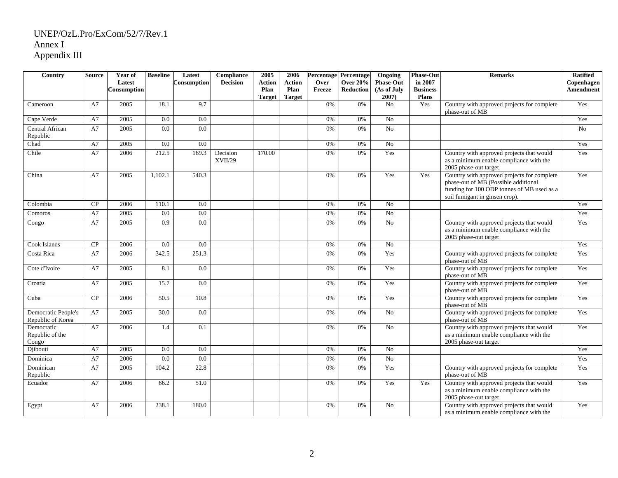| Country                                  | <b>Source</b> | Year of<br>Latest<br><b>Consumption</b> | <b>Baseline</b> | Latest<br>Consumption | Compliance<br><b>Decision</b> | 2005<br><b>Action</b><br>Plan<br><b>Target</b> | 2006<br><b>Action</b><br>Plan<br><b>Target</b> | Over<br>Freeze | Percentage Percentage<br><b>Over 20%</b><br>Reduction | Ongoing<br><b>Phase-Out</b><br>(As of July<br>2007) | <b>Phase-Out</b><br>in 2007<br><b>Business</b><br><b>Plans</b> | <b>Remarks</b>                                                                                                                                                      | <b>Ratified</b><br>Copenhagen<br>Amendment |
|------------------------------------------|---------------|-----------------------------------------|-----------------|-----------------------|-------------------------------|------------------------------------------------|------------------------------------------------|----------------|-------------------------------------------------------|-----------------------------------------------------|----------------------------------------------------------------|---------------------------------------------------------------------------------------------------------------------------------------------------------------------|--------------------------------------------|
| Cameroon                                 | A7            | 2005                                    | 18.1            | 9.7                   |                               |                                                |                                                | 0%             | $0\%$                                                 | No                                                  | Yes                                                            | Country with approved projects for complete<br>phase-out of MB                                                                                                      | Yes                                        |
| Cape Verde                               | A7            | 2005                                    | 0.0             | $\overline{0.0}$      |                               |                                                |                                                | 0%             | 0%                                                    | $\overline{No}$                                     |                                                                |                                                                                                                                                                     | Yes                                        |
| Central African<br>Republic              | A7            | 2005                                    | 0.0             | $\overline{0.0}$      |                               |                                                |                                                | 0%             | 0%                                                    | $\overline{No}$                                     |                                                                |                                                                                                                                                                     | No                                         |
| Chad                                     | A7            | 2005                                    | 0.0             | 0.0                   |                               |                                                |                                                | 0%             | 0%                                                    | No                                                  |                                                                |                                                                                                                                                                     | Yes                                        |
| Chile                                    | A7            | 2006                                    | 212.5           | 169.3                 | Decision<br>XVII/29           | 170.00                                         |                                                | 0%             | 0%                                                    | Yes                                                 |                                                                | Country with approved projects that would<br>as a minimum enable compliance with the<br>2005 phase-out target                                                       | Yes                                        |
| China                                    | A7            | 2005                                    | 1,102.1         | 540.3                 |                               |                                                |                                                | 0%             | 0%                                                    | Yes                                                 | Yes                                                            | Country with approved projects for complete<br>phase-out of MB (Possible additional<br>funding for 100 ODP tonnes of MB used as a<br>soil fumigant in ginsen crop). | Yes                                        |
| Colombia                                 | CP            | 2006                                    | 110.1           | 0.0                   |                               |                                                |                                                | 0%             | 0%                                                    | No                                                  |                                                                |                                                                                                                                                                     | Yes                                        |
| Comoros                                  | A7            | 2005                                    | 0.0             | $\overline{0.0}$      |                               |                                                |                                                | 0%             | 0%                                                    | $\overline{No}$                                     |                                                                |                                                                                                                                                                     | Yes                                        |
| Congo                                    | A7            | 2005                                    | 0.9             | 0.0                   |                               |                                                |                                                | 0%             | 0%                                                    | N <sub>o</sub>                                      |                                                                | Country with approved projects that would<br>as a minimum enable compliance with the<br>2005 phase-out target                                                       | Yes                                        |
| Cook Islands                             | CP            | 2006                                    | 0.0             | 0.0                   |                               |                                                |                                                | 0%             | 0%                                                    | No                                                  |                                                                |                                                                                                                                                                     | Yes                                        |
| Costa Rica                               | A7            | 2006                                    | 342.5           | 251.3                 |                               |                                                |                                                | 0%             | $0\%$                                                 | Yes                                                 |                                                                | Country with approved projects for complete<br>phase-out of MB                                                                                                      | Yes                                        |
| Cote d'Ivoire                            | A7            | 2005                                    | 8.1             | 0.0                   |                               |                                                |                                                | 0%             | 0%                                                    | Yes                                                 |                                                                | Country with approved projects for complete<br>phase-out of MB                                                                                                      | Yes                                        |
| Croatia                                  | A7            | 2005                                    | 15.7            | 0.0                   |                               |                                                |                                                | 0%             | 0%                                                    | Yes                                                 |                                                                | Country with approved projects for complete<br>phase-out of MB                                                                                                      | Yes                                        |
| Cuba                                     | CP            | 2006                                    | 50.5            | 10.8                  |                               |                                                |                                                | 0%             | 0%                                                    | Yes                                                 |                                                                | Country with approved projects for complete<br>phase-out of MB                                                                                                      | Yes                                        |
| Democratic People's<br>Republic of Korea | A7            | 2005                                    | 30.0            | 0.0                   |                               |                                                |                                                | 0%             | 0%                                                    | N <sub>o</sub>                                      |                                                                | Country with approved projects for complete<br>phase-out of MB                                                                                                      | Yes                                        |
| Democratic<br>Republic of the<br>Congo   | A7            | 2006                                    | 1.4             | 0.1                   |                               |                                                |                                                | 0%             | 0%                                                    | N <sub>o</sub>                                      |                                                                | Country with approved projects that would<br>as a minimum enable compliance with the<br>2005 phase-out target                                                       | Yes                                        |
| Djibouti                                 | A7            | 2005                                    | 0.0             | 0.0                   |                               |                                                |                                                | 0%             | 0%                                                    | No                                                  |                                                                |                                                                                                                                                                     | Yes                                        |
| Dominica                                 | A7            | 2006                                    | 0.0             | 0.0                   |                               |                                                |                                                | 0%             | $0\%$                                                 | No                                                  |                                                                |                                                                                                                                                                     | Yes                                        |
| Dominican<br>Republic                    | A7            | 2005                                    | 104.2           | 22.8                  |                               |                                                |                                                | 0%             | 0%                                                    | Yes                                                 |                                                                | Country with approved projects for complete<br>phase-out of MB                                                                                                      | Yes                                        |
| Ecuador                                  | A7            | 2006                                    | 66.2            | 51.0                  |                               |                                                |                                                | 0%             | 0%                                                    | Yes                                                 | Yes                                                            | Country with approved projects that would<br>as a minimum enable compliance with the<br>2005 phase-out target                                                       | Yes                                        |
| Egypt                                    | A7            | 2006                                    | 238.1           | 180.0                 |                               |                                                |                                                | 0%             | 0%                                                    | No                                                  |                                                                | Country with approved projects that would<br>as a minimum enable compliance with the                                                                                | Yes                                        |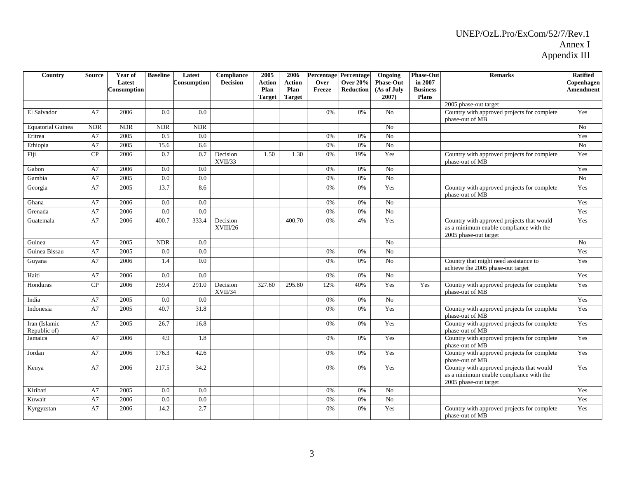| Country                       | <b>Source</b> | Year of<br>Latest<br>Consumption | <b>Baseline</b> | Latest<br>Consumption | Compliance<br><b>Decision</b> | 2005<br><b>Action</b><br>Plan<br><b>Target</b> | 2006<br><b>Action</b><br>Plan<br><b>Target</b> | Over<br>Freeze | <b>Percentage Percentage</b><br><b>Over 20%</b><br><b>Reduction</b> | Ongoing<br><b>Phase-Out</b><br>(As of July<br>$2007$ ) | <b>Phase-Out</b><br>in 2007<br><b>Business</b><br><b>Plans</b> | <b>Remarks</b>                                                                                                | <b>Ratified</b><br>Copenhagen<br><b>Amendment</b> |
|-------------------------------|---------------|----------------------------------|-----------------|-----------------------|-------------------------------|------------------------------------------------|------------------------------------------------|----------------|---------------------------------------------------------------------|--------------------------------------------------------|----------------------------------------------------------------|---------------------------------------------------------------------------------------------------------------|---------------------------------------------------|
|                               |               |                                  |                 |                       |                               |                                                |                                                |                |                                                                     |                                                        |                                                                | $\overline{2005}$ phase-out target                                                                            |                                                   |
| El Salvador                   | A7            | 2006                             | 0.0             | 0.0                   |                               |                                                |                                                | 0%             | 0%                                                                  | No                                                     |                                                                | Country with approved projects for complete<br>phase-out of MB                                                | Yes                                               |
| <b>Equatorial Guinea</b>      | <b>NDR</b>    | <b>NDR</b>                       | <b>NDR</b>      | <b>NDR</b>            |                               |                                                |                                                |                |                                                                     | N <sub>0</sub>                                         |                                                                |                                                                                                               | N <sub>o</sub>                                    |
| Eritrea                       | A7            | 2005                             | 0.5             | $0.0\,$               |                               |                                                |                                                | 0%             | 0%                                                                  | N <sub>o</sub>                                         |                                                                |                                                                                                               | Yes                                               |
| Ethiopia                      | A7            | 2005                             | 15.6            | 6.6                   |                               |                                                |                                                | 0%             | 0%                                                                  | N <sub>o</sub>                                         |                                                                |                                                                                                               | No                                                |
| Fiji                          | CP            | 2006                             | 0.7             | 0.7                   | Decision<br>XVII/33           | 1.50                                           | 1.30                                           | 0%             | 19%                                                                 | Yes                                                    |                                                                | Country with approved projects for complete<br>phase-out of MB                                                | Yes                                               |
| Gabon                         | A7            | 2006                             | 0.0             | 0.0                   |                               |                                                |                                                | 0%             | 0%                                                                  | No                                                     |                                                                |                                                                                                               | Yes                                               |
| Gambia                        | A7            | 2005                             | $0.0\,$         | $0.0\,$               |                               |                                                |                                                | 0%             | 0%                                                                  | No                                                     |                                                                |                                                                                                               | No                                                |
| Georgia                       | A7            | 2005                             | 13.7            | 8.6                   |                               |                                                |                                                | 0%             | 0%                                                                  | Yes                                                    |                                                                | Country with approved projects for complete<br>phase-out of MB                                                | Yes                                               |
| Ghana                         | A7            | 2006                             | 0.0             | 0.0                   |                               |                                                |                                                | 0%             | 0%                                                                  | N <sub>0</sub>                                         |                                                                |                                                                                                               | Yes                                               |
| Grenada                       | A7            | 2006                             | 0.0             | 0.0                   |                               |                                                |                                                | 0%             | 0%                                                                  | N <sub>o</sub>                                         |                                                                |                                                                                                               | Yes                                               |
| Guatemala                     | A7            | 2006                             | 400.7           | 333.4                 | Decision<br>XVIII/26          |                                                | 400.70                                         | 0%             | 4%                                                                  | Yes                                                    |                                                                | Country with approved projects that would<br>as a minimum enable compliance with the<br>2005 phase-out target | Yes                                               |
| Guinea                        | A7            | 2005                             | <b>NDR</b>      | 0.0                   |                               |                                                |                                                |                |                                                                     | N <sub>o</sub>                                         |                                                                |                                                                                                               | No                                                |
| Guinea Bissau                 | A7            | 2005                             | 0.0             | 0.0                   |                               |                                                |                                                | 0%             | 0%                                                                  | $\overline{No}$                                        |                                                                |                                                                                                               | Yes                                               |
| Guyana                        | A7            | 2006                             | 1.4             | 0.0                   |                               |                                                |                                                | 0%             | 0%                                                                  | N <sub>o</sub>                                         |                                                                | Country that might need assistance to<br>achieve the 2005 phase-out target                                    | Yes                                               |
| Haiti                         | A7            | 2006                             | 0.0             | 0.0                   |                               |                                                |                                                | 0%             | 0%                                                                  | N <sub>o</sub>                                         |                                                                |                                                                                                               | Yes                                               |
| Honduras                      | CP            | 2006                             | 259.4           | 291.0                 | Decision<br>XVII/34           | 327.60                                         | 295.80                                         | 12%            | 40%                                                                 | Yes                                                    | Yes                                                            | Country with approved projects for complete<br>phase-out of MB                                                | Yes                                               |
| India                         | A7            | 2005                             | $0.0\,$         | 0.0                   |                               |                                                |                                                | 0%             | 0%                                                                  | N <sub>o</sub>                                         |                                                                |                                                                                                               | Yes                                               |
| Indonesia                     | A7            | 2005                             | 40.7            | 31.8                  |                               |                                                |                                                | 0%             | 0%                                                                  | Yes                                                    |                                                                | Country with approved projects for complete<br>phase-out of MB                                                | Yes                                               |
| Iran (Islamic<br>Republic of) | A7            | 2005                             | 26.7            | 16.8                  |                               |                                                |                                                | 0%             | 0%                                                                  | Yes                                                    |                                                                | Country with approved projects for complete<br>phase-out of MB                                                | Yes                                               |
| Jamaica                       | A7            | 2006                             | 4.9             | 1.8                   |                               |                                                |                                                | 0%             | 0%                                                                  | Yes                                                    |                                                                | Country with approved projects for complete<br>phase-out of MB                                                | Yes                                               |
| Jordan                        | A7            | 2006                             | 176.3           | 42.6                  |                               |                                                |                                                | 0%             | 0%                                                                  | Yes                                                    |                                                                | Country with approved projects for complete<br>phase-out of MB                                                | Yes                                               |
| Kenya                         | A7            | 2006                             | 217.5           | 34.2                  |                               |                                                |                                                | 0%             | 0%                                                                  | Yes                                                    |                                                                | Country with approved projects that would<br>as a minimum enable compliance with the<br>2005 phase-out target | Yes                                               |
| Kiribati                      | A7            | 2005                             | 0.0             | 0.0                   |                               |                                                |                                                | 0%             | 0%                                                                  | N <sub>o</sub>                                         |                                                                |                                                                                                               | Yes                                               |
| Kuwait                        | A7            | 2006                             | 0.0             | 0.0                   |                               |                                                |                                                | 0%             | 0%                                                                  | N <sub>o</sub>                                         |                                                                |                                                                                                               | Yes                                               |
| Kyrgyzstan                    | A7            | 2006                             | 14.2            | 2.7                   |                               |                                                |                                                | 0%             | 0%                                                                  | Yes                                                    |                                                                | Country with approved projects for complete<br>phase-out of MB                                                | Yes                                               |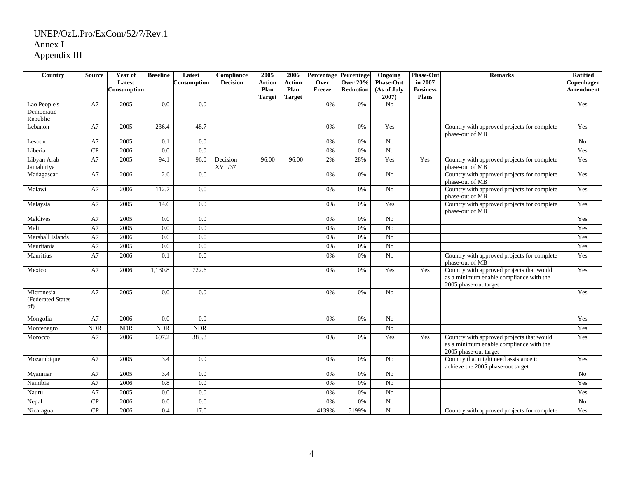| Country                                | <b>Source</b> | Year of     | <b>Baseline</b> | Latest      | Compliance          | 2005          | 2006          |        | <b>Percentage Percentage</b> | Ongoing          | <b>Phase-Out</b> | <b>Remarks</b>                                                                                                | <b>Ratified</b>  |
|----------------------------------------|---------------|-------------|-----------------|-------------|---------------------|---------------|---------------|--------|------------------------------|------------------|------------------|---------------------------------------------------------------------------------------------------------------|------------------|
|                                        |               | Latest      |                 | Consumption | <b>Decision</b>     | <b>Action</b> | <b>Action</b> | Over   | <b>Over 20%</b>              | <b>Phase-Out</b> | in 2007          |                                                                                                               | Copenhagen       |
|                                        |               | Consumption |                 |             |                     | Plan          | Plan          | Freeze | Reduction                    | (As of July      | <b>Business</b>  |                                                                                                               | <b>Amendment</b> |
|                                        |               |             |                 |             |                     | <b>Target</b> | <b>Target</b> |        |                              | 2007)            | <b>Plans</b>     |                                                                                                               |                  |
| Lao People's                           | A7            | 2005        | 0.0             | 0.0         |                     |               |               | 0%     | 0%                           | N <sub>o</sub>   |                  |                                                                                                               | Yes              |
| Democratic<br>Republic                 |               |             |                 |             |                     |               |               |        |                              |                  |                  |                                                                                                               |                  |
| Lebanon                                | A7            | 2005        | 236.4           | 48.7        |                     |               |               | 0%     | 0%                           | Yes              |                  | Country with approved projects for complete                                                                   | Yes              |
|                                        |               |             |                 |             |                     |               |               |        |                              |                  |                  | phase-out of MB                                                                                               |                  |
| Lesotho                                | A7            | 2005        | 0.1             | 0.0         |                     |               |               | 0%     | 0%                           | No               |                  |                                                                                                               | $\overline{N_0}$ |
| Liberia                                | CP            | 2006        | 0.0             | 0.0         |                     |               |               | 0%     | 0%                           | No               |                  |                                                                                                               | Yes              |
| Libyan Arab<br>Jamahiriya              | A7            | 2005        | 94.1            | 96.0        | Decision<br>XVII/37 | 96.00         | 96.00         | 2%     | 28%                          | Yes              | Yes              | Country with approved projects for complete<br>phase-out of MB                                                | Yes              |
| Madagascar                             | A7            | 2006        | 2.6             | 0.0         |                     |               |               | 0%     | 0%                           | No               |                  | Country with approved projects for complete<br>phase-out of MB                                                | Yes              |
| Malawi                                 | A7            | 2006        | 112.7           | 0.0         |                     |               |               | 0%     | 0%                           | No               |                  | Country with approved projects for complete<br>phase-out of MB                                                | Yes              |
| Malaysia                               | A7            | 2005        | 14.6            | 0.0         |                     |               |               | 0%     | 0%                           | Yes              |                  | Country with approved projects for complete<br>phase-out of MB                                                | Yes              |
| Maldives                               | A7            | 2005        | 0.0             | 0.0         |                     |               |               | 0%     | 0%                           | No               |                  |                                                                                                               | Yes              |
| Mali                                   | A7            | 2005        | 0.0             | 0.0         |                     |               |               | 0%     | 0%                           | No               |                  |                                                                                                               | Yes              |
| Marshall Islands                       | A7            | 2006        | 0.0             | 0.0         |                     |               |               | 0%     | 0%                           | No               |                  |                                                                                                               | Yes              |
| Mauritania                             | A7            | 2005        | 0.0             | 0.0         |                     |               |               | 0%     | 0%                           | No               |                  |                                                                                                               | Yes              |
| Mauritius                              | A7            | 2006        | 0.1             | 0.0         |                     |               |               | 0%     | 0%                           | No               |                  | Country with approved projects for complete<br>phase-out of MB                                                | Yes              |
| Mexico                                 | A7            | 2006        | 1,130.8         | 722.6       |                     |               |               | 0%     | 0%                           | Yes              | Yes              | Country with approved projects that would<br>as a minimum enable compliance with the<br>2005 phase-out target | Yes              |
| Micronesia<br>(Federated States<br>of) | A7            | 2005        | 0.0             | 0.0         |                     |               |               | 0%     | 0%                           | No               |                  |                                                                                                               | Yes              |
| Mongolia                               | A7            | 2006        | 0.0             | 0.0         |                     |               |               | 0%     | 0%                           | N <sub>o</sub>   |                  |                                                                                                               | Yes              |
| Montenegro                             | <b>NDR</b>    | <b>NDR</b>  | <b>NDR</b>      | <b>NDR</b>  |                     |               |               |        |                              | No               |                  |                                                                                                               | Yes              |
| Morocco                                | A7            | 2006        | 697.2           | 383.8       |                     |               |               | 0%     | 0%                           | Yes              | Yes              | Country with approved projects that would<br>as a minimum enable compliance with the<br>2005 phase-out target | Yes              |
| Mozambique                             | A7            | 2005        | 3.4             | 0.9         |                     |               |               | 0%     | 0%                           | No               |                  | Country that might need assistance to<br>achieve the 2005 phase-out target                                    | Yes              |
| Myanmar                                | A7            | 2005        | 3.4             | 0.0         |                     |               |               | 0%     | 0%                           | No               |                  |                                                                                                               | No               |
| Namibia                                | A7            | 2006        | 0.8             | 0.0         |                     |               |               | 0%     | 0%                           | No               |                  |                                                                                                               | Yes              |
| Nauru                                  | A7            | 2005        | 0.0             | 0.0         |                     |               |               | 0%     | 0%                           | No               |                  |                                                                                                               | Yes              |
| Nepal                                  | CP            | 2006        | 0.0             | 0.0         |                     |               |               | 0%     | 0%                           | No               |                  |                                                                                                               | No               |
| Nicaragua                              | CP            | 2006        | 0.4             | 17.0        |                     |               |               | 4139%  | 5199%                        | N <sub>o</sub>   |                  | Country with approved projects for complete                                                                   | Yes              |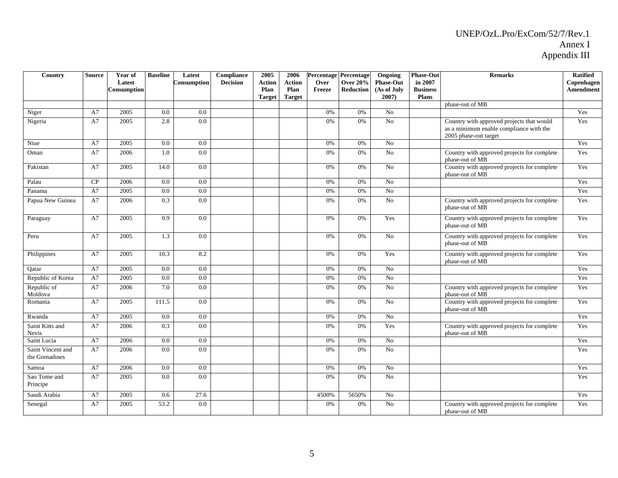| Country                             | <b>Source</b> | Year of<br>Latest<br>Consumption | <b>Baseline</b> | Latest<br>Consumption | Compliance<br><b>Decision</b> | 2005<br><b>Action</b><br>Plan<br><b>Target</b> | 2006<br><b>Action</b><br>Plan<br><b>Target</b> | Over<br>Freeze | Percentage Percentage<br><b>Over 20%</b><br><b>Reduction</b> | Ongoing<br><b>Phase-Out</b><br>(As of July<br>2007) | <b>Phase-Out</b><br>in 2007<br><b>Business</b><br><b>Plans</b> | <b>Remarks</b>                                                                                                | <b>Ratified</b><br>Copenhagen<br><b>Amendment</b> |
|-------------------------------------|---------------|----------------------------------|-----------------|-----------------------|-------------------------------|------------------------------------------------|------------------------------------------------|----------------|--------------------------------------------------------------|-----------------------------------------------------|----------------------------------------------------------------|---------------------------------------------------------------------------------------------------------------|---------------------------------------------------|
|                                     |               |                                  |                 |                       |                               |                                                |                                                |                |                                                              |                                                     |                                                                | phase-out of MB                                                                                               |                                                   |
| Niger                               | A7            | 2005                             | 0.0             | 0.0                   |                               |                                                |                                                | 0%             | 0%                                                           | N <sub>0</sub>                                      |                                                                |                                                                                                               | Yes                                               |
| Nigeria                             | A7            | 2005                             | 2.8             | 0.0                   |                               |                                                |                                                | 0%             | 0%                                                           | N <sub>o</sub>                                      |                                                                | Country with approved projects that would<br>as a minimum enable compliance with the<br>2005 phase-out target | Yes                                               |
| Niue                                | A7            | 2005                             | 0.0             | 0.0                   |                               |                                                |                                                | 0%             | 0%                                                           | N <sub>0</sub>                                      |                                                                |                                                                                                               | Yes                                               |
| Oman                                | A7            | 2006                             | 1.0             | 0.0                   |                               |                                                |                                                | 0%             | 0%                                                           | $\overline{N_0}$                                    |                                                                | Country with approved projects for complete<br>phase-out of MB                                                | Yes                                               |
| Pakistan                            | A7            | 2005                             | 14.0            | 0.0                   |                               |                                                |                                                | 0%             | 0%                                                           | N <sub>o</sub>                                      |                                                                | Country with approved projects for complete<br>phase-out of MB                                                | Yes                                               |
| Palau                               | CP            | 2006                             | 0.0             | 0.0                   |                               |                                                |                                                | 0%             | 0%                                                           | N <sub>o</sub>                                      |                                                                |                                                                                                               | Yes                                               |
| Panama                              | A7            | 2005                             | 0.0             | 0.0                   |                               |                                                |                                                | 0%             | 0%                                                           | N <sub>0</sub>                                      |                                                                |                                                                                                               | Yes                                               |
| Papua New Guinea                    | A7            | 2006                             | 0.3             | 0.0                   |                               |                                                |                                                | 0%             | 0%                                                           | N <sub>o</sub>                                      |                                                                | Country with approved projects for complete<br>phase-out of MB                                                | Yes                                               |
| Paraguay                            | A7            | 2005                             | 0.9             | 0.0                   |                               |                                                |                                                | 0%             | 0%                                                           | Yes                                                 |                                                                | Country with approved projects for complete<br>phase-out of MB                                                | Yes                                               |
| Peru                                | A7            | 2005                             | 1.3             | 0.0                   |                               |                                                |                                                | 0%             | 0%                                                           | N <sub>o</sub>                                      |                                                                | Country with approved projects for complete<br>phase-out of MB                                                | Yes                                               |
| Philippines                         | A7            | 2005                             | 10.3            | 8.2                   |                               |                                                |                                                | 0%             | 0%                                                           | Yes                                                 |                                                                | Country with approved projects for complete<br>phase-out of MB                                                | Yes                                               |
| Oatar                               | A7            | 2005                             | 0.0             | 0.0                   |                               |                                                |                                                | 0%             | 0%                                                           | N <sub>o</sub>                                      |                                                                |                                                                                                               | Yes                                               |
| Republic of Korea                   | A7            | 2005                             | 0.0             | 0.0                   |                               |                                                |                                                | 0%             | 0%                                                           | N <sub>o</sub>                                      |                                                                |                                                                                                               | Yes                                               |
| Republic of<br>Moldova              | A7            | 2006                             | 7.0             | 0.0                   |                               |                                                |                                                | 0%             | 0%                                                           | No                                                  |                                                                | Country with approved projects for complete<br>phase-out of MB                                                | Yes                                               |
| Romania                             | A7            | 2005                             | 111.5           | 0.0                   |                               |                                                |                                                | 0%             | 0%                                                           | N <sub>0</sub>                                      |                                                                | Country with approved projects for complete<br>phase-out of MB                                                | Yes                                               |
| Rwanda                              | A7            | 2005                             | 0.0             | 0.0                   |                               |                                                |                                                | 0%             | 0%                                                           | N <sub>o</sub>                                      |                                                                |                                                                                                               | Yes                                               |
| Saint Kitts and<br><b>Nevis</b>     | A7            | 2006                             | 0.3             | 0.0                   |                               |                                                |                                                | 0%             | 0%                                                           | Yes                                                 |                                                                | Country with approved projects for complete<br>phase-out of MB                                                | Yes                                               |
| Saint Lucia                         | A7            | 2006                             | 0.0             | 0.0                   |                               |                                                |                                                | 0%             | 0%                                                           | N <sub>0</sub>                                      |                                                                |                                                                                                               | Yes                                               |
| Saint Vincent and<br>the Grenadines | A7            | 2006                             | 0.0             | 0.0                   |                               |                                                |                                                | 0%             | 0%                                                           | N <sub>o</sub>                                      |                                                                |                                                                                                               | Yes                                               |
| Samoa                               | A7            | 2006                             | 0.0             | 0.0                   |                               |                                                |                                                | 0%             | 0%                                                           | N <sub>o</sub>                                      |                                                                |                                                                                                               | Yes                                               |
| Sao Tome and<br>Principe            | A7            | 2005                             | 0.0             | 0.0                   |                               |                                                |                                                | 0%             | 0%                                                           | No                                                  |                                                                |                                                                                                               | Yes                                               |
| Saudi Arabia                        | A7            | 2005                             | 0.6             | 27.6                  |                               |                                                |                                                | 4500%          | 5650%                                                        | N <sub>o</sub>                                      |                                                                |                                                                                                               | Yes                                               |
| Senegal                             | A7            | 2005                             | 53.2            | $\overline{0.0}$      |                               |                                                |                                                | 0%             | 0%                                                           | N <sub>o</sub>                                      |                                                                | Country with approved projects for complete<br>phase-out of MB                                                | Yes                                               |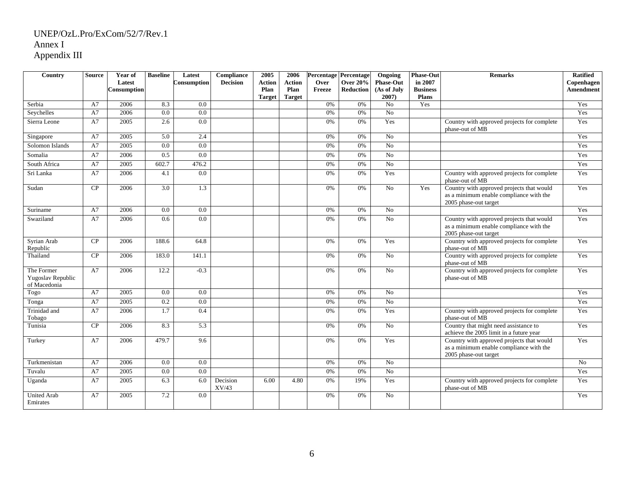| Country                                         | <b>Source</b> | Year of            | <b>Baseline</b>  | Latest           | Compliance        | 2005          | 2006          |        | <b>Percentage Percentage</b> | Ongoing              | <b>Phase-Out</b>    | <b>Remarks</b>                                                                                                | <b>Ratified</b>  |
|-------------------------------------------------|---------------|--------------------|------------------|------------------|-------------------|---------------|---------------|--------|------------------------------|----------------------|---------------------|---------------------------------------------------------------------------------------------------------------|------------------|
|                                                 |               | Latest             |                  | Consumption      | <b>Decision</b>   | <b>Action</b> | <b>Action</b> | Over   | <b>Over 20%</b>              | <b>Phase-Out</b>     | in 2007             |                                                                                                               | Copenhagen       |
|                                                 |               | <b>Consumption</b> |                  |                  |                   | Plan          | Plan          | Freeze | <b>Reduction</b>             | (As of July          | <b>Business</b>     |                                                                                                               | <b>Amendment</b> |
|                                                 | A7            |                    |                  | 0.0              |                   | <b>Target</b> | <b>Target</b> | 0%     |                              | 2007)                | <b>Plans</b><br>Yes |                                                                                                               | Yes              |
| Serbia<br>Seychelles                            | A7            | 2006<br>2006       | 8.3<br>0.0       | $\overline{0.0}$ |                   |               |               | 0%     | 0%<br>0%                     | N <sub>0</sub><br>No |                     |                                                                                                               | Yes              |
|                                                 |               |                    |                  |                  |                   |               |               |        |                              |                      |                     |                                                                                                               |                  |
| Sierra Leone                                    | A7            | 2005               | 2.6              | 0.0              |                   |               |               | 0%     | 0%                           | Yes                  |                     | Country with approved projects for complete<br>phase-out of MB                                                | Yes              |
| Singapore                                       | A7            | 2005               | 5.0              | 2.4              |                   |               |               | 0%     | 0%                           | No                   |                     |                                                                                                               | Yes              |
| Solomon Islands                                 | A7            | 2005               | 0.0              | 0.0              |                   |               |               | 0%     | 0%                           | No                   |                     |                                                                                                               | Yes              |
| Somalia                                         | A7            | 2006               | 0.5              | 0.0              |                   |               |               | 0%     | 0%                           | No                   |                     |                                                                                                               | Yes              |
| South Africa                                    | A7            | 2005               | 602.7            | 476.2            |                   |               |               | 0%     | 0%                           | No                   |                     |                                                                                                               | Yes              |
| Sri Lanka                                       | A7            | 2006               | 4.1              | 0.0              |                   |               |               | 0%     | 0%                           | Yes                  |                     | Country with approved projects for complete<br>phase-out of MB                                                | Yes              |
| Sudan                                           | CP            | 2006               | 3.0              | 1.3              |                   |               |               | 0%     | 0%                           | No                   | Yes                 | Country with approved projects that would<br>as a minimum enable compliance with the<br>2005 phase-out target | Yes              |
| Suriname                                        | A7            | 2006               | 0.0              | 0.0              |                   |               |               | 0%     | 0%                           | N <sub>o</sub>       |                     |                                                                                                               | Yes              |
| Swaziland                                       | A7            | 2006               | 0.6              | $\overline{0.0}$ |                   |               |               | 0%     | 0%                           | $\overline{No}$      |                     | Country with approved projects that would<br>as a minimum enable compliance with the<br>2005 phase-out target | Yes              |
| Syrian Arab<br>Republic                         | CP            | 2006               | 188.6            | 64.8             |                   |               |               | 0%     | 0%                           | Yes                  |                     | Country with approved projects for complete<br>phase-out of MB                                                | Yes              |
| Thailand                                        | CP            | 2006               | 183.0            | 141.1            |                   |               |               | 0%     | 0%                           | No                   |                     | Country with approved projects for complete<br>phase-out of MB                                                | Yes              |
| The Former<br>Yugoslav Republic<br>of Macedonia | A7            | 2006               | 12.2             | $-0.3$           |                   |               |               | 0%     | 0%                           | No                   |                     | Country with approved projects for complete<br>phase-out of MB                                                | Yes              |
| Togo                                            | A7            | 2005               | 0.0              | 0.0              |                   |               |               | 0%     | 0%                           | N <sub>0</sub>       |                     |                                                                                                               | Yes              |
| Tonga                                           | A7            | 2005               | 0.2              | 0.0              |                   |               |               | $0\%$  | 0%                           | No                   |                     |                                                                                                               | Yes              |
| Trinidad and<br>Tobago                          | A7            | 2006               | 1.7              | 0.4              |                   |               |               | 0%     | $0\%$                        | Yes                  |                     | Country with approved projects for complete<br>phase-out of MB                                                | Yes              |
| Tunisia                                         | CP            | 2006               | 8.3              | 5.3              |                   |               |               | 0%     | 0%                           | N <sub>0</sub>       |                     | Country that might need assistance to<br>achieve the 2005 limit in a future year                              | Yes              |
| Turkey                                          | A7            | 2006               | 479.7            | 9.6              |                   |               |               | 0%     | 0%                           | Yes                  |                     | Country with approved projects that would<br>as a minimum enable compliance with the<br>2005 phase-out target | Yes              |
| Turkmenistan                                    | A7            | 2006               | $\overline{0.0}$ | 0.0              |                   |               |               | 0%     | 0%                           | No                   |                     |                                                                                                               | No               |
| Tuvalu                                          | A7            | 2005               | 0.0              | 0.0              |                   |               |               | $0\%$  | 0%                           | No                   |                     |                                                                                                               | Yes              |
| Uganda                                          | A7            | 2005               | 6.3              | 6.0              | Decision<br>XV/43 | 6.00          | 4.80          | $0\%$  | 19%                          | Yes                  |                     | Country with approved projects for complete<br>phase-out of MB                                                | Yes              |
| <b>United Arab</b><br>Emirates                  | A7            | 2005               | 7.2              | 0.0              |                   |               |               | 0%     | 0%                           | No                   |                     |                                                                                                               | Yes              |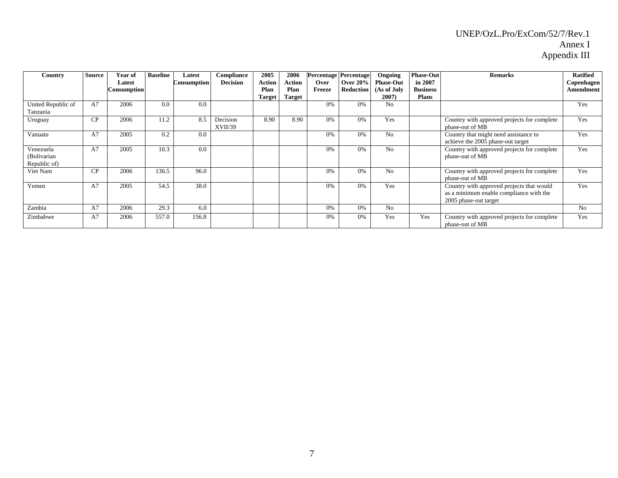| Country                                  | <b>Source</b> | Year of<br>Latest<br>Consumption | <b>Baseline</b> | Latest<br>Consumption | Compliance<br><b>Decision</b> | 2005<br><b>Action</b><br>Plan<br><b>Target</b> | 2006<br>Action<br>Plan<br>Target | <b>Percentage Percentage</b><br>Over<br>Freeze | Over $20\%$<br>Reduction | Ongoing<br><b>Phase-Out</b><br>(As of July<br>2007) | <b>Phase-Out</b><br>in 2007<br><b>Business</b><br><b>Plans</b> | <b>Remarks</b>                                                                                                | <b>Ratified</b><br>Copenhagen<br><b>Amendment</b> |
|------------------------------------------|---------------|----------------------------------|-----------------|-----------------------|-------------------------------|------------------------------------------------|----------------------------------|------------------------------------------------|--------------------------|-----------------------------------------------------|----------------------------------------------------------------|---------------------------------------------------------------------------------------------------------------|---------------------------------------------------|
| United Republic of<br>Tanzania           | A7            | 2006                             | 0.0             | 0.0                   |                               |                                                |                                  | 0%                                             | 0%                       | No                                                  |                                                                |                                                                                                               | Yes                                               |
| Uruguay                                  | CP            | 2006                             | 11.2            | 8.5                   | Decision<br>XVII/39           | 8.90                                           | 8.90                             | 0%                                             | 0%                       | Yes                                                 |                                                                | Country with approved projects for complete<br>phase-out of MB                                                | Yes                                               |
| Vanuatu                                  | A7            | 2005                             | 0.2             | 0.0                   |                               |                                                |                                  | 0%                                             | 0%                       | No                                                  |                                                                | Country that might need assistance to<br>achieve the 2005 phase-out target                                    | Yes                                               |
| Venezuela<br>(Bolivarian<br>Republic of) | A7            | 2005                             | 10.3            | 0.0                   |                               |                                                |                                  | 0%                                             | 0%                       | N <sub>0</sub>                                      |                                                                | Country with approved projects for complete<br>phase-out of MB                                                | Yes                                               |
| Viet Nam                                 | CP            | 2006                             | 136.5           | 96.0                  |                               |                                                |                                  | 0%                                             | 0%                       | N <sub>o</sub>                                      |                                                                | Country with approved projects for complete<br>phase-out of MB                                                | Yes                                               |
| Yemen                                    | A7            | 2005                             | 54.5            | 38.0                  |                               |                                                |                                  | 0%                                             | 0%                       | Yes                                                 |                                                                | Country with approved projects that would<br>as a minimum enable compliance with the<br>2005 phase-out target | Yes                                               |
| Zambia                                   | A7            | 2006                             | 29.3            | 6.0                   |                               |                                                |                                  | 0%                                             | 0%                       | N <sub>o</sub>                                      |                                                                |                                                                                                               | No                                                |
| Zimbabwe                                 | A7            | 2006                             | 557.0           | 156.8                 |                               |                                                |                                  | 0%                                             | 0%                       | Yes                                                 | Yes                                                            | Country with approved projects for complete<br>phase-out of MB                                                | Yes                                               |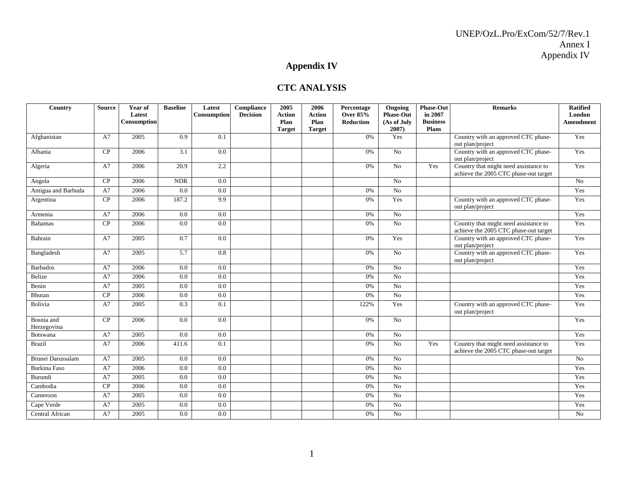# **Appendix IV**

### **CTC ANALYSIS**

| Country                   | <b>Source</b> | Year of<br>Latest<br>Consumption | <b>Baseline</b> | Latest<br>Consumption | Compliance<br><b>Decision</b> | 2005<br><b>Action</b><br>Plan<br><b>Target</b> | 2006<br><b>Action</b><br>Plan<br><b>Target</b> | Percentage<br>Over 85%<br><b>Reduction</b> | Ongoing<br><b>Phase-Out</b><br>(As of July<br>2007) | <b>Phase-Out</b><br>in 2007<br><b>Business</b><br><b>Plans</b> | <b>Remarks</b>                                                                 | <b>Ratified</b><br><b>London</b><br><b>Amendment</b> |
|---------------------------|---------------|----------------------------------|-----------------|-----------------------|-------------------------------|------------------------------------------------|------------------------------------------------|--------------------------------------------|-----------------------------------------------------|----------------------------------------------------------------|--------------------------------------------------------------------------------|------------------------------------------------------|
| Afghanistan               | A7            | 2005                             | 0.9             | $\overline{0.1}$      |                               |                                                |                                                | 0%                                         | Yes                                                 |                                                                | Country with an approved CTC phase-<br>out plan/project                        | Yes                                                  |
| Albania                   | CP            | 2006                             | 3.1             | 0.0                   |                               |                                                |                                                | 0%                                         | No                                                  |                                                                | Country with an approved CTC phase-<br>out plan/project                        | Yes                                                  |
| Algeria                   | A7            | 2006                             | 20.9            | 2.2                   |                               |                                                |                                                | 0%                                         | No                                                  | Yes                                                            | Country that might need assistance to<br>achieve the 2005 CTC phase-out target | Yes                                                  |
| Angola                    | CP            | 2006                             | <b>NDR</b>      | 0.0                   |                               |                                                |                                                |                                            | No                                                  |                                                                |                                                                                | $\overline{No}$                                      |
| Antigua and Barbuda       | A7            | 2006                             | 0.0             | 0.0                   |                               |                                                |                                                | 0%                                         | $\overline{No}$                                     |                                                                |                                                                                | Yes                                                  |
| Argentina                 | CP            | 2006                             | 187.2           | 9.9                   |                               |                                                |                                                | 0%                                         | Yes                                                 |                                                                | Country with an approved CTC phase-<br>out plan/project                        | Yes                                                  |
| Armenia                   | A7            | 2006                             | 0.0             | 0.0                   |                               |                                                |                                                | 0%                                         | No                                                  |                                                                |                                                                                | Yes                                                  |
| <b>Bahamas</b>            | CP            | 2006                             | 0.0             | 0.0                   |                               |                                                |                                                | 0%                                         | No                                                  |                                                                | Country that might need assistance to<br>achieve the 2005 CTC phase-out target | Yes                                                  |
| Bahrain                   | A7            | 2005                             | 0.7             | 0.0                   |                               |                                                |                                                | 0%                                         | Yes                                                 |                                                                | Country with an approved CTC phase-<br>out plan/project                        | Yes                                                  |
| Bangladesh                | A7            | 2005                             | 5.7             | 0.8                   |                               |                                                |                                                | 0%                                         | No                                                  |                                                                | Country with an approved CTC phase-<br>out plan/project                        | Yes                                                  |
| <b>Barbados</b>           | A7            | 2006                             | 0.0             | 0.0                   |                               |                                                |                                                | 0%                                         | No                                                  |                                                                |                                                                                | Yes                                                  |
| Belize                    | A7            | 2006                             | 0.0             | 0.0                   |                               |                                                |                                                | 0%                                         | $\overline{No}$                                     |                                                                |                                                                                | Yes                                                  |
| Benin                     | A7            | 2005                             | 0.0             | 0.0                   |                               |                                                |                                                | 0%                                         | No                                                  |                                                                |                                                                                | Yes                                                  |
| Bhutan                    | CP            | 2006                             | 0.0             | 0.0                   |                               |                                                |                                                | 0%                                         | No                                                  |                                                                |                                                                                | Yes                                                  |
| Bolivia                   | A7            | 2005                             | 0.3             | 0.1                   |                               |                                                |                                                | 122%                                       | Yes                                                 |                                                                | Country with an approved CTC phase-<br>out plan/project                        | Yes                                                  |
| Bosnia and<br>Herzegovina | CP            | 2006                             | $0.0\,$         | 0.0                   |                               |                                                |                                                | 0%                                         | No                                                  |                                                                |                                                                                | Yes                                                  |
| Botswana                  | A7            | 2005                             | 0.0             | 0.0                   |                               |                                                |                                                | 0%                                         | $\overline{N_0}$                                    |                                                                |                                                                                | Yes                                                  |
| <b>Brazil</b>             | A7            | 2006                             | 411.6           | 0.1                   |                               |                                                |                                                | 0%                                         | No                                                  | Yes                                                            | Country that might need assistance to<br>achieve the 2005 CTC phase-out target | Yes                                                  |
| Brunei Darussalam         | A7            | 2005                             | 0.0             | 0.0                   |                               |                                                |                                                | 0%                                         | No                                                  |                                                                |                                                                                | $\overline{No}$                                      |
| <b>Burkina Faso</b>       | A7            | 2006                             | 0.0             | 0.0                   |                               |                                                |                                                | 0%                                         | $\overline{No}$                                     |                                                                |                                                                                | Yes                                                  |
| Burundi                   | A7            | 2005                             | 0.0             | 0.0                   |                               |                                                |                                                | 0%                                         | No                                                  |                                                                |                                                                                | Yes                                                  |
| Cambodia                  | CP            | 2006                             | 0.0             | $\overline{0.0}$      |                               |                                                |                                                | 0%                                         | No                                                  |                                                                |                                                                                | Yes                                                  |
| Cameroon                  | A7            | 2005                             | 0.0             | 0.0                   |                               |                                                |                                                | 0%                                         | No                                                  |                                                                |                                                                                | Yes                                                  |
| Cape Verde                | A7            | 2005                             | 0.0             | $0.0\,$               |                               |                                                |                                                | 0%                                         | No                                                  |                                                                |                                                                                | Yes                                                  |
| Central African           | A7            | 2005                             | 0.0             | $0.0\,$               |                               |                                                |                                                | $0\%$                                      | $\rm No$                                            |                                                                |                                                                                | $\overline{No}$                                      |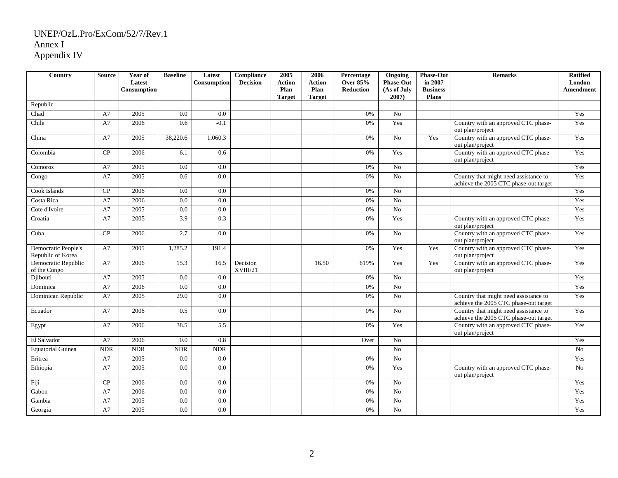| Country                                  | <b>Source</b>               | Year of<br>Latest<br><b>Consumption</b> | <b>Baseline</b>  | Latest<br>Consumption | Compliance<br><b>Decision</b> | 2005<br><b>Action</b><br>Plan<br><b>Target</b> | 2006<br><b>Action</b><br>Plan<br><b>Target</b> | Percentage<br><b>Over 85%</b><br><b>Reduction</b> | Ongoing<br><b>Phase-Out</b><br>(As of July<br>$2007$ ) | <b>Phase-Out</b><br>in 2007<br><b>Business</b><br><b>Plans</b> | <b>Remarks</b>                                                                 | <b>Ratified</b><br>London<br>Amendment |
|------------------------------------------|-----------------------------|-----------------------------------------|------------------|-----------------------|-------------------------------|------------------------------------------------|------------------------------------------------|---------------------------------------------------|--------------------------------------------------------|----------------------------------------------------------------|--------------------------------------------------------------------------------|----------------------------------------|
| Republic                                 |                             |                                         |                  |                       |                               |                                                |                                                |                                                   |                                                        |                                                                |                                                                                |                                        |
| Chad                                     | A7                          | 2005                                    | 0.0              | 0.0                   |                               |                                                |                                                | 0%                                                | No                                                     |                                                                |                                                                                | Yes                                    |
| Chile                                    | A7                          | 2006                                    | 0.6              | $-0.1$                |                               |                                                |                                                | 0%                                                | Yes                                                    |                                                                | Country with an approved CTC phase-<br>out plan/project                        | Yes                                    |
| China                                    | A7                          | 2005                                    | 38,220.6         | 1,060.3               |                               |                                                |                                                | 0%                                                | No                                                     | Yes                                                            | Country with an approved CTC phase-<br>out plan/project                        | Yes                                    |
| Colombia                                 | CP                          | 2006                                    | 6.1              | 0.6                   |                               |                                                |                                                | 0%                                                | Yes                                                    |                                                                | Country with an approved CTC phase-<br>out plan/project                        | Yes                                    |
| Comoros                                  | A7                          | 2005                                    | $0.0\,$          | 0.0                   |                               |                                                |                                                | $0\%$                                             | No                                                     |                                                                |                                                                                | Yes                                    |
| Congo                                    | A7                          | 2005                                    | 0.6              | 0.0                   |                               |                                                |                                                | 0%                                                | No                                                     |                                                                | Country that might need assistance to<br>achieve the 2005 CTC phase-out target | Yes                                    |
| Cook Islands                             | CP                          | 2006                                    | 0.0              | 0.0                   |                               |                                                |                                                | 0%                                                | N <sub>0</sub>                                         |                                                                |                                                                                | Yes                                    |
| Costa Rica                               | A7                          | 2006                                    | 0.0              | 0.0                   |                               |                                                |                                                | 0%                                                | $\overline{No}$                                        |                                                                |                                                                                | Yes                                    |
| Cote d'Ivoire                            | A7                          | 2005                                    | 0.0              | 0.0                   |                               |                                                |                                                | 0%                                                | No                                                     |                                                                |                                                                                | Yes                                    |
| Croatia                                  | A7                          | 2005                                    | $\overline{3.9}$ | 0.3                   |                               |                                                |                                                | 0%                                                | Yes                                                    |                                                                | Country with an approved CTC phase-<br>out plan/project                        | Yes                                    |
| Cuba                                     | CP                          | 2006                                    | 2.7              | 0.0                   |                               |                                                |                                                | 0%                                                | No                                                     |                                                                | Country with an approved CTC phase-<br>out plan/project                        | Yes                                    |
| Democratic People's<br>Republic of Korea | A7                          | 2005                                    | 1,285.2          | 191.4                 |                               |                                                |                                                | 0%                                                | Yes                                                    | Yes                                                            | Country with an approved CTC phase-<br>out plan/project                        | Yes                                    |
| Democratic Republic<br>of the Congo      | A7                          | 2006                                    | 15.3             | 16.5                  | Decision<br>XVIII/21          |                                                | 16.50                                          | 619%                                              | Yes                                                    | Yes                                                            | Country with an approved CTC phase-<br>out plan/project                        | Yes                                    |
| Djibouti                                 | A7                          | 2005                                    | 0.0              | $\overline{0.0}$      |                               |                                                |                                                | 0%                                                | $\overline{N_0}$                                       |                                                                |                                                                                | Yes                                    |
| Dominica                                 | A7                          | 2006                                    | 0.0              | 0.0                   |                               |                                                |                                                | 0%                                                | No                                                     |                                                                |                                                                                | Yes                                    |
| Dominican Republic                       | A7                          | 2005                                    | 29.0             | 0.0                   |                               |                                                |                                                | 0%                                                | No                                                     |                                                                | Country that might need assistance to<br>achieve the 2005 CTC phase-out target | Yes                                    |
| Ecuador                                  | A7                          | 2006                                    | $0.5\,$          | 0.0                   |                               |                                                |                                                | 0%                                                | $\rm No$                                               |                                                                | Country that might need assistance to<br>achieve the 2005 CTC phase-out target | Yes                                    |
| Egypt                                    | A7                          | 2006                                    | 38.5             | 5.5                   |                               |                                                |                                                | 0%                                                | Yes                                                    |                                                                | Country with an approved CTC phase-<br>out plan/project                        | Yes                                    |
| El Salvador                              | A7                          | 2006                                    | 0.0              | 0.8                   |                               |                                                |                                                | Over                                              | $\overline{No}$                                        |                                                                |                                                                                | Yes                                    |
| <b>Equatorial Guinea</b>                 | $\ensuremath{\mathsf{NDR}}$ | <b>NDR</b>                              | <b>NDR</b>       | <b>NDR</b>            |                               |                                                |                                                |                                                   | $\overline{No}$                                        |                                                                |                                                                                | $\overline{No}$                        |
| Eritrea                                  | A7                          | 2005                                    | 0.0              | 0.0                   |                               |                                                |                                                | 0%                                                | $\overline{No}$                                        |                                                                |                                                                                | Yes                                    |
| Ethiopia                                 | A7                          | 2005                                    | 0.0              | 0.0                   |                               |                                                |                                                | 0%                                                | Yes                                                    |                                                                | Country with an approved CTC phase-<br>out plan/project                        | N <sub>o</sub>                         |
| Fiji                                     | CP                          | 2006                                    | 0.0              | 0.0                   |                               |                                                |                                                | 0%                                                | No                                                     |                                                                |                                                                                | Yes                                    |
| Gabon                                    | A7                          | 2006                                    | 0.0              | 0.0                   |                               |                                                |                                                | 0%                                                | $\rm No$                                               |                                                                |                                                                                | Yes                                    |
| Gambia                                   | A7                          | 2005                                    | 0.0              | 0.0                   |                               |                                                |                                                | 0%                                                | No                                                     |                                                                |                                                                                | Yes                                    |
| Georgia                                  | A7                          | 2005                                    | $0.0\,$          | $0.0\,$               |                               |                                                |                                                | 0%                                                | No                                                     |                                                                |                                                                                | Yes                                    |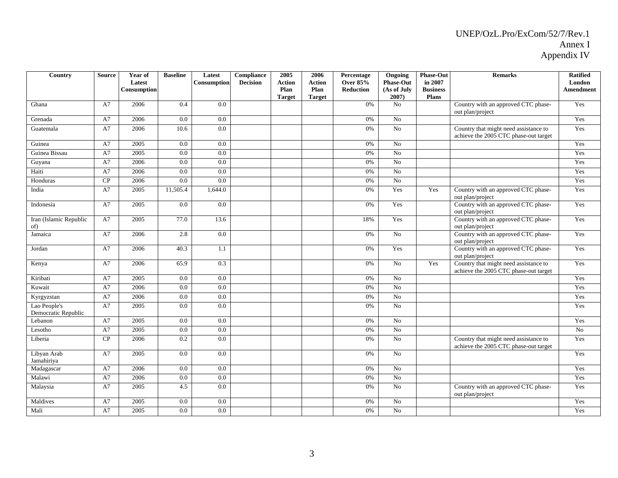| Country                             | <b>Source</b> | Year of<br>Latest<br>Consumption | <b>Baseline</b> | Latest<br>Consumption | Compliance<br><b>Decision</b> | 2005<br><b>Action</b><br>Plan<br><b>Target</b> | 2006<br><b>Action</b><br>Plan<br><b>Target</b> | Percentage<br><b>Over 85%</b><br>Reduction | Ongoing<br><b>Phase-Out</b><br>(As of July<br>2007) | <b>Phase-Out</b><br>in 2007<br><b>Business</b><br>Plans | <b>Remarks</b>                                                                 | <b>Ratified</b><br>London<br>Amendment |
|-------------------------------------|---------------|----------------------------------|-----------------|-----------------------|-------------------------------|------------------------------------------------|------------------------------------------------|--------------------------------------------|-----------------------------------------------------|---------------------------------------------------------|--------------------------------------------------------------------------------|----------------------------------------|
| Ghana                               | A7            | 2006                             | 0.4             | $\overline{0.0}$      |                               |                                                |                                                | 0%                                         | No                                                  |                                                         | Country with an approved CTC phase-<br>out plan/project                        | Yes                                    |
| Grenada                             | A7            | 2006                             | 0.0             | 0.0                   |                               |                                                |                                                | 0%                                         | $\overline{No}$                                     |                                                         |                                                                                | Yes                                    |
| Guatemala                           | A7            | 2006                             | 10.6            | 0.0                   |                               |                                                |                                                | 0%                                         | No                                                  |                                                         | Country that might need assistance to<br>achieve the 2005 CTC phase-out target | Yes                                    |
| Guinea                              | A7            | 2005                             | 0.0             | 0.0                   |                               |                                                |                                                | $0\%$                                      | No                                                  |                                                         |                                                                                | Yes                                    |
| Guinea Bissau                       | A7            | 2005                             | 0.0             | 0.0                   |                               |                                                |                                                | 0%                                         | No                                                  |                                                         |                                                                                | Yes                                    |
| Guyana                              | A7            | 2006                             | 0.0             | 0.0                   |                               |                                                |                                                | 0%                                         | $\overline{No}$                                     |                                                         |                                                                                | Yes                                    |
| Haiti                               | A7            | 2006                             | 0.0             | 0.0                   |                               |                                                |                                                | 0%                                         | No                                                  |                                                         |                                                                                | Yes                                    |
| Honduras                            | CP            | 2006                             | 0.0             | 0.0                   |                               |                                                |                                                | 0%                                         | $\overline{No}$                                     |                                                         |                                                                                | Yes                                    |
| India                               | A7            | 2005                             | 11,505.4        | 1,644.0               |                               |                                                |                                                | 0%                                         | Yes                                                 | Yes                                                     | Country with an approved CTC phase-<br>out plan/project                        | Yes                                    |
| Indonesia                           | A7            | 2005                             | 0.0             | 0.0                   |                               |                                                |                                                | 0%                                         | Yes                                                 |                                                         | Country with an approved CTC phase-<br>out plan/project                        | Yes                                    |
| Iran (Islamic Republic<br>of)       | A7            | 2005                             | 77.0            | 13.6                  |                               |                                                |                                                | 18%                                        | Yes                                                 |                                                         | Country with an approved CTC phase-<br>out plan/project                        | Yes                                    |
| Jamaica                             | A7            | 2006                             | 2.8             | $\overline{0.0}$      |                               |                                                |                                                | 0%                                         | No                                                  |                                                         | Country with an approved CTC phase-<br>out plan/project                        | Yes                                    |
| Jordan                              | A7            | 2006                             | 40.3            | 1.1                   |                               |                                                |                                                | 0%                                         | Yes                                                 |                                                         | Country with an approved CTC phase-<br>out plan/project                        | Yes                                    |
| Kenya                               | A7            | 2006                             | 65.9            | 0.3                   |                               |                                                |                                                | 0%                                         | No                                                  | Yes                                                     | Country that might need assistance to<br>achieve the 2005 CTC phase-out target | Yes                                    |
| Kiribati                            | A7            | 2005                             | 0.0             | 0.0                   |                               |                                                |                                                | $0\%$                                      | No                                                  |                                                         |                                                                                | Yes                                    |
| Kuwait                              | A7            | 2006                             | 0.0             | 0.0                   |                               |                                                |                                                | 0%                                         | No                                                  |                                                         |                                                                                | Yes                                    |
| Kyrgyzstan                          | A7            | 2006                             | 0.0             | 0.0                   |                               |                                                |                                                | $0\%$                                      | $\overline{No}$                                     |                                                         |                                                                                | Yes                                    |
| Lao People's<br>Democratic Republic | A7            | 2005                             | $0.0\,$         | 0.0                   |                               |                                                |                                                | 0%                                         | No                                                  |                                                         |                                                                                | Yes                                    |
| Lebanon                             | A7            | 2005                             | 0.0             | 0.0                   |                               |                                                |                                                | 0%                                         | No                                                  |                                                         |                                                                                | Yes                                    |
| Lesotho                             | A7            | 2005                             | 0.0             | 0.0                   |                               |                                                |                                                | 0%                                         | $\overline{No}$                                     |                                                         |                                                                                | $\overline{No}$                        |
| Liberia                             | CP            | 2006                             | 0.2             | 0.0                   |                               |                                                |                                                | 0%                                         | $\overline{No}$                                     |                                                         | Country that might need assistance to<br>achieve the 2005 CTC phase-out target | Yes                                    |
| Libyan Arab<br>Jamahiriya           | A7            | 2005                             | 0.0             | 0.0                   |                               |                                                |                                                | 0%                                         | No                                                  |                                                         |                                                                                | Yes                                    |
| Madagascar                          | A7            | 2006                             | 0.0             | 0.0                   |                               |                                                |                                                | 0%                                         | $\overline{No}$                                     |                                                         |                                                                                | Yes                                    |
| Malawi                              | A7            | 2006                             | 0.0             | 0.0                   |                               |                                                |                                                | 0%                                         | No                                                  |                                                         |                                                                                | Yes                                    |
| Malaysia                            | A7            | 2005                             | 4.5             | 0.0                   |                               |                                                |                                                | 0%                                         | $\rm No$                                            |                                                         | Country with an approved CTC phase-<br>out plan/project                        | Yes                                    |
| Maldives                            | A7            | 2005                             | 0.0             | 0.0                   |                               |                                                |                                                | 0%                                         | No                                                  |                                                         |                                                                                | Yes                                    |
| Mali                                | A7            | 2005                             | 0.0             | 0.0                   |                               |                                                |                                                | 0%                                         | $\overline{No}$                                     |                                                         |                                                                                | Yes                                    |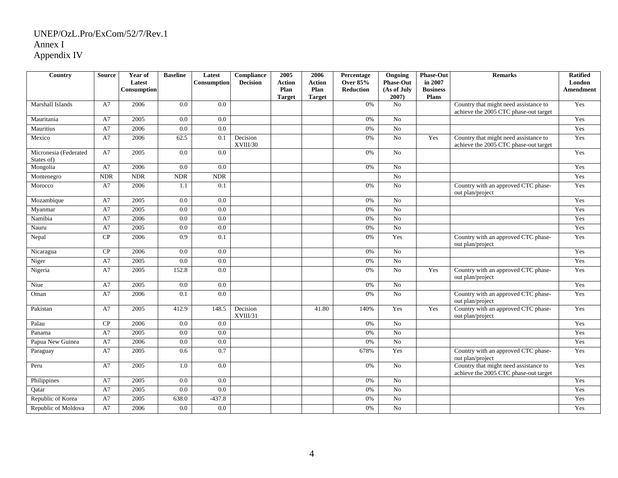| Country                             | <b>Source</b> | Year of<br>Latest<br>Consumption | <b>Baseline</b> | Latest<br>Consumption | Compliance<br><b>Decision</b> | 2005<br><b>Action</b><br>Plan | 2006<br><b>Action</b><br>Plan | Percentage<br><b>Over 85%</b><br><b>Reduction</b> | Ongoing<br><b>Phase-Out</b><br>(As of July | <b>Phase-Out</b><br>in 2007<br><b>Business</b> | <b>Remarks</b>                                                                 | <b>Ratified</b><br>London<br><b>Amendment</b> |
|-------------------------------------|---------------|----------------------------------|-----------------|-----------------------|-------------------------------|-------------------------------|-------------------------------|---------------------------------------------------|--------------------------------------------|------------------------------------------------|--------------------------------------------------------------------------------|-----------------------------------------------|
|                                     |               |                                  |                 |                       |                               | <b>Target</b>                 | <b>Target</b>                 |                                                   | $2007$ )                                   | <b>Plans</b>                                   |                                                                                |                                               |
| Marshall Islands                    | A7            | 2006                             | 0.0             | $\overline{0.0}$      |                               |                               |                               | 0%                                                | No                                         |                                                | Country that might need assistance to<br>achieve the 2005 CTC phase-out target | Yes                                           |
| Mauritania                          | A7            | 2005                             | 0.0             | 0.0                   |                               |                               |                               | 0%                                                | No                                         |                                                |                                                                                | Yes                                           |
| Mauritius                           | A7            | 2006                             | 0.0             | $\overline{0.0}$      |                               |                               |                               | 0%                                                | $\overline{No}$                            |                                                |                                                                                | Yes                                           |
| Mexico                              | A7            | 2006                             | 62.5            | 0.1                   | Decision<br>XVIII/30          |                               |                               | 0%                                                | No                                         | Yes                                            | Country that might need assistance to<br>achieve the 2005 CTC phase-out target | Yes                                           |
| Micronesia (Federated<br>States of) | A7            | 2005                             | 0.0             | 0.0                   |                               |                               |                               | 0%                                                | No                                         |                                                |                                                                                | Yes                                           |
| Mongolia                            | A7            | 2006                             | 0.0             | 0.0                   |                               |                               |                               | 0%                                                | No                                         |                                                |                                                                                | Yes                                           |
| Montenegro                          | $\rm NDR$     | $\rm NDR$                        | <b>NDR</b>      | <b>NDR</b>            |                               |                               |                               |                                                   | No                                         |                                                |                                                                                | Yes                                           |
| Morocco                             | A7            | 2006                             | 1.1             | 0.1                   |                               |                               |                               | 0%                                                | No                                         |                                                | Country with an approved CTC phase-<br>out plan/project                        | Yes                                           |
| Mozambique                          | A7            | 2005                             | 0.0             | 0.0                   |                               |                               |                               | 0%                                                | No                                         |                                                |                                                                                | Yes                                           |
| Myanmar                             | A7            | 2005                             | 0.0             | 0.0                   |                               |                               |                               | 0%                                                | No                                         |                                                |                                                                                | Yes                                           |
| Namibia                             | A7            | 2006                             | 0.0             | 0.0                   |                               |                               |                               | 0%                                                | No                                         |                                                |                                                                                | Yes                                           |
| Nauru                               | A7            | 2005                             | 0.0             | 0.0                   |                               |                               |                               | 0%                                                | $\overline{No}$                            |                                                |                                                                                | Yes                                           |
| Nepal                               | CP            | 2006                             | 0.9             | 0.1                   |                               |                               |                               | 0%                                                | Yes                                        |                                                | Country with an approved CTC phase-<br>out plan/project                        | Yes                                           |
| Nicaragua                           | CP            | 2006                             | 0.0             | 0.0                   |                               |                               |                               | 0%                                                | No                                         |                                                |                                                                                | Yes                                           |
| Niger                               | A7            | 2005                             | 0.0             | 0.0                   |                               |                               |                               | 0%                                                | No                                         |                                                |                                                                                | Yes                                           |
| Nigeria                             | A7            | 2005                             | 152.8           | 0.0                   |                               |                               |                               | 0%                                                | No                                         | Yes                                            | Country with an approved CTC phase-<br>out plan/project                        | Yes                                           |
| Niue                                | A7            | 2005                             | 0.0             | 0.0                   |                               |                               |                               | 0%                                                | $\overline{No}$                            |                                                |                                                                                | Yes                                           |
| Oman                                | A7            | 2006                             | 0.1             | $\overline{0.0}$      |                               |                               |                               | 0%                                                | No                                         |                                                | Country with an approved CTC phase-<br>out plan/project                        | Yes                                           |
| Pakistan                            | A7            | 2005                             | 412.9           | 148.5                 | Decision<br>XVIII/31          |                               | 41.80                         | 140%                                              | Yes                                        | Yes                                            | Country with an approved CTC phase-<br>out plan/project                        | Yes                                           |
| Palau                               | CP            | 2006                             | 0.0             | 0.0                   |                               |                               |                               | 0%                                                | No                                         |                                                |                                                                                | Yes                                           |
| Panama                              | A7            | 2005                             | 0.0             | 0.0                   |                               |                               |                               | 0%                                                | No                                         |                                                |                                                                                | Yes                                           |
| Papua New Guinea                    | A7            | 2006                             | 0.0             | 0.0                   |                               |                               |                               | 0%                                                | No                                         |                                                |                                                                                | Yes                                           |
| Paraguay                            | A7            | 2005                             | 0.6             | 0.7                   |                               |                               |                               | 678%                                              | Yes                                        |                                                | Country with an approved CTC phase-<br>out plan/project                        | Yes                                           |
| Peru                                | A7            | 2005                             | 1.0             | 0.0                   |                               |                               |                               | 0%                                                | $\overline{No}$                            |                                                | Country that might need assistance to<br>achieve the 2005 CTC phase-out target | Yes                                           |
| Philippines                         | A7            | 2005                             | 0.0             | 0.0                   |                               |                               |                               | 0%                                                | No                                         |                                                |                                                                                | Yes                                           |
| Qatar                               | A7            | 2005                             | 0.0             | 0.0                   |                               |                               |                               | 0%                                                | No                                         |                                                |                                                                                | Yes                                           |
| Republic of Korea                   | A7            | 2005                             | 638.0           | $-437.8$              |                               |                               |                               | 0%                                                | No                                         |                                                |                                                                                | Yes                                           |
| Republic of Moldova                 | A7            | 2006                             | 0.0             | $0.0\,$               |                               |                               |                               | 0%                                                | No                                         |                                                |                                                                                | Yes                                           |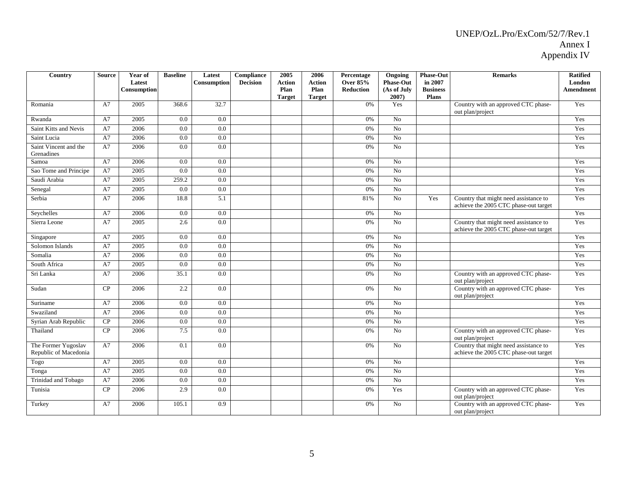| Country                                      | Source | Year of<br>Latest | <b>Baseline</b> | Latest<br>Consumption | <b>Compliance</b><br><b>Decision</b> | 2005<br><b>Action</b> | 2006<br><b>Action</b> | Percentage<br><b>Over 85%</b> | Ongoing<br><b>Phase-Out</b> | <b>Phase-Out</b><br>in 2007 | <b>Remarks</b>                                                                 | <b>Ratified</b><br>London |
|----------------------------------------------|--------|-------------------|-----------------|-----------------------|--------------------------------------|-----------------------|-----------------------|-------------------------------|-----------------------------|-----------------------------|--------------------------------------------------------------------------------|---------------------------|
|                                              |        | Consumption       |                 |                       |                                      | Plan<br><b>Target</b> | Plan<br><b>Target</b> | <b>Reduction</b>              | (As of July<br>2007)        | <b>Business</b><br>Plans    |                                                                                | Amendment                 |
| Romania                                      | A7     | 2005              | 368.6           | 32.7                  |                                      |                       |                       | 0%                            | Yes                         |                             | Country with an approved CTC phase-<br>out plan/project                        | Yes                       |
| Rwanda                                       | A7     | 2005              | 0.0             | 0.0                   |                                      |                       |                       | 0%                            | No                          |                             |                                                                                | Yes                       |
| <b>Saint Kitts and Nevis</b>                 | A7     | 2006              | 0.0             | $\overline{0.0}$      |                                      |                       |                       | 0%                            | N <sub>o</sub>              |                             |                                                                                | Yes                       |
| Saint Lucia                                  | A7     | 2006              | 0.0             | 0.0                   |                                      |                       |                       | $0\%$                         | $\overline{No}$             |                             |                                                                                | Yes                       |
| Saint Vincent and the<br>Grenadines          | A7     | 2006              | 0.0             | 0.0                   |                                      |                       |                       | 0%                            | $\overline{N_0}$            |                             |                                                                                | Yes                       |
| Samoa                                        | A7     | 2006              | 0.0             | 0.0                   |                                      |                       |                       | 0%                            | No                          |                             |                                                                                | Yes                       |
| Sao Tome and Principe                        | A7     | 2005              | 0.0             | 0.0                   |                                      |                       |                       | 0%                            | N <sub>0</sub>              |                             |                                                                                | Yes                       |
| Saudi Arabia                                 | A7     | 2005              | 259.2           | 0.0                   |                                      |                       |                       | 0%                            | No                          |                             |                                                                                | Yes                       |
| Senegal                                      | A7     | 2005              | 0.0             | 0.0                   |                                      |                       |                       | 0%                            | N <sub>o</sub>              |                             |                                                                                | Yes                       |
| Serbia                                       | A7     | 2006              | 18.8            | 5.1                   |                                      |                       |                       | 81%                           | No                          | Yes                         | Country that might need assistance to<br>achieve the 2005 CTC phase-out target | Yes                       |
| Seychelles                                   | A7     | 2006              | 0.0             | 0.0                   |                                      |                       |                       | 0%                            | N <sub>0</sub>              |                             |                                                                                | Yes                       |
| Sierra Leone                                 | A7     | 2005              | 2.6             | 0.0                   |                                      |                       |                       | 0%                            | $\overline{No}$             |                             | Country that might need assistance to<br>achieve the 2005 CTC phase-out target | Yes                       |
| Singapore                                    | A7     | 2005              | 0.0             | 0.0                   |                                      |                       |                       | 0%                            | No                          |                             |                                                                                | Yes                       |
| Solomon Islands                              | A7     | 2005              | $0.0\,$         | 0.0                   |                                      |                       |                       | $0\%$                         | N <sub>o</sub>              |                             |                                                                                | Yes                       |
| Somalia                                      | A7     | 2006              | 0.0             | 0.0                   |                                      |                       |                       | 0%                            | $\overline{N_0}$            |                             |                                                                                | Yes                       |
| South Africa                                 | A7     | 2005              | $0.0\,$         | 0.0                   |                                      |                       |                       | $0\%$                         | No                          |                             |                                                                                | Yes                       |
| Sri Lanka                                    | A7     | 2006              | 35.1            | 0.0                   |                                      |                       |                       | 0%                            | $\overline{N_0}$            |                             | Country with an approved CTC phase-<br>out plan/project                        | Yes                       |
| Sudan                                        | CP     | 2006              | 2.2             | 0.0                   |                                      |                       |                       | 0%                            | No                          |                             | Country with an approved CTC phase-<br>out plan/project                        | Yes                       |
| Suriname                                     | A7     | 2006              | $0.0\,$         | 0.0                   |                                      |                       |                       | 0%                            | N <sub>o</sub>              |                             |                                                                                | Yes                       |
| Swaziland                                    | A7     | 2006              | 0.0             | 0.0                   |                                      |                       |                       | 0%                            | $\overline{No}$             |                             |                                                                                | Yes                       |
| Syrian Arab Republic                         | CP     | 2006              | $0.0\,$         | 0.0                   |                                      |                       |                       | 0%                            | $\overline{No}$             |                             |                                                                                | Yes                       |
| Thailand                                     | CP     | 2006              | 7.5             | 0.0                   |                                      |                       |                       | 0%                            | $\overline{No}$             |                             | Country with an approved CTC phase-<br>out plan/project                        | Yes                       |
| The Former Yugoslav<br>Republic of Macedonia | A7     | 2006              | 0.1             | 0.0                   |                                      |                       |                       | 0%                            | No                          |                             | Country that might need assistance to<br>achieve the 2005 CTC phase-out target | Yes                       |
| Togo                                         | A7     | 2005              | 0.0             | 0.0                   |                                      |                       |                       | 0%                            | No                          |                             |                                                                                | Yes                       |
| Tonga                                        | A7     | 2005              | 0.0             | 0.0                   |                                      |                       |                       | 0%                            | N <sub>o</sub>              |                             |                                                                                | Yes                       |
| Trinidad and Tobago                          | A7     | 2006              | 0.0             | 0.0                   |                                      |                       |                       | 0%                            | N <sub>o</sub>              |                             |                                                                                | Yes                       |
| Tunisia                                      | CP     | 2006              | 2.9             | 0.0                   |                                      |                       |                       | 0%                            | Yes                         |                             | Country with an approved CTC phase-<br>out plan/project                        | Yes                       |
| Turkey                                       | A7     | 2006              | 105.1           | 0.9                   |                                      |                       |                       | 0%                            | No                          |                             | Country with an approved CTC phase-<br>out plan/project                        | Yes                       |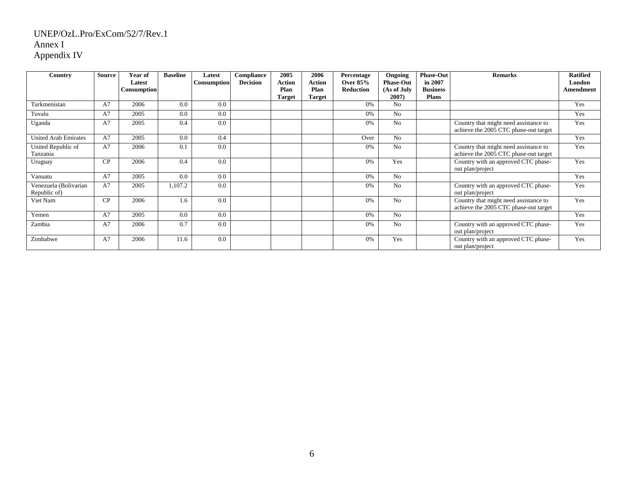| Country                               | <b>Source</b> | Year of<br>Latest<br><b>Consumption</b> | <b>Baseline</b> | Latest<br>Consumption | Compliance<br><b>Decision</b> | 2005<br><b>Action</b><br>Plan | 2006<br>Action<br>Plan | Percentage<br>Over $85%$<br><b>Reduction</b> | Ongoing<br><b>Phase-Out</b><br>(As of July | <b>Phase-Out</b><br>in 2007<br><b>Business</b> | <b>Remarks</b>                                                                 | <b>Ratified</b><br>London<br>Amendment |
|---------------------------------------|---------------|-----------------------------------------|-----------------|-----------------------|-------------------------------|-------------------------------|------------------------|----------------------------------------------|--------------------------------------------|------------------------------------------------|--------------------------------------------------------------------------------|----------------------------------------|
| Turkmenistan                          | A7            | 2006                                    | 0.0             | 0.0                   |                               | <b>Target</b>                 | <b>Target</b>          | 0%                                           | 2007)<br>N <sub>0</sub>                    | <b>Plans</b>                                   |                                                                                | Yes                                    |
| Tuvalu                                | A7            | 2005                                    | 0.0             | 0.0                   |                               |                               |                        | 0%                                           | No                                         |                                                |                                                                                | Yes                                    |
| Uganda                                | A7            | 2005                                    | 0.4             | 0.0                   |                               |                               |                        | 0%                                           | No                                         |                                                | Country that might need assistance to<br>achieve the 2005 CTC phase-out target | Yes                                    |
| <b>United Arab Emirates</b>           | A7            | 2005                                    | 0.0             | 0.4                   |                               |                               |                        | Over                                         | N <sub>o</sub>                             |                                                |                                                                                | Yes                                    |
| United Republic of<br>Tanzania        | A7            | 2006                                    | 0.1             | 0.0                   |                               |                               |                        | 0%                                           | N <sub>o</sub>                             |                                                | Country that might need assistance to<br>achieve the 2005 CTC phase-out target | Yes                                    |
| Uruguay                               | CP            | 2006                                    | 0.4             | 0.0                   |                               |                               |                        | 0%                                           | Yes                                        |                                                | Country with an approved CTC phase-<br>out plan/project                        | Yes                                    |
| Vanuatu                               | A7            | 2005                                    | 0.0             | 0.0                   |                               |                               |                        | 0%                                           | No                                         |                                                |                                                                                | Yes                                    |
| Venezuela (Bolivarian<br>Republic of) | A7            | 2005                                    | 1,107.2         | 0.0                   |                               |                               |                        | 0%                                           | No                                         |                                                | Country with an approved CTC phase-<br>out plan/project                        | Yes                                    |
| Viet Nam                              | CP            | 2006                                    | 1.6             | 0.0                   |                               |                               |                        | 0%                                           | N <sub>0</sub>                             |                                                | Country that might need assistance to<br>achieve the 2005 CTC phase-out target | Yes                                    |
| Yemen                                 | A7            | 2005                                    | 0.0             | 0.0                   |                               |                               |                        | 0%                                           | No                                         |                                                |                                                                                | Yes                                    |
| Zambia                                | A7            | 2006                                    | 0.7             | 0.0                   |                               |                               |                        | 0%                                           | No                                         |                                                | Country with an approved CTC phase-<br>out plan/project                        | Yes                                    |
| Zimbabwe                              | A7            | 2006                                    | 11.6            | 0.0                   |                               |                               |                        | 0%                                           | Yes                                        |                                                | Country with an approved CTC phase-<br>out plan/project                        | Yes                                    |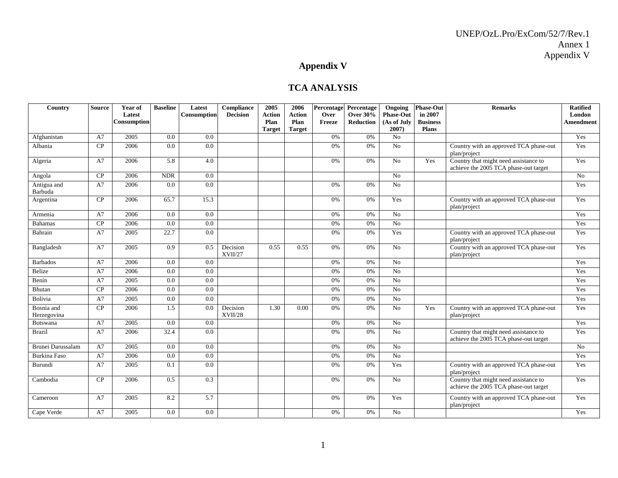# **Appendix V**

### **TCA ANALYSIS**

| Country                   | <b>Source</b> | Year of<br>Latest<br>Consumption | <b>Baseline</b> | Latest<br><b>Consumption</b> | Compliance<br><b>Decision</b> | 2005<br><b>Action</b><br>Plan | 2006<br><b>Action</b><br>Plan | Percentage<br>Over<br>Freeze | Percentage<br><b>Over 30%</b><br>Reduction | Ongoing<br><b>Phase-Out</b><br>(As of July | <b>Phase-Out</b><br>in 2007<br><b>Business</b> | <b>Remarks</b>                                                                 | <b>Ratified</b><br>London<br><b>Amendment</b> |
|---------------------------|---------------|----------------------------------|-----------------|------------------------------|-------------------------------|-------------------------------|-------------------------------|------------------------------|--------------------------------------------|--------------------------------------------|------------------------------------------------|--------------------------------------------------------------------------------|-----------------------------------------------|
|                           |               |                                  |                 |                              |                               | <b>Target</b>                 | <b>Target</b>                 |                              |                                            | 2007)                                      | <b>Plans</b>                                   |                                                                                |                                               |
| Afghanistan               | A7            | 2005                             | 0.0             | 0.0                          |                               |                               |                               | 0%                           | 0%                                         | No                                         |                                                |                                                                                | Yes                                           |
| Albania                   | CP            | 2006                             | 0.0             | 0.0                          |                               |                               |                               | 0%                           | 0%                                         | No                                         |                                                | Country with an approved TCA phase-out<br>plan/project                         | Yes                                           |
| Algeria                   | A7            | 2006                             | 5.8             | 4.0                          |                               |                               |                               | 0%                           | 0%                                         | No                                         | Yes                                            | Country that might need assistance to<br>achieve the 2005 TCA phase-out target | Yes                                           |
| Angola                    | CP            | 2006                             | <b>NDR</b>      | 0.0                          |                               |                               |                               |                              |                                            | N <sub>o</sub>                             |                                                |                                                                                | No                                            |
| Antigua and<br>Barbuda    | A7            | 2006                             | 0.0             | 0.0                          |                               |                               |                               | 0%                           | 0%                                         | No                                         |                                                |                                                                                | Yes                                           |
| Argentina                 | CP            | 2006                             | 65.7            | 15.3                         |                               |                               |                               | 0%                           | 0%                                         | Yes                                        |                                                | Country with an approved TCA phase-out<br>plan/project                         | Yes                                           |
| Armenia                   | A7            | 2006                             | 0.0             | $\overline{0.0}$             |                               |                               |                               | 0%                           | 0%                                         | No                                         |                                                |                                                                                | Yes                                           |
| <b>Bahamas</b>            | CP            | 2006                             | 0.0             | 0.0                          |                               |                               |                               | 0%                           | 0%                                         | No                                         |                                                |                                                                                | Yes                                           |
| Bahrain                   | A7            | 2005                             | 22.7            | $\overline{0.0}$             |                               |                               |                               | 0%                           | 0%                                         | Yes                                        |                                                | Country with an approved TCA phase-out<br>plan/project                         | Yes                                           |
| Bangladesh                | A7            | 2005                             | 0.9             | 0.5                          | Decision<br>XVII/27           | 0.55                          | 0.55                          | 0%                           | 0%                                         | No                                         |                                                | Country with an approved TCA phase-out<br>plan/project                         | Yes                                           |
| <b>Barbados</b>           | A7            | 2006                             | 0.0             | 0.0                          |                               |                               |                               | 0%                           | 0%                                         | $\overline{N_0}$                           |                                                |                                                                                | Yes                                           |
| Belize                    | A7            | 2006                             | 0.0             | 0.0                          |                               |                               |                               | 0%                           | 0%                                         | No                                         |                                                |                                                                                | Yes                                           |
| Benin                     | A7            | 2005                             | 0.0             | 0.0                          |                               |                               |                               | 0%                           | 0%                                         | No                                         |                                                |                                                                                | Yes                                           |
| Bhutan                    | CP            | 2006                             | 0.0             | 0.0                          |                               |                               |                               | 0%                           | 0%                                         | No                                         |                                                |                                                                                | Yes                                           |
| Bolivia                   | A7            | 2005                             | 0.0             | 0.0                          |                               |                               |                               | 0%                           | 0%                                         | $\overline{No}$                            |                                                |                                                                                | Yes                                           |
| Bosnia and<br>Herzegovina | CP            | 2006                             | 1.5             | 0.0                          | Decision<br>XVII/28           | 1.30                          | 0.00                          | 0%                           | 0%                                         | No                                         | Yes                                            | Country with an approved TCA phase-out<br>plan/project                         | Yes                                           |
| Botswana                  | A7            | 2005                             | 0.0             | 0.0                          |                               |                               |                               | 0%                           | 0%                                         | No                                         |                                                |                                                                                | Yes                                           |
| <b>Brazil</b>             | A7            | 2006                             | 32.4            | 0.0                          |                               |                               |                               | 0%                           | 0%                                         | No                                         |                                                | Country that might need assistance to<br>achieve the 2005 TCA phase-out target | Yes                                           |
| <b>Brunei Darussalam</b>  | A7            | 2005                             | 0.0             | 0.0                          |                               |                               |                               | 0%                           | 0%                                         | No                                         |                                                |                                                                                | No                                            |
| <b>Burkina Faso</b>       | A7            | 2006                             | 0.0             | 0.0                          |                               |                               |                               | 0%                           | 0%                                         | No                                         |                                                |                                                                                | Yes                                           |
| Burundi                   | A7            | 2005                             | 0.1             | 0.0                          |                               |                               |                               | 0%                           | 0%                                         | Yes                                        |                                                | Country with an approved TCA phase-out<br>plan/project                         | Yes                                           |
| Cambodia                  | CP            | 2006                             | 0.5             | 0.3                          |                               |                               |                               | 0%                           | 0%                                         | No                                         |                                                | Country that might need assistance to<br>achieve the 2005 TCA phase-out target | Yes                                           |
| Cameroon                  | A7            | 2005                             | 8.2             | 5.7                          |                               |                               |                               | 0%                           | 0%                                         | Yes                                        |                                                | Country with an approved TCA phase-out<br>plan/project                         | Yes                                           |
| Cape Verde                | A7            | 2005                             | 0.0             | 0.0                          |                               |                               |                               | 0%                           | 0%                                         | No                                         |                                                |                                                                                | Yes                                           |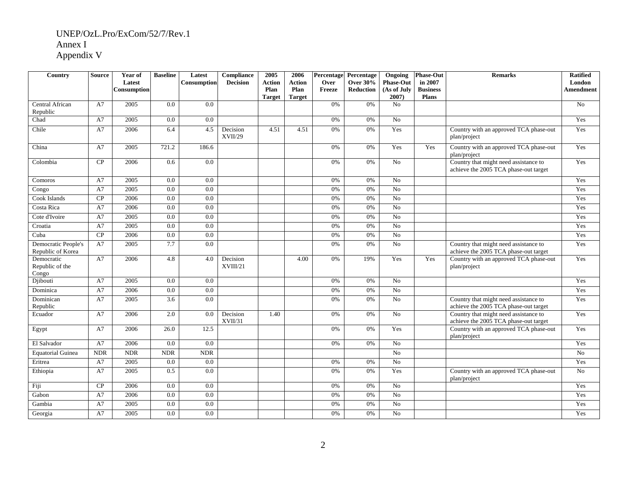| Country                                  | <b>Source</b> | Year of<br>Latest<br>Consumption | <b>Baseline</b>  | Latest<br><b>Consumption</b> | Compliance<br><b>Decision</b> | 2005<br>Action<br>Plan<br><b>Target</b> | 2006<br>Action<br>Plan<br><b>Target</b> | Percentage<br>Over<br>Freeze | Percentage<br><b>Over 30%</b><br>Reduction | Ongoing<br><b>Phase-Out</b><br>(As of July<br>2007) | <b>Phase-Out</b><br>in 2007<br><b>Business</b><br>Plans | <b>Remarks</b>                                                                 | <b>Ratified</b><br>London<br><b>Amendment</b> |
|------------------------------------------|---------------|----------------------------------|------------------|------------------------------|-------------------------------|-----------------------------------------|-----------------------------------------|------------------------------|--------------------------------------------|-----------------------------------------------------|---------------------------------------------------------|--------------------------------------------------------------------------------|-----------------------------------------------|
| Central African<br>Republic              | A7            | 2005                             | 0.0              | 0.0                          |                               |                                         |                                         | 0%                           | 0%                                         | No                                                  |                                                         |                                                                                | No                                            |
| Chad                                     | A7            | 2005                             | 0.0              | 0.0                          |                               |                                         |                                         | 0%                           | $0\%$                                      | No                                                  |                                                         |                                                                                | Yes                                           |
| Chile                                    | A7            | 2006                             | 6.4              | 4.5                          | Decision<br>XVII/29           | 4.51                                    | 4.51                                    | 0%                           | 0%                                         | Yes                                                 |                                                         | Country with an approved TCA phase-out<br>plan/project                         | Yes                                           |
| China                                    | A7            | 2005                             | 721.2            | 186.6                        |                               |                                         |                                         | 0%                           | 0%                                         | Yes                                                 | Yes                                                     | Country with an approved TCA phase-out<br>plan/project                         | Yes                                           |
| Colombia                                 | CP            | 2006                             | 0.6              | $\overline{0.0}$             |                               |                                         |                                         | 0%                           | 0%                                         | $\overline{N_0}$                                    |                                                         | Country that might need assistance to<br>achieve the 2005 TCA phase-out target | Yes                                           |
| Comoros                                  | A7            | 2005                             | $\overline{0.0}$ | $\overline{0.0}$             |                               |                                         |                                         | 0%                           | 0%                                         | No                                                  |                                                         |                                                                                | Yes                                           |
| Congo                                    | A7            | 2005                             | 0.0              | $\overline{0.0}$             |                               |                                         |                                         | 0%                           | 0%                                         | $\overline{N_0}$                                    |                                                         |                                                                                | Yes                                           |
| Cook Islands                             | CP            | 2006                             | 0.0              | $\overline{0.0}$             |                               |                                         |                                         | 0%                           | 0%                                         | $\overline{No}$                                     |                                                         |                                                                                | Yes                                           |
| Costa Rica                               | A7            | 2006                             | $\overline{0.0}$ | $\overline{0.0}$             |                               |                                         |                                         | 0%                           | 0%                                         | $\overline{No}$                                     |                                                         |                                                                                | Yes                                           |
| Cote d'Ivoire                            | A7            | 2005                             | 0.0              | 0.0                          |                               |                                         |                                         | 0%                           | 0%                                         | No                                                  |                                                         |                                                                                | Yes                                           |
| Croatia                                  | A7            | 2005                             | 0.0              | 0.0                          |                               |                                         |                                         | 0%                           | 0%                                         | No                                                  |                                                         |                                                                                | Yes                                           |
| Cuba                                     | CP            | 2006                             | 0.0              | 0.0                          |                               |                                         |                                         | 0%                           | 0%                                         | No                                                  |                                                         |                                                                                | Yes                                           |
| Democratic People's<br>Republic of Korea | A7            | 2005                             | 7.7              | 0.0                          |                               |                                         |                                         | 0%                           | 0%                                         | No                                                  |                                                         | Country that might need assistance to<br>achieve the 2005 TCA phase-out target | Yes                                           |
| Democratic<br>Republic of the<br>Congo   | A7            | 2006                             | 4.8              | 4.0                          | Decision<br>XVIII/21          |                                         | 4.00                                    | 0%                           | 19%                                        | Yes                                                 | Yes                                                     | Country with an approved TCA phase-out<br>plan/project                         | Yes                                           |
| Djibouti                                 | A7            | 2005                             | $\overline{0.0}$ | 0.0                          |                               |                                         |                                         | 0%                           | 0%                                         | No                                                  |                                                         |                                                                                | Yes                                           |
| Dominica                                 | A7            | 2006                             | 0.0              | 0.0                          |                               |                                         |                                         | 0%                           | 0%                                         | No                                                  |                                                         |                                                                                | Yes                                           |
| Dominican<br>Republic                    | A7            | 2005                             | 3.6              | 0.0                          |                               |                                         |                                         | 0%                           | 0%                                         | No                                                  |                                                         | Country that might need assistance to<br>achieve the 2005 TCA phase-out target | Yes                                           |
| Ecuador                                  | A7            | 2006                             | 2.0              | 0.0                          | Decision<br>XVII/31           | 1.40                                    |                                         | 0%                           | 0%                                         | No                                                  |                                                         | Country that might need assistance to<br>achieve the 2005 TCA phase-out target | Yes                                           |
| Egypt                                    | A7            | 2006                             | 26.0             | 12.5                         |                               |                                         |                                         | 0%                           | 0%                                         | Yes                                                 |                                                         | Country with an approved TCA phase-out<br>plan/project                         | Yes                                           |
| El Salvador                              | A7            | 2006                             | $\overline{0.0}$ | $\overline{0.0}$             |                               |                                         |                                         | 0%                           | 0%                                         | $\overline{N_0}$                                    |                                                         |                                                                                | Yes                                           |
| <b>Equatorial Guinea</b>                 | <b>NDR</b>    | NDR                              | <b>NDR</b>       | NDR                          |                               |                                         |                                         |                              |                                            | $\overline{No}$                                     |                                                         |                                                                                | $\overline{No}$                               |
| Eritrea                                  | A7            | 2005                             | $\overline{0.0}$ | $\overline{0.0}$             |                               |                                         |                                         | 0%                           | 0%                                         | $\overline{No}$                                     |                                                         |                                                                                | Yes                                           |
| Ethiopia                                 | A7            | 2005                             | 0.5              | 0.0                          |                               |                                         |                                         | 0%                           | 0%                                         | Yes                                                 |                                                         | Country with an approved TCA phase-out<br>plan/project                         | No                                            |
| Fiji                                     | CP            | 2006                             | 0.0              | 0.0                          |                               |                                         |                                         | 0%                           | $0\%$                                      | No                                                  |                                                         |                                                                                | Yes                                           |
| Gabon                                    | A7            | 2006                             | 0.0              | 0.0                          |                               |                                         |                                         | 0%                           | $0\%$                                      | No                                                  |                                                         |                                                                                | Yes                                           |
| Gambia                                   | A7            | 2005                             | 0.0              | 0.0                          |                               |                                         |                                         | 0%                           | 0%                                         | No                                                  |                                                         |                                                                                | Yes                                           |
| Georgia                                  | A7            | 2005                             | 0.0              | 0.0                          |                               |                                         |                                         | 0%                           | 0%                                         | No                                                  |                                                         |                                                                                | Yes                                           |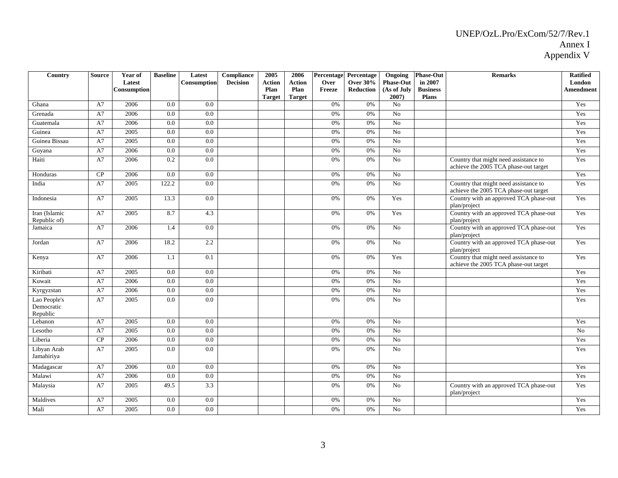| Country                                | <b>Source</b> | Year of<br>Latest<br>Consumption | <b>Baseline</b>  | Latest<br>Consumption | Compliance<br><b>Decision</b> | 2005<br><b>Action</b><br>Plan<br><b>Target</b> | 2006<br><b>Action</b><br>Plan<br><b>Target</b> | Percentage<br>Over<br>Freeze | Percentage<br><b>Over 30%</b><br>Reduction | Ongoing<br><b>Phase-Out</b><br>(As of July<br>2007) | <b>Phase-Out</b><br>in 2007<br><b>Business</b><br><b>Plans</b> | <b>Remarks</b>                                                                 | <b>Ratified</b><br>London<br>Amendment |
|----------------------------------------|---------------|----------------------------------|------------------|-----------------------|-------------------------------|------------------------------------------------|------------------------------------------------|------------------------------|--------------------------------------------|-----------------------------------------------------|----------------------------------------------------------------|--------------------------------------------------------------------------------|----------------------------------------|
| Ghana                                  | A7            | 2006                             | 0.0              | 0.0                   |                               |                                                |                                                | 0%                           | 0%                                         | N <sub>o</sub>                                      |                                                                |                                                                                | Yes                                    |
| Grenada                                | A7            | 2006                             | $\overline{0.0}$ | $\overline{0.0}$      |                               |                                                |                                                | 0%                           | 0%                                         | No                                                  |                                                                |                                                                                | Yes                                    |
| Guatemala                              | A7            | 2006                             | 0.0              | 0.0                   |                               |                                                |                                                | 0%                           | 0%                                         | No                                                  |                                                                |                                                                                | Yes                                    |
| Guinea                                 | A7            | 2005                             | $\overline{0.0}$ | 0.0                   |                               |                                                |                                                | 0%                           | 0%                                         | No                                                  |                                                                |                                                                                | Yes                                    |
| Guinea Bissau                          | A7            | 2005                             | $\overline{0.0}$ | $\overline{0.0}$      |                               |                                                |                                                | 0%                           | 0%                                         | $\overline{N_0}$                                    |                                                                |                                                                                | Yes                                    |
| Guyana                                 | A7            | 2006                             | 0.0              | 0.0                   |                               |                                                |                                                | 0%                           | 0%                                         | $\overline{No}$                                     |                                                                |                                                                                | Yes                                    |
| Haiti                                  | A7            | 2006                             | 0.2              | 0.0                   |                               |                                                |                                                | 0%                           | 0%                                         | $\overline{N_0}$                                    |                                                                | Country that might need assistance to<br>achieve the 2005 TCA phase-out target | Yes                                    |
| Honduras                               | CP            | 2006                             | 0.0              | 0.0                   |                               |                                                |                                                | 0%                           | 0%                                         | $\overline{N_0}$                                    |                                                                |                                                                                | Yes                                    |
| India                                  | A7            | 2005                             | 122.2            | 0.0                   |                               |                                                |                                                | 0%                           | 0%                                         | $\overline{No}$                                     |                                                                | Country that might need assistance to<br>achieve the 2005 TCA phase-out target | Yes                                    |
| Indonesia                              | A7            | 2005                             | 13.3             | 0.0                   |                               |                                                |                                                | $0\%$                        | 0%                                         | Yes                                                 |                                                                | Country with an approved TCA phase-out<br>plan/project                         | Yes                                    |
| Iran (Islamic<br>Republic of)          | A7            | 2005                             | 8.7              | 4.3                   |                               |                                                |                                                | $0\%$                        | 0%                                         | Yes                                                 |                                                                | Country with an approved TCA phase-out<br>plan/project                         | Yes                                    |
| Jamaica                                | A7            | 2006                             | 1.4              | $\overline{0.0}$      |                               |                                                |                                                | $0\%$                        | 0%                                         | $\overline{No}$                                     |                                                                | Country with an approved TCA phase-out<br>plan/project                         | Yes                                    |
| Jordan                                 | A7            | 2006                             | 18.2             | 2.2                   |                               |                                                |                                                | 0%                           | 0%                                         | No                                                  |                                                                | Country with an approved TCA phase-out<br>plan/project                         | Yes                                    |
| Kenya                                  | A7            | 2006                             | 1.1              | 0.1                   |                               |                                                |                                                | 0%                           | 0%                                         | Yes                                                 |                                                                | Country that might need assistance to<br>achieve the 2005 TCA phase-out target | Yes                                    |
| Kiribati                               | A7            | 2005                             | 0.0              | 0.0                   |                               |                                                |                                                | 0%                           | 0%                                         | No                                                  |                                                                |                                                                                | Yes                                    |
| Kuwait                                 | A7            | 2006                             | $\overline{0.0}$ | 0.0                   |                               |                                                |                                                | 0%                           | 0%                                         | $\overline{N_0}$                                    |                                                                |                                                                                | Yes                                    |
| Kyrgyzstan                             | A7            | 2006                             | 0.0              | 0.0                   |                               |                                                |                                                | 0%                           | $0\%$                                      | No                                                  |                                                                |                                                                                | Yes                                    |
| Lao People's<br>Democratic<br>Republic | A7            | 2005                             | 0.0              | 0.0                   |                               |                                                |                                                | 0%                           | 0%                                         | $\overline{No}$                                     |                                                                |                                                                                | Yes                                    |
| Lebanon                                | A7            | 2005                             | 0.0              | $\overline{0.0}$      |                               |                                                |                                                | 0%                           | 0%                                         | $\overline{No}$                                     |                                                                |                                                                                | Yes                                    |
| Lesotho                                | A7            | 2005                             | 0.0              | 0.0                   |                               |                                                |                                                | 0%                           | 0%                                         | No                                                  |                                                                |                                                                                | N <sub>o</sub>                         |
| Liberia                                | CP            | 2006                             | 0.0              | 0.0                   |                               |                                                |                                                | 0%                           | 0%                                         | No                                                  |                                                                |                                                                                | Yes                                    |
| Libyan Arab<br>Jamahiriya              | A7            | 2005                             | $\overline{0.0}$ | $\overline{0.0}$      |                               |                                                |                                                | $0\%$                        | 0%                                         | $\overline{No}$                                     |                                                                |                                                                                | Yes                                    |
| Madagascar                             | A7            | 2006                             | $\overline{0.0}$ | $\overline{0.0}$      |                               |                                                |                                                | 0%                           | 0%                                         | $\overline{N_0}$                                    |                                                                |                                                                                | Yes                                    |
| Malawi                                 | A7            | 2006                             | 0.0              | 0.0                   |                               |                                                |                                                | 0%                           | 0%                                         | $\overline{No}$                                     |                                                                |                                                                                | Yes                                    |
| Malaysia                               | A7            | 2005                             | 49.5             | 3.3                   |                               |                                                |                                                | $0\%$                        | 0%                                         | No                                                  |                                                                | Country with an approved TCA phase-out<br>plan/project                         | Yes                                    |
| Maldives                               | A7            | 2005                             | 0.0              | 0.0                   |                               |                                                |                                                | 0%                           | 0%                                         | No                                                  |                                                                |                                                                                | Yes                                    |
| Mali                                   | A7            | 2005                             | 0.0              | 0.0                   |                               |                                                |                                                | $0\%$                        | 0%                                         | $\overline{No}$                                     |                                                                |                                                                                | Yes                                    |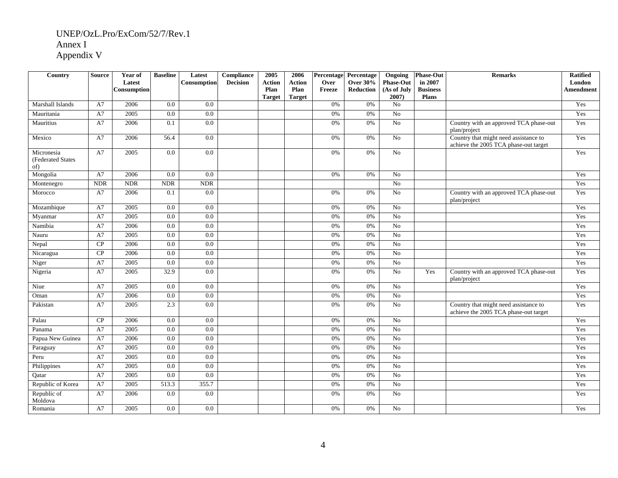| Country                                | <b>Source</b> | Year of<br>Latest<br>Consumption | <b>Baseline</b>  | Latest<br>Consumption | Compliance<br><b>Decision</b> | 2005<br>Action<br>Plan<br><b>Target</b> | 2006<br>Action<br>Plan<br><b>Target</b> | Percentage<br>Over<br>Freeze | Percentage<br>Over $30\%$<br><b>Reduction</b> | Ongoing<br><b>Phase-Out</b><br>(As of July<br>2007 | <b>Phase-Out</b><br>in 2007<br><b>Business</b><br><b>Plans</b> | <b>Remarks</b>                                                                 | <b>Ratified</b><br>London<br>Amendment |
|----------------------------------------|---------------|----------------------------------|------------------|-----------------------|-------------------------------|-----------------------------------------|-----------------------------------------|------------------------------|-----------------------------------------------|----------------------------------------------------|----------------------------------------------------------------|--------------------------------------------------------------------------------|----------------------------------------|
| Marshall Islands                       | A7            | 2006                             | 0.0              | 0.0                   |                               |                                         |                                         | 0%                           | 0%                                            | No                                                 |                                                                |                                                                                | Yes                                    |
| Mauritania                             | A7            | 2005                             | 0.0              | 0.0                   |                               |                                         |                                         | 0%                           | 0%                                            | No                                                 |                                                                |                                                                                | Yes                                    |
| Mauritius                              | A7            | 2006                             | 0.1              | $\overline{0.0}$      |                               |                                         |                                         | 0%                           | 0%                                            | $\overline{N_0}$                                   |                                                                | Country with an approved TCA phase-out<br>plan/project                         | Yes                                    |
| Mexico                                 | A7            | 2006                             | 56.4             | 0.0                   |                               |                                         |                                         | 0%                           | 0%                                            | No                                                 |                                                                | Country that might need assistance to<br>achieve the 2005 TCA phase-out target | Yes                                    |
| Micronesia<br>(Federated States<br>of) | A7            | 2005                             | 0.0              | 0.0                   |                               |                                         |                                         | 0%                           | 0%                                            | No                                                 |                                                                |                                                                                | Yes                                    |
| Mongolia                               | A7            | 2006                             | 0.0              | $\overline{0.0}$      |                               |                                         |                                         | 0%                           | 0%                                            | $\overline{No}$                                    |                                                                |                                                                                | Yes                                    |
| Montenegro                             | <b>NDR</b>    | <b>NDR</b>                       | <b>NDR</b>       | <b>NDR</b>            |                               |                                         |                                         |                              |                                               | N <sub>o</sub>                                     |                                                                |                                                                                | Yes                                    |
| Morocco                                | A7            | 2006                             | 0.1              | 0.0                   |                               |                                         |                                         | 0%                           | 0%                                            | No                                                 |                                                                | Country with an approved TCA phase-out<br>plan/project                         | Yes                                    |
| Mozambique                             | A7            | 2005                             | 0.0              | 0.0                   |                               |                                         |                                         | 0%                           | 0%                                            | No                                                 |                                                                |                                                                                | Yes                                    |
| Myanmar                                | A7            | 2005                             | 0.0              | $\overline{0.0}$      |                               |                                         |                                         | 0%                           | 0%                                            | $\overline{No}$                                    |                                                                |                                                                                | Yes                                    |
| Namibia                                | A7            | 2006                             | 0.0              | $\overline{0.0}$      |                               |                                         |                                         | 0%                           | 0%                                            | $\overline{No}$                                    |                                                                |                                                                                | Yes                                    |
| Nauru                                  | A7            | 2005                             | 0.0              | 0.0                   |                               |                                         |                                         | 0%                           | 0%                                            | No                                                 |                                                                |                                                                                | Yes                                    |
| Nepal                                  | CP            | 2006                             | $0.0\,$          | 0.0                   |                               |                                         |                                         | 0%                           | $0\%$                                         | No                                                 |                                                                |                                                                                | Yes                                    |
| Nicaragua                              | CP            | 2006                             | 0.0              | $\overline{0.0}$      |                               |                                         |                                         | 0%                           | 0%                                            | $\overline{N_0}$                                   |                                                                |                                                                                | Yes                                    |
| Niger                                  | A7            | 2005                             | 0.0              | 0.0                   |                               |                                         |                                         | 0%                           | 0%                                            | $\overline{No}$                                    |                                                                |                                                                                | Yes                                    |
| Nigeria                                | A7            | 2005                             | 32.9             | 0.0                   |                               |                                         |                                         | 0%                           | 0%                                            | No                                                 | Yes                                                            | Country with an approved TCA phase-out<br>plan/project                         | Yes                                    |
| Niue                                   | A7            | 2005                             | 0.0              | 0.0                   |                               |                                         |                                         | 0%                           | 0%                                            | No                                                 |                                                                |                                                                                | Yes                                    |
| Oman                                   | A7            | 2006                             | $0.0\,$          | 0.0                   |                               |                                         |                                         | 0%                           | 0%                                            | $\overline{No}$                                    |                                                                |                                                                                | Yes                                    |
| Pakistan                               | A7            | 2005                             | 2.3              | 0.0                   |                               |                                         |                                         | 0%                           | 0%                                            | No                                                 |                                                                | Country that might need assistance to<br>achieve the 2005 TCA phase-out target | Yes                                    |
| Palau                                  | CP            | 2006                             | $\overline{0.0}$ | 0.0                   |                               |                                         |                                         | 0%                           | 0%                                            | No                                                 |                                                                |                                                                                | Yes                                    |
| Panama                                 | A7            | 2005                             | 0.0              | 0.0                   |                               |                                         |                                         | 0%                           | 0%                                            | No                                                 |                                                                |                                                                                | Yes                                    |
| Papua New Guinea                       | A7            | 2006                             | 0.0              | 0.0                   |                               |                                         |                                         | 0%                           | 0%                                            | $\overline{No}$                                    |                                                                |                                                                                | Yes                                    |
| Paraguay                               | A7            | 2005                             | 0.0              | 0.0                   |                               |                                         |                                         | 0%                           | 0%                                            | No                                                 |                                                                |                                                                                | Yes                                    |
| Peru                                   | A7            | 2005                             | 0.0              | 0.0                   |                               |                                         |                                         | 0%                           | 0%                                            | No                                                 |                                                                |                                                                                | Yes                                    |
| Philippines                            | A7            | 2005                             | 0.0              | $\overline{0.0}$      |                               |                                         |                                         | 0%                           | 0%                                            | $\overline{No}$                                    |                                                                |                                                                                | Yes                                    |
| Qatar                                  | A7            | 2005                             | 0.0              | 0.0                   |                               |                                         |                                         | 0%                           | 0%                                            | No                                                 |                                                                |                                                                                | Yes                                    |
| Republic of Korea                      | A7            | 2005                             | 513.3            | 355.7                 |                               |                                         |                                         | 0%                           | 0%                                            | No                                                 |                                                                |                                                                                | Yes                                    |
| Republic of<br>Moldova                 | A7            | 2006                             | 0.0              | 0.0                   |                               |                                         |                                         | 0%                           | 0%                                            | No                                                 |                                                                |                                                                                | Yes                                    |
| Romania                                | A7            | 2005                             | 0.0              | 0.0                   |                               |                                         |                                         | 0%                           | 0%                                            | No                                                 |                                                                |                                                                                | Yes                                    |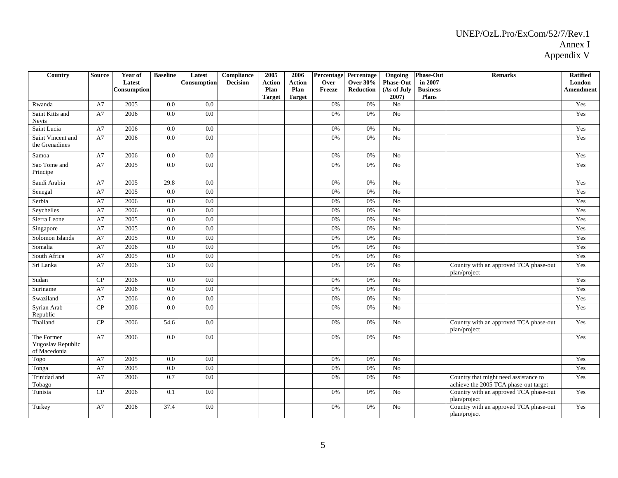| Country                                         | <b>Source</b> | Year of<br>Latest<br>Consumption | <b>Baseline</b>  | Latest<br>Consumption | Compliance<br><b>Decision</b> | 2005<br><b>Action</b><br>Plan<br><b>Target</b> | 2006<br>Action<br>Plan<br><b>Target</b> | Percentage<br>Over<br>Freeze | Percentage<br><b>Over 30%</b><br><b>Reduction</b> | Ongoing<br><b>Phase-Out</b><br>(As of July<br>2007) | <b>Phase-Out</b><br>in 2007<br><b>Business</b><br><b>Plans</b> | <b>Remarks</b>                                                                 | <b>Ratified</b><br>London<br>Amendment |
|-------------------------------------------------|---------------|----------------------------------|------------------|-----------------------|-------------------------------|------------------------------------------------|-----------------------------------------|------------------------------|---------------------------------------------------|-----------------------------------------------------|----------------------------------------------------------------|--------------------------------------------------------------------------------|----------------------------------------|
| Rwanda                                          | A7            | 2005                             | 0.0              | 0.0                   |                               |                                                |                                         | 0%                           | 0%                                                | No                                                  |                                                                |                                                                                | Yes                                    |
| Saint Kitts and<br><b>Nevis</b>                 | A7            | 2006                             | 0.0              | $\overline{0.0}$      |                               |                                                |                                         | 0%                           | 0%                                                | $\overline{No}$                                     |                                                                |                                                                                | Yes                                    |
| Saint Lucia                                     | A7            | 2006                             | $\overline{0.0}$ | $\overline{0.0}$      |                               |                                                |                                         | 0%                           | 0%                                                | $\overline{No}$                                     |                                                                |                                                                                | Yes                                    |
| Saint Vincent and<br>the Grenadines             | A7            | 2006                             | 0.0              | 0.0                   |                               |                                                |                                         | 0%                           | 0%                                                | No                                                  |                                                                |                                                                                | Yes                                    |
| Samoa                                           | A7            | 2006                             | 0.0              | $\overline{0.0}$      |                               |                                                |                                         | 0%                           | 0%                                                | $\overline{No}$                                     |                                                                |                                                                                | Yes                                    |
| Sao Tome and<br>Principe                        | A7            | 2005                             | 0.0              | 0.0                   |                               |                                                |                                         | 0%                           | 0%                                                | No                                                  |                                                                |                                                                                | Yes                                    |
| Saudi Arabia                                    | A7            | 2005                             | 29.8             | 0.0                   |                               |                                                |                                         | 0%                           | 0%                                                | No                                                  |                                                                |                                                                                | Yes                                    |
| Senegal                                         | A7            | 2005                             | $\overline{0.0}$ | $\overline{0.0}$      |                               |                                                |                                         | 0%                           | 0%                                                | $\overline{No}$                                     |                                                                |                                                                                | Yes                                    |
| Serbia                                          | A7            | 2006                             | 0.0              | 0.0                   |                               |                                                |                                         | 0%                           | 0%                                                | No                                                  |                                                                |                                                                                | Yes                                    |
| Seychelles                                      | A7            | 2006                             | 0.0              | 0.0                   |                               |                                                |                                         | 0%                           | 0%                                                | No                                                  |                                                                |                                                                                | Yes                                    |
| Sierra Leone                                    | A7            | 2005                             | $0.0\,$          | 0.0                   |                               |                                                |                                         | 0%                           | 0%                                                | No                                                  |                                                                |                                                                                | Yes                                    |
| Singapore                                       | A7            | 2005                             | $\overline{0.0}$ | 0.0                   |                               |                                                |                                         | 0%                           | 0%                                                | $\overline{No}$                                     |                                                                |                                                                                | Yes                                    |
| Solomon Islands                                 | A7            | 2005                             | 0.0              | 0.0                   |                               |                                                |                                         | 0%                           | 0%                                                | No                                                  |                                                                |                                                                                | Yes                                    |
| Somalia                                         | A7            | 2006                             | 0.0              | 0.0                   |                               |                                                |                                         | 0%                           | 0%                                                | No                                                  |                                                                |                                                                                | Yes                                    |
| South Africa                                    | A7            | 2005                             | 0.0              | 0.0                   |                               |                                                |                                         | 0%                           | 0%                                                | $\overline{No}$                                     |                                                                |                                                                                | Yes                                    |
| Sri Lanka                                       | A7            | 2006                             | 3.0              | 0.0                   |                               |                                                |                                         | 0%                           | 0%                                                | No                                                  |                                                                | Country with an approved TCA phase-out<br>plan/project                         | Yes                                    |
| Sudan                                           | CP            | 2006                             | 0.0              | 0.0                   |                               |                                                |                                         | 0%                           | 0%                                                | No                                                  |                                                                |                                                                                | Yes                                    |
| Suriname                                        | A7            | 2006                             | $0.0\,$          | 0.0                   |                               |                                                |                                         | 0%                           | 0%                                                | No                                                  |                                                                |                                                                                | Yes                                    |
| Swaziland                                       | A7            | 2006                             | $0.0\,$          | $0.0\,$               |                               |                                                |                                         | 0%                           | 0%                                                | $\rm No$                                            |                                                                |                                                                                | Yes                                    |
| Syrian Arab<br>Republic                         | CP            | 2006                             | 0.0              | 0.0                   |                               |                                                |                                         | 0%                           | 0%                                                | $\overline{No}$                                     |                                                                |                                                                                | Yes                                    |
| Thailand                                        | CP            | 2006                             | 54.6             | 0.0                   |                               |                                                |                                         | 0%                           | 0%                                                | No                                                  |                                                                | Country with an approved TCA phase-out<br>plan/project                         | Yes                                    |
| The Former<br>Yugoslav Republic<br>of Macedonia | A7            | 2006                             | 0.0              | 0.0                   |                               |                                                |                                         | 0%                           | 0%                                                | No                                                  |                                                                |                                                                                | Yes                                    |
| Togo                                            | A7            | 2005                             | 0.0              | 0.0                   |                               |                                                |                                         | 0%                           | 0%                                                | No                                                  |                                                                |                                                                                | Yes                                    |
| Tonga                                           | A7            | 2005                             | $\overline{0.0}$ | 0.0                   |                               |                                                |                                         | $0\%$                        | 0%                                                | $\overline{No}$                                     |                                                                |                                                                                | Yes                                    |
| Trinidad and<br>Tobago                          | A7            | 2006                             | 0.7              | 0.0                   |                               |                                                |                                         | 0%                           | 0%                                                | No                                                  |                                                                | Country that might need assistance to<br>achieve the 2005 TCA phase-out target | Yes                                    |
| Tunisia                                         | CP            | 2006                             | 0.1              | 0.0                   |                               |                                                |                                         | 0%                           | 0%                                                | No                                                  |                                                                | Country with an approved TCA phase-out<br>plan/project                         | Yes                                    |
| Turkey                                          | A7            | 2006                             | 37.4             | 0.0                   |                               |                                                |                                         | 0%                           | 0%                                                | No                                                  |                                                                | Country with an approved TCA phase-out<br>plan/project                         | Yes                                    |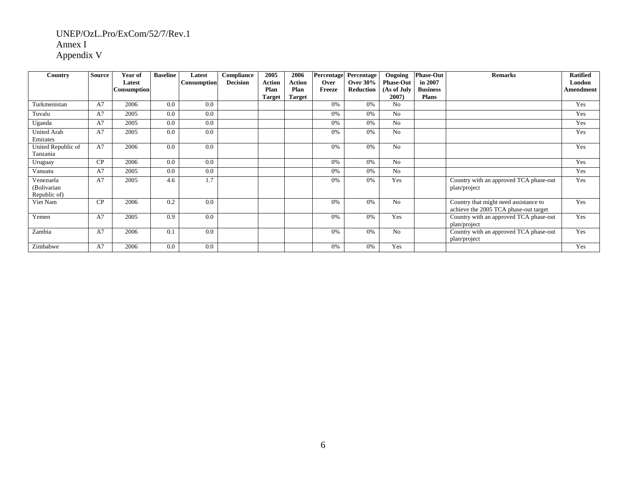| Country                                  | <b>Source</b> | Year of<br>Latest | <b>Baseline</b> | Latest<br>Consumption | Compliance<br><b>Decision</b> | 2005<br><b>Action</b> | 2006<br><b>Action</b> | Over   | Percentage Percentage<br><b>Over 30%</b> | Ongoing<br><b>Phase-Out</b> | <b>Phase-Out</b><br>in 2007 | <b>Remarks</b>                                                                 | <b>Ratified</b><br>London |
|------------------------------------------|---------------|-------------------|-----------------|-----------------------|-------------------------------|-----------------------|-----------------------|--------|------------------------------------------|-----------------------------|-----------------------------|--------------------------------------------------------------------------------|---------------------------|
|                                          |               | Consumption       |                 |                       |                               | Plan                  | Plan                  | Freeze | Reduction                                | (As of July                 | <b>Business</b>             |                                                                                | Amendment                 |
|                                          |               |                   |                 |                       |                               | <b>Target</b>         | <b>Target</b>         |        |                                          | 2007)                       | <b>Plans</b>                |                                                                                |                           |
| Turkmenistan                             | A7            | 2006              | 0.0             | 0.0                   |                               |                       |                       | 0%     | 0%                                       | No.                         |                             |                                                                                | Yes                       |
| Tuvalu                                   | A7            | 2005              | 0.0             | 0.0                   |                               |                       |                       | 0%     | 0%                                       | No                          |                             |                                                                                | Yes                       |
| Uganda                                   | A7            | 2005              | 0.0             | 0.0                   |                               |                       |                       | 0%     | 0%                                       | No                          |                             |                                                                                | Yes                       |
| United Arab<br>Emirates                  | A7            | 2005              | 0.0             | 0.0                   |                               |                       |                       | 0%     | 0%                                       | N <sub>0</sub>              |                             |                                                                                | Yes                       |
| United Republic of<br>Tanzania           | A7            | 2006              | 0.0             | 0.0                   |                               |                       |                       | 0%     | 0%                                       | No                          |                             |                                                                                | Yes                       |
| Uruguay                                  | CP            | 2006              | 0.0             | 0.0                   |                               |                       |                       | 0%     | 0%                                       | No                          |                             |                                                                                | Yes                       |
| Vanuatu                                  | A7            | 2005              | 0.0             | 0.0                   |                               |                       |                       | 0%     | 0%                                       | N <sub>0</sub>              |                             |                                                                                | Yes                       |
| Venezuela<br>(Bolivarian<br>Republic of) | A7            | 2005              | 4.6             | 1.7                   |                               |                       |                       | 0%     | 0%                                       | Yes                         |                             | Country with an approved TCA phase-out<br>plan/project                         | Yes                       |
| Viet Nam                                 | CP            | 2006              | 0.2             | 0.0                   |                               |                       |                       | 0%     | 0%                                       | N <sub>0</sub>              |                             | Country that might need assistance to<br>achieve the 2005 TCA phase-out target | Yes                       |
| Yemen                                    | A7            | 2005              | 0.9             | 0.0                   |                               |                       |                       | 0%     | 0%                                       | Yes                         |                             | Country with an approved TCA phase-out<br>plan/project                         | Yes                       |
| Zambia                                   | A7            | 2006              | 0.1             | 0.0                   |                               |                       |                       | 0%     | 0%                                       | N <sub>0</sub>              |                             | Country with an approved TCA phase-out<br>plan/project                         | Yes                       |
| Zimbabwe                                 | A7            | 2006              | 0.0             | 0.0                   |                               |                       |                       | 0%     | 0%                                       | Yes                         |                             |                                                                                | Yes                       |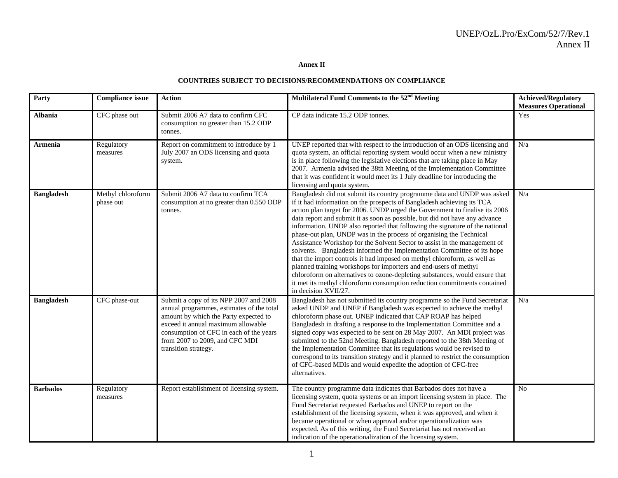**Annex II** 

#### **COUNTRIES SUBJECT TO DECISIONS/RECOMMENDATIONS ON COMPLIANCE**

| Party             | <b>Compliance issue</b>        | <b>Action</b>                                                                                                                                                                                                                                                           | Multilateral Fund Comments to the 52 <sup>nd</sup> Meeting                                                                                                                                                                                                                                                                                                                                                                                                                                                                                                                                                                                                                                                                                                                                                                                                                                                                                                       | <b>Achieved/Regulatory</b><br><b>Measures Operational</b> |
|-------------------|--------------------------------|-------------------------------------------------------------------------------------------------------------------------------------------------------------------------------------------------------------------------------------------------------------------------|------------------------------------------------------------------------------------------------------------------------------------------------------------------------------------------------------------------------------------------------------------------------------------------------------------------------------------------------------------------------------------------------------------------------------------------------------------------------------------------------------------------------------------------------------------------------------------------------------------------------------------------------------------------------------------------------------------------------------------------------------------------------------------------------------------------------------------------------------------------------------------------------------------------------------------------------------------------|-----------------------------------------------------------|
| <b>Albania</b>    | CFC phase out                  | Submit 2006 A7 data to confirm CFC<br>consumption no greater than 15.2 ODP<br>tonnes.                                                                                                                                                                                   | CP data indicate 15.2 ODP tonnes.                                                                                                                                                                                                                                                                                                                                                                                                                                                                                                                                                                                                                                                                                                                                                                                                                                                                                                                                | Yes                                                       |
| Armenia           | Regulatory<br>measures         | Report on commitment to introduce by 1<br>July 2007 an ODS licensing and quota<br>system.                                                                                                                                                                               | UNEP reported that with respect to the introduction of an ODS licensing and<br>quota system, an official reporting system would occur when a new ministry<br>is in place following the legislative elections that are taking place in May<br>2007. Armenia advised the 38th Meeting of the Implementation Committee<br>that it was confident it would meet its 1 July deadline for introducing the<br>licensing and quota system.                                                                                                                                                                                                                                                                                                                                                                                                                                                                                                                                | N/a                                                       |
| <b>Bangladesh</b> | Methyl chloroform<br>phase out | Submit 2006 A7 data to confirm TCA<br>consumption at no greater than 0.550 ODP<br>tonnes.                                                                                                                                                                               | Bangladesh did not submit its country programme data and UNDP was asked<br>if it had information on the prospects of Bangladesh achieving its TCA<br>action plan target for 2006. UNDP urged the Government to finalise its 2006<br>data report and submit it as soon as possible, but did not have any advance<br>information. UNDP also reported that following the signature of the national<br>phase-out plan, UNDP was in the process of organising the Technical<br>Assistance Workshop for the Solvent Sector to assist in the management of<br>solvents. Bangladesh informed the Implementation Committee of its hope<br>that the import controls it had imposed on methyl chloroform, as well as<br>planned training workshops for importers and end-users of methyl<br>chloroform on alternatives to ozone-depleting substances, would ensure that<br>it met its methyl chloroform consumption reduction commitments contained<br>in decision XVII/27. | N/a                                                       |
| <b>Bangladesh</b> | CFC phase-out                  | Submit a copy of its NPP 2007 and 2008<br>annual programmes, estimates of the total<br>amount by which the Party expected to<br>exceed it annual maximum allowable<br>consumption of CFC in each of the years<br>from 2007 to 2009, and CFC MDI<br>transition strategy. | Bangladesh has not submitted its country programme so the Fund Secretariat<br>asked UNDP and UNEP if Bangladesh was expected to achieve the methyl<br>chloroform phase out. UNEP indicated that CAP ROAP has helped<br>Bangladesh in drafting a response to the Implementation Committee and a<br>signed copy was expected to be sent on 28 May 2007. An MDI project was<br>submitted to the 52nd Meeting. Bangladesh reported to the 38th Meeting of<br>the Implementation Committee that its regulations would be revised to<br>correspond to its transition strategy and it planned to restrict the consumption<br>of CFC-based MDIs and would expedite the adoption of CFC-free<br>alternatives.                                                                                                                                                                                                                                                             | N/a                                                       |
| <b>Barbados</b>   | Regulatory<br>measures         | Report establishment of licensing system.                                                                                                                                                                                                                               | The country programme data indicates that Barbados does not have a<br>licensing system, quota systems or an import licensing system in place. The<br>Fund Secretariat requested Barbados and UNEP to report on the<br>establishment of the licensing system, when it was approved, and when it<br>became operational or when approval and/or operationalization was<br>expected. As of this writing, the Fund Secretariat has not received an<br>indication of the operationalization of the licensing system.                                                                                                                                                                                                                                                                                                                                                                                                                                                   | N <sub>o</sub>                                            |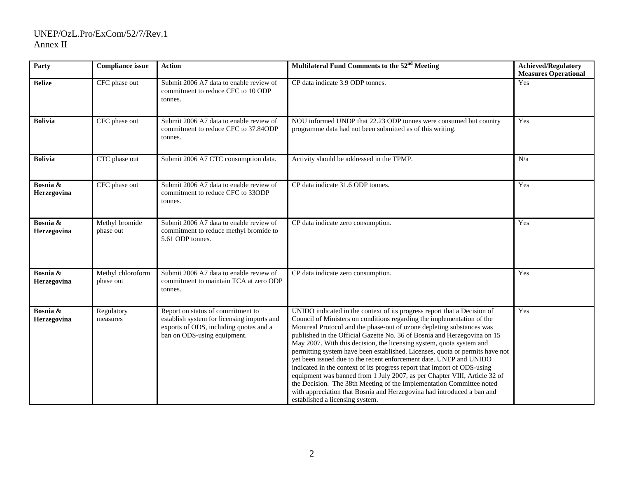| Party                   | <b>Compliance issue</b>        | <b>Action</b>                                                                                                                                            | Multilateral Fund Comments to the 52 <sup>nd</sup> Meeting                                                                                                                                                                                                                                                                                                                                                                                                                                                                                                                                                                                                                                                                                                                                                                                                                          | Achieved/Regulatory<br><b>Measures Operational</b> |
|-------------------------|--------------------------------|----------------------------------------------------------------------------------------------------------------------------------------------------------|-------------------------------------------------------------------------------------------------------------------------------------------------------------------------------------------------------------------------------------------------------------------------------------------------------------------------------------------------------------------------------------------------------------------------------------------------------------------------------------------------------------------------------------------------------------------------------------------------------------------------------------------------------------------------------------------------------------------------------------------------------------------------------------------------------------------------------------------------------------------------------------|----------------------------------------------------|
| <b>Belize</b>           | CFC phase out                  | Submit 2006 A7 data to enable review of<br>commitment to reduce CFC to 10 ODP<br>tonnes.                                                                 | CP data indicate 3.9 ODP tonnes.                                                                                                                                                                                                                                                                                                                                                                                                                                                                                                                                                                                                                                                                                                                                                                                                                                                    | Yes                                                |
| <b>Bolivia</b>          | CFC phase out                  | Submit 2006 A7 data to enable review of<br>commitment to reduce CFC to 37.84ODP<br>tonnes.                                                               | NOU informed UNDP that 22.23 ODP tonnes were consumed but country<br>programme data had not been submitted as of this writing.                                                                                                                                                                                                                                                                                                                                                                                                                                                                                                                                                                                                                                                                                                                                                      | Yes                                                |
| <b>Bolivia</b>          | CTC phase out                  | Submit 2006 A7 CTC consumption data.                                                                                                                     | Activity should be addressed in the TPMP.                                                                                                                                                                                                                                                                                                                                                                                                                                                                                                                                                                                                                                                                                                                                                                                                                                           | N/a                                                |
| Bosnia &<br>Herzegovina | CFC phase out                  | Submit 2006 A7 data to enable review of<br>commitment to reduce CFC to 33ODP<br>tonnes.                                                                  | CP data indicate 31.6 ODP tonnes.                                                                                                                                                                                                                                                                                                                                                                                                                                                                                                                                                                                                                                                                                                                                                                                                                                                   | Yes                                                |
| Bosnia &<br>Herzegovina | Methyl bromide<br>phase out    | Submit 2006 A7 data to enable review of<br>commitment to reduce methyl bromide to<br>5.61 ODP tonnes.                                                    | CP data indicate zero consumption.                                                                                                                                                                                                                                                                                                                                                                                                                                                                                                                                                                                                                                                                                                                                                                                                                                                  | Yes                                                |
| Bosnia &<br>Herzegovina | Methyl chloroform<br>phase out | Submit 2006 A7 data to enable review of<br>commitment to maintain TCA at zero ODP<br>tonnes.                                                             | CP data indicate zero consumption.                                                                                                                                                                                                                                                                                                                                                                                                                                                                                                                                                                                                                                                                                                                                                                                                                                                  | Yes                                                |
| Bosnia &<br>Herzegovina | Regulatory<br>measures         | Report on status of commitment to<br>establish system for licensing imports and<br>exports of ODS, including quotas and a<br>ban on ODS-using equipment. | UNIDO indicated in the context of its progress report that a Decision of<br>Council of Ministers on conditions regarding the implementation of the<br>Montreal Protocol and the phase-out of ozone depleting substances was<br>published in the Official Gazette No. 36 of Bosnia and Herzegovina on 15<br>May 2007. With this decision, the licensing system, quota system and<br>permitting system have been established. Licenses, quota or permits have not<br>yet been issued due to the recent enforcement date. UNEP and UNIDO<br>indicated in the context of its progress report that import of ODS-using<br>equipment was banned from 1 July 2007, as per Chapter VIII, Article 32 of<br>the Decision. The 38th Meeting of the Implementation Committee noted<br>with appreciation that Bosnia and Herzegovina had introduced a ban and<br>established a licensing system. | Yes                                                |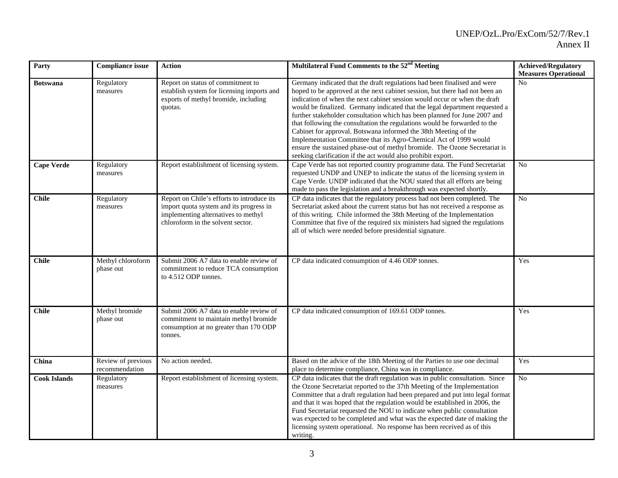| Party               | <b>Compliance issue</b>              | <b>Action</b>                                                                                                                                                     | Multilateral Fund Comments to the 52 <sup>nd</sup> Meeting                                                                                                                                                                                                                                                                                                                                                                                                                                                                                                                                                                                                                                                                                                          | <b>Achieved/Regulatory</b><br><b>Measures Operational</b> |
|---------------------|--------------------------------------|-------------------------------------------------------------------------------------------------------------------------------------------------------------------|---------------------------------------------------------------------------------------------------------------------------------------------------------------------------------------------------------------------------------------------------------------------------------------------------------------------------------------------------------------------------------------------------------------------------------------------------------------------------------------------------------------------------------------------------------------------------------------------------------------------------------------------------------------------------------------------------------------------------------------------------------------------|-----------------------------------------------------------|
| <b>Botswana</b>     | Regulatory<br>measures               | Report on status of commitment to<br>establish system for licensing imports and<br>exports of methyl bromide, including<br>quotas.                                | Germany indicated that the draft regulations had been finalised and were<br>hoped to be approved at the next cabinet session, but there had not been an<br>indication of when the next cabinet session would occur or when the draft<br>would be finalized. Germany indicated that the legal department requested a<br>further stakeholder consultation which has been planned for June 2007 and<br>that following the consultation the regulations would be forwarded to the<br>Cabinet for approval. Botswana informed the 38th Meeting of the<br>Implementation Committee that its Agro-Chemical Act of 1999 would<br>ensure the sustained phase-out of methyl bromide. The Ozone Secretariat is<br>seeking clarification if the act would also prohibit export. | No                                                        |
| <b>Cape Verde</b>   | Regulatory<br>measures               | Report establishment of licensing system.                                                                                                                         | Cape Verde has not reported country programme data. The Fund Secretariat<br>requested UNDP and UNEP to indicate the status of the licensing system in<br>Cape Verde. UNDP indicated that the NOU stated that all efforts are being<br>made to pass the legislation and a breakthrough was expected shortly.                                                                                                                                                                                                                                                                                                                                                                                                                                                         | $\overline{No}$                                           |
| <b>Chile</b>        | Regulatory<br>measures               | Report on Chile's efforts to introduce its<br>import quota system and its progress in<br>implementing alternatives to methyl<br>chloroform in the solvent sector. | CP data indicates that the regulatory process had not been completed. The<br>Secretariat asked about the current status but has not received a response as<br>of this writing. Chile informed the 38th Meeting of the Implementation<br>Committee that five of the required six ministers had signed the regulations<br>all of which were needed before presidential signature.                                                                                                                                                                                                                                                                                                                                                                                     | N <sub>o</sub>                                            |
| <b>Chile</b>        | Methyl chloroform<br>phase out       | Submit 2006 A7 data to enable review of<br>commitment to reduce TCA consumption<br>to 4.512 ODP tonnes.                                                           | CP data indicated consumption of 4.46 ODP tonnes.                                                                                                                                                                                                                                                                                                                                                                                                                                                                                                                                                                                                                                                                                                                   | Yes                                                       |
| <b>Chile</b>        | Methyl bromide<br>phase out          | Submit 2006 A7 data to enable review of<br>commitment to maintain methyl bromide<br>consumption at no greater than 170 ODP<br>tonnes.                             | CP data indicated consumption of 169.61 ODP tonnes.                                                                                                                                                                                                                                                                                                                                                                                                                                                                                                                                                                                                                                                                                                                 | Yes                                                       |
| China               | Review of previous<br>recommendation | No action needed.                                                                                                                                                 | Based on the advice of the 18th Meeting of the Parties to use one decimal<br>place to determine compliance, China was in compliance.                                                                                                                                                                                                                                                                                                                                                                                                                                                                                                                                                                                                                                | Yes                                                       |
| <b>Cook Islands</b> | Regulatory<br>measures               | Report establishment of licensing system.                                                                                                                         | CP data indicates that the draft regulation was in public consultation. Since<br>the Ozone Secretariat reported to the 37th Meeting of the Implementation<br>Committee that a draft regulation had been prepared and put into legal format<br>and that it was hoped that the regulation would be established in 2006, the<br>Fund Secretariat requested the NOU to indicate when public consultation<br>was expected to be completed and what was the expected date of making the<br>licensing system operational. No response has been received as of this<br>writing.                                                                                                                                                                                             | $\rm No$                                                  |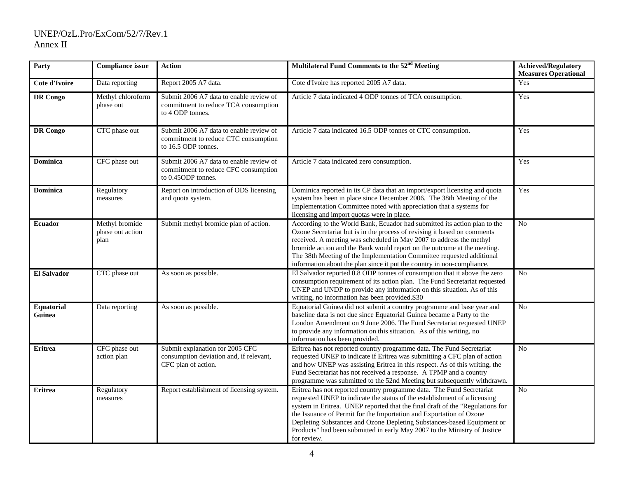| Party                | <b>Compliance issue</b>                    | <b>Action</b>                                                                                          | Multilateral Fund Comments to the 52 <sup>nd</sup> Meeting                                                                                                                                                                                                                                                                                                                                                                                                                       | <b>Achieved/Regulatory</b><br><b>Measures Operational</b> |
|----------------------|--------------------------------------------|--------------------------------------------------------------------------------------------------------|----------------------------------------------------------------------------------------------------------------------------------------------------------------------------------------------------------------------------------------------------------------------------------------------------------------------------------------------------------------------------------------------------------------------------------------------------------------------------------|-----------------------------------------------------------|
| Cote d'Ivoire        | Data reporting                             | Report 2005 A7 data.                                                                                   | Cote d'Ivoire has reported 2005 A7 data.                                                                                                                                                                                                                                                                                                                                                                                                                                         | Yes                                                       |
| <b>DR</b> Congo      | Methyl chloroform<br>phase out             | Submit 2006 A7 data to enable review of<br>commitment to reduce TCA consumption<br>to 4 ODP tonnes.    | Article 7 data indicated 4 ODP tonnes of TCA consumption.                                                                                                                                                                                                                                                                                                                                                                                                                        | Yes                                                       |
| <b>DR</b> Congo      | CTC phase out                              | Submit 2006 A7 data to enable review of<br>commitment to reduce CTC consumption<br>to 16.5 ODP tonnes. | Article 7 data indicated 16.5 ODP tonnes of CTC consumption.                                                                                                                                                                                                                                                                                                                                                                                                                     | Yes                                                       |
| <b>Dominica</b>      | CFC phase out                              | Submit 2006 A7 data to enable review of<br>commitment to reduce CFC consumption<br>to 0.45ODP tonnes.  | Article 7 data indicated zero consumption.                                                                                                                                                                                                                                                                                                                                                                                                                                       | Yes                                                       |
| <b>Dominica</b>      | Regulatory<br>measures                     | Report on introduction of ODS licensing<br>and quota system.                                           | Dominica reported in its CP data that an import/export licensing and quota<br>system has been in place since December 2006. The 38th Meeting of the<br>Implementation Committee noted with appreciation that a systems for<br>licensing and import quotas were in place.                                                                                                                                                                                                         | Yes                                                       |
| <b>Ecuador</b>       | Methyl bromide<br>phase out action<br>plan | Submit methyl bromide plan of action.                                                                  | According to the World Bank, Ecuador had submitted its action plan to the<br>Ozone Secretariat but is in the process of revising it based on comments<br>received. A meeting was scheduled in May 2007 to address the methyl<br>bromide action and the Bank would report on the outcome at the meeting.<br>The 38th Meeting of the Implementation Committee requested additional<br>information about the plan since it put the country in non-compliance.                       | N <sub>o</sub>                                            |
| <b>El Salvador</b>   | CTC phase out                              | As soon as possible.                                                                                   | El Salvador reported 0.8 ODP tonnes of consumption that it above the zero<br>consumption requirement of its action plan. The Fund Secretariat requested<br>UNEP and UNDP to provide any information on this situation. As of this<br>writing, no information has been provided.S30                                                                                                                                                                                               | N <sub>o</sub>                                            |
| Equatorial<br>Guinea | Data reporting                             | As soon as possible.                                                                                   | Equatorial Guinea did not submit a country programme and base year and<br>baseline data is not due since Equatorial Guinea became a Party to the<br>London Amendment on 9 June 2006. The Fund Secretariat requested UNEP<br>to provide any information on this situation. As of this writing, no<br>information has been provided.                                                                                                                                               | No                                                        |
| <b>Eritrea</b>       | CFC phase out<br>action plan               | Submit explanation for 2005 CFC<br>consumption deviation and, if relevant,<br>CFC plan of action.      | Eritrea has not reported country programme data. The Fund Secretariat<br>requested UNEP to indicate if Eritrea was submitting a CFC plan of action<br>and how UNEP was assisting Eritrea in this respect. As of this writing, the<br>Fund Secretariat has not received a response. A TPMP and a country<br>programme was submitted to the 52nd Meeting but subsequently withdrawn.                                                                                               | N <sub>o</sub>                                            |
| <b>Eritrea</b>       | Regulatory<br>measures                     | Report establishment of licensing system.                                                              | Eritrea has not reported country programme data. The Fund Secretariat<br>requested UNEP to indicate the status of the establishment of a licensing<br>system in Eritrea. UNEP reported that the final draft of the "Regulations for<br>the Issuance of Permit for the Importation and Exportation of Ozone<br>Depleting Substances and Ozone Depleting Substances-based Equipment or<br>Products" had been submitted in early May 2007 to the Ministry of Justice<br>for review. | N <sub>o</sub>                                            |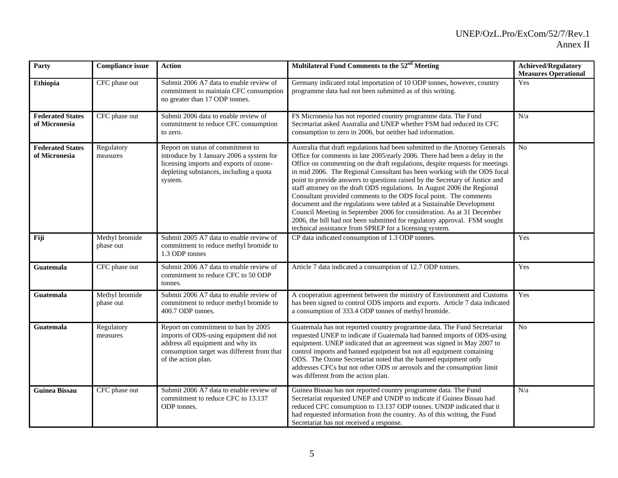| Party                                    | <b>Compliance issue</b>     | <b>Action</b>                                                                                                                                                                           | Multilateral Fund Comments to the 52 <sup>nd</sup> Meeting                                                                                                                                                                                                                                                                                                                                                                                                                                                                                                                                                                                                                                                                                                                                                                                         | <b>Achieved/Regulatory</b><br><b>Measures Operational</b> |
|------------------------------------------|-----------------------------|-----------------------------------------------------------------------------------------------------------------------------------------------------------------------------------------|----------------------------------------------------------------------------------------------------------------------------------------------------------------------------------------------------------------------------------------------------------------------------------------------------------------------------------------------------------------------------------------------------------------------------------------------------------------------------------------------------------------------------------------------------------------------------------------------------------------------------------------------------------------------------------------------------------------------------------------------------------------------------------------------------------------------------------------------------|-----------------------------------------------------------|
| Ethiopia                                 | CFC phase out               | Submit 2006 A7 data to enable review of<br>commitment to maintain CFC consumption<br>no greater than 17 ODP tonnes.                                                                     | Germany indicated total importation of 10 ODP tonnes, however, country<br>programme data had not been submitted as of this writing.                                                                                                                                                                                                                                                                                                                                                                                                                                                                                                                                                                                                                                                                                                                | Yes                                                       |
| <b>Federated States</b><br>of Micronesia | CFC phase out               | Submit 2006 data to enable review of<br>commitment to reduce CFC consumption<br>to zero.                                                                                                | FS Micronesia has not reported country programme data. The Fund<br>Secretariat asked Australia and UNEP whether FSM had reduced its CFC<br>consumption to zero in 2006, but neither had information.                                                                                                                                                                                                                                                                                                                                                                                                                                                                                                                                                                                                                                               | N/a                                                       |
| <b>Federated States</b><br>of Micronesia | Regulatory<br>measures      | Report on status of commitment to<br>introduce by 1 January 2006 a system for<br>licensing imports and exports of ozone-<br>depleting substances, including a quota<br>system.          | Australia that draft regulations had been submitted to the Attorney Generals<br>Office for comments in late 2005/early 2006. There had been a delay in the<br>Office on commenting on the draft regulations, despite requests for meetings<br>in mid 2006. The Regional Consultant has been working with the ODS focal<br>point to provide answers to questions raised by the Secretary of Justice and<br>staff attorney on the draft ODS regulations. In August 2006 the Regional<br>Consultant provided comments to the ODS focal point. The comments<br>document and the regulations were tabled at a Sustainable Development<br>Council Meeting in September 2006 for consideration. As at 31 December<br>2006, the bill had not been submitted for regulatory approval. FSM sought<br>technical assistance from SPREP for a licensing system. | No                                                        |
| Fiji                                     | Methyl bromide<br>phase out | Submit 2005 A7 data to enable review of<br>commitment to reduce methyl bromide to<br>1.3 ODP tonnes                                                                                     | CP data indicated consumption of 1.3 ODP tonnes.                                                                                                                                                                                                                                                                                                                                                                                                                                                                                                                                                                                                                                                                                                                                                                                                   | Yes                                                       |
| Guatemala                                | CFC phase out               | Submit 2006 A7 data to enable review of<br>commitment to reduce CFC to 50 ODP<br>tonnes.                                                                                                | Article 7 data indicated a consumption of 12.7 ODP tonnes.                                                                                                                                                                                                                                                                                                                                                                                                                                                                                                                                                                                                                                                                                                                                                                                         | Yes                                                       |
| Guatemala                                | Methyl bromide<br>phase out | Submit 2006 A7 data to enable review of<br>commitment to reduce methyl bromide to<br>400.7 ODP tonnes.                                                                                  | A cooperation agreement between the ministry of Environment and Customs<br>has been signed to control ODS imports and exports. Article 7 data indicated<br>a consumption of 333.4 ODP tonnes of methyl bromide.                                                                                                                                                                                                                                                                                                                                                                                                                                                                                                                                                                                                                                    | Yes                                                       |
| Guatemala                                | Regulatory<br>measures      | Report on commitment to ban by 2005<br>imports of ODS-using equipment did not<br>address all equipment and why its<br>consumption target was different from that<br>of the action plan. | Guatemala has not reported country programme data. The Fund Secretariat<br>requested UNEP to indicate if Guatemala had banned imports of ODS-using<br>equipment. UNEP indicated that an agreement was signed in May 2007 to<br>control imports and banned equipment but not all equipment containing<br>ODS. The Ozone Secretariat noted that the banned equipment only<br>addresses CFCs but not other ODS or aerosols and the consumption limit<br>was different from the action plan.                                                                                                                                                                                                                                                                                                                                                           | No                                                        |
| <b>Guinea Bissau</b>                     | CFC phase out               | Submit 2006 A7 data to enable review of<br>commitment to reduce CFC to 13.137<br>ODP tonnes.                                                                                            | Guinea Bissau has not reported country programme data. The Fund<br>Secretariat requested UNEP and UNDP to indicate if Guinea Bissau had<br>reduced CFC consumption to 13.137 ODP tonnes. UNDP indicated that it<br>had requested information from the country. As of this writing, the Fund<br>Secretariat has not received a response.                                                                                                                                                                                                                                                                                                                                                                                                                                                                                                            | N/a                                                       |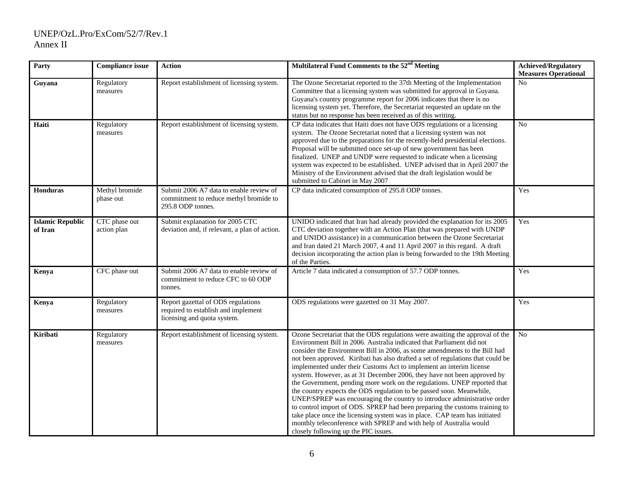| Party                              | <b>Compliance issue</b>      | Action                                                                                                   | Multilateral Fund Comments to the 52 <sup>nd</sup> Meeting                                                                                                                                                                                                                                                                                                                                                                                                                                                                                                                                                                                                                                                                                                                                                                                                                                                                                                                       | <b>Achieved/Regulatory</b><br><b>Measures Operational</b> |
|------------------------------------|------------------------------|----------------------------------------------------------------------------------------------------------|----------------------------------------------------------------------------------------------------------------------------------------------------------------------------------------------------------------------------------------------------------------------------------------------------------------------------------------------------------------------------------------------------------------------------------------------------------------------------------------------------------------------------------------------------------------------------------------------------------------------------------------------------------------------------------------------------------------------------------------------------------------------------------------------------------------------------------------------------------------------------------------------------------------------------------------------------------------------------------|-----------------------------------------------------------|
| Guyana                             | Regulatory<br>measures       | Report establishment of licensing system.                                                                | The Ozone Secretariat reported to the 37th Meeting of the Implementation<br>Committee that a licensing system was submitted for approval in Guyana.<br>Guyana's country programme report for 2006 indicates that there is no<br>licensing system yet. Therefore, the Secretariat requested an update on the<br>status but no response has been received as of this writing.                                                                                                                                                                                                                                                                                                                                                                                                                                                                                                                                                                                                      | N <sub>0</sub>                                            |
| Haiti                              | Regulatory<br>measures       | Report establishment of licensing system.                                                                | CP data indicates that Haiti does not have ODS regulations or a licensing<br>system. The Ozone Secretariat noted that a licensing system was not<br>approved due to the preparations for the recently-held presidential elections.<br>Proposal will be submitted once set-up of new government has been<br>finalized. UNEP and UNDP were requested to indicate when a licensing<br>system was expected to be established. UNEP advised that in April 2007 the<br>Ministry of the Environment advised that the draft legislation would be<br>submitted to Cabinet in May 2007                                                                                                                                                                                                                                                                                                                                                                                                     | No                                                        |
| <b>Honduras</b>                    | Methyl bromide<br>phase out  | Submit 2006 A7 data to enable review of<br>commitment to reduce methyl bromide to<br>295.8 ODP tonnes.   | CP data indicated consumption of 295.8 ODP tonnes.                                                                                                                                                                                                                                                                                                                                                                                                                                                                                                                                                                                                                                                                                                                                                                                                                                                                                                                               | Yes                                                       |
| <b>Islamic Republic</b><br>of Iran | CTC phase out<br>action plan | Submit explanation for 2005 CTC<br>deviation and, if relevant, a plan of action.                         | UNIDO indicated that Iran had already provided the explanation for its 2005<br>CTC deviation together with an Action Plan (that was prepared with UNDP<br>and UNIDO assistance) in a communication between the Ozone Secretariat<br>and Iran dated 21 March 2007, 4 and 11 April 2007 in this regard. A draft<br>decision incorporating the action plan is being forwarded to the 19th Meeting<br>of the Parties.                                                                                                                                                                                                                                                                                                                                                                                                                                                                                                                                                                | Yes                                                       |
| Kenya                              | CFC phase out                | Submit 2006 A7 data to enable review of<br>commitment to reduce CFC to 60 ODP<br>tonnes.                 | Article 7 data indicated a consumption of 57.7 ODP tonnes.                                                                                                                                                                                                                                                                                                                                                                                                                                                                                                                                                                                                                                                                                                                                                                                                                                                                                                                       | Yes                                                       |
| Kenya                              | Regulatory<br>measures       | Report gazettal of ODS regulations<br>required to establish and implement<br>licensing and quota system. | ODS regulations were gazetted on 31 May 2007.                                                                                                                                                                                                                                                                                                                                                                                                                                                                                                                                                                                                                                                                                                                                                                                                                                                                                                                                    | Yes                                                       |
| Kiribati                           | Regulatory<br>measures       | Report establishment of licensing system.                                                                | Ozone Secretariat that the ODS regulations were awaiting the approval of the<br>Environment Bill in 2006. Australia indicated that Parliament did not<br>consider the Environment Bill in 2006, as some amendments to the Bill had<br>not been approved. Kiribati has also drafted a set of regulations that could be<br>implemented under their Customs Act to implement an interim license<br>system. However, as at 31 December 2006, they have not been approved by<br>the Government, pending more work on the regulations. UNEP reported that<br>the country expects the ODS regulation to be passed soon. Meanwhile,<br>UNEP/SPREP was encouraging the country to introduce administrative order<br>to control import of ODS. SPREP had been preparing the customs training to<br>take place once the licensing system was in place. CAP team has initiated<br>monthly teleconference with SPREP and with help of Australia would<br>closely following up the PIC issues. | No                                                        |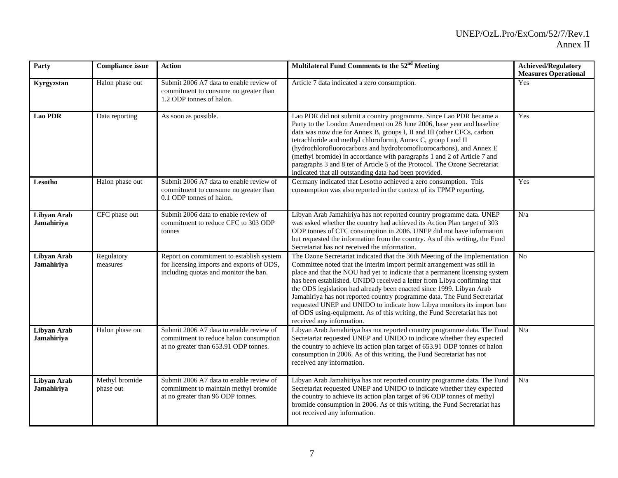| Party                     | <b>Compliance issue</b>     | <b>Action</b>                                                                                                                  | Multilateral Fund Comments to the 52 <sup>nd</sup> Meeting                                                                                                                                                                                                                                                                                                                                                                                                                                                                                                                                                                                                | <b>Achieved/Regulatory</b><br><b>Measures Operational</b> |
|---------------------------|-----------------------------|--------------------------------------------------------------------------------------------------------------------------------|-----------------------------------------------------------------------------------------------------------------------------------------------------------------------------------------------------------------------------------------------------------------------------------------------------------------------------------------------------------------------------------------------------------------------------------------------------------------------------------------------------------------------------------------------------------------------------------------------------------------------------------------------------------|-----------------------------------------------------------|
| Kyrgyzstan                | Halon phase out             | Submit 2006 A7 data to enable review of<br>commitment to consume no greater than<br>1.2 ODP tonnes of halon.                   | Article 7 data indicated a zero consumption.                                                                                                                                                                                                                                                                                                                                                                                                                                                                                                                                                                                                              | Yes                                                       |
| <b>Lao PDR</b>            | Data reporting              | As soon as possible.                                                                                                           | Lao PDR did not submit a country programme. Since Lao PDR became a<br>Party to the London Amendment on 28 June 2006, base year and baseline<br>data was now due for Annex B, groups I, II and III (other CFCs, carbon<br>tetrachloride and methyl chloroform), Annex C, group I and II<br>(hydrochlorofluorocarbons and hydrobromofluorocarbons), and Annex E<br>(methyl bromide) in accordance with paragraphs 1 and 2 of Article 7 and<br>paragraphs 3 and 8 ter of Article 5 of the Protocol. The Ozone Secretariat<br>indicated that all outstanding data had been provided.                                                                          | Yes                                                       |
| Lesotho                   | Halon phase out             | Submit 2006 A7 data to enable review of<br>commitment to consume no greater than<br>0.1 ODP tonnes of halon.                   | Germany indicated that Lesotho achieved a zero consumption. This<br>consumption was also reported in the context of its TPMP reporting.                                                                                                                                                                                                                                                                                                                                                                                                                                                                                                                   | Yes                                                       |
| Libyan Arab<br>Jamahiriya | CFC phase out               | Submit 2006 data to enable review of<br>commitment to reduce CFC to 303 ODP<br>tonnes                                          | Libyan Arab Jamahiriya has not reported country programme data. UNEP<br>was asked whether the country had achieved its Action Plan target of 303<br>ODP tonnes of CFC consumption in 2006. UNEP did not have information<br>but requested the information from the country. As of this writing, the Fund<br>Secretariat has not received the information.                                                                                                                                                                                                                                                                                                 | N/a                                                       |
| Libyan Arab<br>Jamahiriya | Regulatory<br>measures      | Report on commitment to establish system<br>for licensing imports and exports of ODS,<br>including quotas and monitor the ban. | The Ozone Secretariat indicated that the 36th Meeting of the Implementation<br>Committee noted that the interim import permit arrangement was still in<br>place and that the NOU had yet to indicate that a permanent licensing system<br>has been established. UNIDO received a letter from Libya confirming that<br>the ODS legislation had already been enacted since 1999. Libyan Arab<br>Jamahiriya has not reported country programme data. The Fund Secretariat<br>requested UNEP and UNIDO to indicate how Libya monitors its import ban<br>of ODS using-equipment. As of this writing, the Fund Secretariat has not<br>received any information. | No                                                        |
| Libyan Arab<br>Jamahiriya | Halon phase out             | Submit 2006 A7 data to enable review of<br>commitment to reduce halon consumption<br>at no greater than 653.91 ODP tonnes.     | Libyan Arab Jamahiriya has not reported country programme data. The Fund<br>Secretariat requested UNEP and UNIDO to indicate whether they expected<br>the country to achieve its action plan target of 653.91 ODP tonnes of halon<br>consumption in 2006. As of this writing, the Fund Secretariat has not<br>received any information.                                                                                                                                                                                                                                                                                                                   | N/a                                                       |
| Libyan Arab<br>Jamahiriya | Methyl bromide<br>phase out | Submit 2006 A7 data to enable review of<br>commitment to maintain methyl bromide<br>at no greater than 96 ODP tonnes.          | Libyan Arab Jamahiriya has not reported country programme data. The Fund<br>Secretariat requested UNEP and UNIDO to indicate whether they expected<br>the country to achieve its action plan target of 96 ODP tonnes of methyl<br>bromide consumption in 2006. As of this writing, the Fund Secretariat has<br>not received any information.                                                                                                                                                                                                                                                                                                              | N/a                                                       |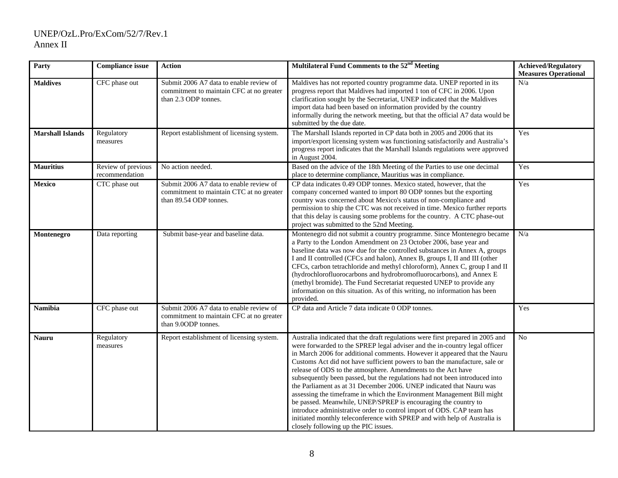| Party                   | <b>Compliance issue</b>              | <b>Action</b>                                                                                                 | Multilateral Fund Comments to the 52 <sup>nd</sup> Meeting                                                                                                                                                                                                                                                                                                                                                                                                                                                                                                                                                                                                                                                                                                                                                                                                                              | <b>Achieved/Regulatory</b><br><b>Measures Operational</b> |
|-------------------------|--------------------------------------|---------------------------------------------------------------------------------------------------------------|-----------------------------------------------------------------------------------------------------------------------------------------------------------------------------------------------------------------------------------------------------------------------------------------------------------------------------------------------------------------------------------------------------------------------------------------------------------------------------------------------------------------------------------------------------------------------------------------------------------------------------------------------------------------------------------------------------------------------------------------------------------------------------------------------------------------------------------------------------------------------------------------|-----------------------------------------------------------|
| <b>Maldives</b>         | CFC phase out                        | Submit 2006 A7 data to enable review of<br>commitment to maintain CFC at no greater<br>than 2.3 ODP tonnes.   | Maldives has not reported country programme data. UNEP reported in its<br>progress report that Maldives had imported 1 ton of CFC in 2006. Upon<br>clarification sought by the Secretariat, UNEP indicated that the Maldives<br>import data had been based on information provided by the country<br>informally during the network meeting, but that the official A7 data would be<br>submitted by the due date.                                                                                                                                                                                                                                                                                                                                                                                                                                                                        | N/a                                                       |
| <b>Marshall Islands</b> | Regulatory<br>measures               | Report establishment of licensing system.                                                                     | The Marshall Islands reported in CP data both in 2005 and 2006 that its<br>import/export licensing system was functioning satisfactorily and Australia's<br>progress report indicates that the Marshall Islands regulations were approved<br>in August 2004.                                                                                                                                                                                                                                                                                                                                                                                                                                                                                                                                                                                                                            | Yes                                                       |
| <b>Mauritius</b>        | Review of previous<br>recommendation | No action needed.                                                                                             | Based on the advice of the 18th Meeting of the Parties to use one decimal<br>place to determine compliance, Mauritius was in compliance.                                                                                                                                                                                                                                                                                                                                                                                                                                                                                                                                                                                                                                                                                                                                                | Yes                                                       |
| Mexico                  | CTC phase out                        | Submit 2006 A7 data to enable review of<br>commitment to maintain CTC at no greater<br>than 89.54 ODP tonnes. | CP data indicates 0.49 ODP tonnes. Mexico stated, however, that the<br>company concerned wanted to import 80 ODP tonnes but the exporting<br>country was concerned about Mexico's status of non-compliance and<br>permission to ship the CTC was not received in time. Mexico further reports<br>that this delay is causing some problems for the country. A CTC phase-out<br>project was submitted to the 52nd Meeting.                                                                                                                                                                                                                                                                                                                                                                                                                                                                | Yes                                                       |
| Montenegro              | Data reporting                       | Submit base-year and baseline data.                                                                           | Montenegro did not submit a country programme. Since Montenegro became<br>a Party to the London Amendment on 23 October 2006, base year and<br>baseline data was now due for the controlled substances in Annex A, groups<br>I and II controlled (CFCs and halon), Annex B, groups I, II and III (other<br>CFCs, carbon tetrachloride and methyl chloroform), Annex C, group I and II<br>(hydrochlorofluorocarbons and hydrobromofluorocarbons), and Annex E<br>(methyl bromide). The Fund Secretariat requested UNEP to provide any<br>information on this situation. As of this writing, no information has been<br>provided.                                                                                                                                                                                                                                                         | N/a                                                       |
| <b>Namibia</b>          | CFC phase out                        | Submit 2006 A7 data to enable review of<br>commitment to maintain CFC at no greater<br>than 9.00DP tonnes.    | CP data and Article 7 data indicate 0 ODP tonnes.                                                                                                                                                                                                                                                                                                                                                                                                                                                                                                                                                                                                                                                                                                                                                                                                                                       | Yes                                                       |
| <b>Nauru</b>            | Regulatory<br>measures               | Report establishment of licensing system.                                                                     | Australia indicated that the draft regulations were first prepared in 2005 and<br>were forwarded to the SPREP legal adviser and the in-country legal officer<br>in March 2006 for additional comments. However it appeared that the Nauru<br>Customs Act did not have sufficient powers to ban the manufacture, sale or<br>release of ODS to the atmosphere. Amendments to the Act have<br>subsequently been passed, but the regulations had not been introduced into<br>the Parliament as at 31 December 2006. UNEP indicated that Nauru was<br>assessing the timeframe in which the Environment Management Bill might<br>be passed. Meanwhile, UNEP/SPREP is encouraging the country to<br>introduce administrative order to control import of ODS. CAP team has<br>initiated monthly teleconference with SPREP and with help of Australia is<br>closely following up the PIC issues. | No                                                        |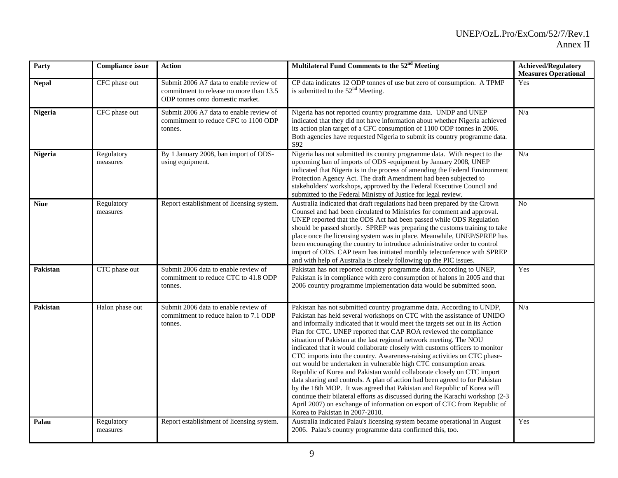| Party          | <b>Compliance issue</b> | <b>Action</b>                                                                                                          | Multilateral Fund Comments to the 52 <sup>nd</sup> Meeting                                                                                                                                                                                                                                                                                                                                                                                                                                                                                                                                                                                                                                                                                                                                                                                                                                                                                                                                                                                         | <b>Achieved/Regulatory</b><br><b>Measures Operational</b> |
|----------------|-------------------------|------------------------------------------------------------------------------------------------------------------------|----------------------------------------------------------------------------------------------------------------------------------------------------------------------------------------------------------------------------------------------------------------------------------------------------------------------------------------------------------------------------------------------------------------------------------------------------------------------------------------------------------------------------------------------------------------------------------------------------------------------------------------------------------------------------------------------------------------------------------------------------------------------------------------------------------------------------------------------------------------------------------------------------------------------------------------------------------------------------------------------------------------------------------------------------|-----------------------------------------------------------|
| <b>Nepal</b>   | CFC phase out           | Submit 2006 A7 data to enable review of<br>commitment to release no more than 13.5<br>ODP tonnes onto domestic market. | CP data indicates 12 ODP tonnes of use but zero of consumption. A TPMP<br>is submitted to the $52nd$ Meeting.                                                                                                                                                                                                                                                                                                                                                                                                                                                                                                                                                                                                                                                                                                                                                                                                                                                                                                                                      | Yes                                                       |
| <b>Nigeria</b> | CFC phase out           | Submit 2006 A7 data to enable review of<br>commitment to reduce CFC to 1100 ODP<br>tonnes.                             | Nigeria has not reported country programme data. UNDP and UNEP<br>indicated that they did not have information about whether Nigeria achieved<br>its action plan target of a CFC consumption of 1100 ODP tonnes in 2006.<br>Both agencies have requested Nigeria to submit its country programme data.<br>S92                                                                                                                                                                                                                                                                                                                                                                                                                                                                                                                                                                                                                                                                                                                                      | N/a                                                       |
| <b>Nigeria</b> | Regulatory<br>measures  | By 1 January 2008, ban import of ODS-<br>using equipment.                                                              | Nigeria has not submitted its country programme data. With respect to the<br>upcoming ban of imports of ODS -equipment by January 2008, UNEP<br>indicated that Nigeria is in the process of amending the Federal Environment<br>Protection Agency Act. The draft Amendment had been subjected to<br>stakeholders' workshops, approved by the Federal Executive Council and<br>submitted to the Federal Ministry of Justice for legal review.                                                                                                                                                                                                                                                                                                                                                                                                                                                                                                                                                                                                       | N/a                                                       |
| <b>Niue</b>    | Regulatory<br>measures  | Report establishment of licensing system.                                                                              | Australia indicated that draft regulations had been prepared by the Crown<br>Counsel and had been circulated to Ministries for comment and approval.<br>UNEP reported that the ODS Act had been passed while ODS Regulation<br>should be passed shortly. SPREP was preparing the customs training to take<br>place once the licensing system was in place. Meanwhile, UNEP/SPREP has<br>been encouraging the country to introduce administrative order to control<br>import of ODS. CAP team has initiated monthly teleconference with SPREP<br>and with help of Australia is closely following up the PIC issues.                                                                                                                                                                                                                                                                                                                                                                                                                                 | N <sub>o</sub>                                            |
| Pakistan       | CTC phase out           | Submit 2006 data to enable review of<br>commitment to reduce CTC to 41.8 ODP<br>tonnes.                                | Pakistan has not reported country programme data. According to UNEP,<br>Pakistan is in compliance with zero consumption of halons in 2005 and that<br>2006 country programme implementation data would be submitted soon.                                                                                                                                                                                                                                                                                                                                                                                                                                                                                                                                                                                                                                                                                                                                                                                                                          | Yes                                                       |
| Pakistan       | Halon phase out         | Submit 2006 data to enable review of<br>commitment to reduce halon to 7.1 ODP<br>tonnes.                               | Pakistan has not submitted country programme data. According to UNDP,<br>Pakistan has held several workshops on CTC with the assistance of UNIDO<br>and informally indicated that it would meet the targets set out in its Action<br>Plan for CTC. UNEP reported that CAP ROA reviewed the compliance<br>situation of Pakistan at the last regional network meeting. The NOU<br>indicated that it would collaborate closely with customs officers to monitor<br>CTC imports into the country. Awareness-raising activities on CTC phase-<br>out would be undertaken in vulnerable high CTC consumption areas.<br>Republic of Korea and Pakistan would collaborate closely on CTC import<br>data sharing and controls. A plan of action had been agreed to for Pakistan<br>by the 18th MOP. It was agreed that Pakistan and Republic of Korea will<br>continue their bilateral efforts as discussed during the Karachi workshop (2-3<br>April 2007) on exchange of information on export of CTC from Republic of<br>Korea to Pakistan in 2007-2010. | N/a                                                       |
| Palau          | Regulatory<br>measures  | Report establishment of licensing system.                                                                              | Australia indicated Palau's licensing system became operational in August<br>2006. Palau's country programme data confirmed this, too.                                                                                                                                                                                                                                                                                                                                                                                                                                                                                                                                                                                                                                                                                                                                                                                                                                                                                                             | Yes                                                       |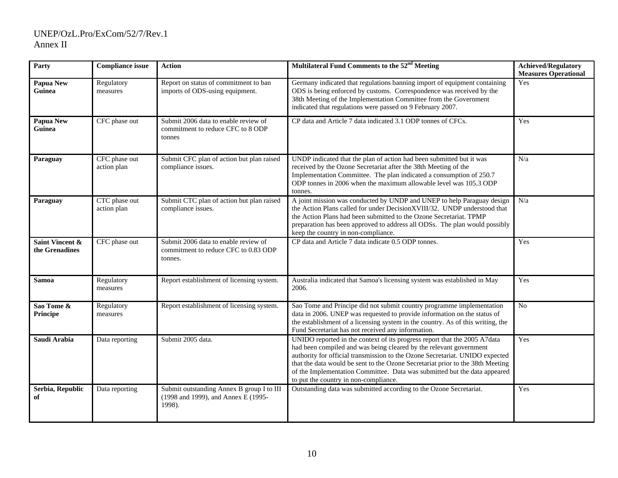| Party                                        | <b>Compliance issue</b>      | <b>Action</b>                                                                              | Multilateral Fund Comments to the 52 <sup>nd</sup> Meeting                                                                                                                                                                                                                                                                                                                                                                              | <b>Achieved/Regulatory</b><br><b>Measures Operational</b> |
|----------------------------------------------|------------------------------|--------------------------------------------------------------------------------------------|-----------------------------------------------------------------------------------------------------------------------------------------------------------------------------------------------------------------------------------------------------------------------------------------------------------------------------------------------------------------------------------------------------------------------------------------|-----------------------------------------------------------|
| Papua New<br>Guinea                          | Regulatory<br>measures       | Report on status of commitment to ban<br>imports of ODS-using equipment.                   | Germany indicated that regulations banning import of equipment containing<br>ODS is being enforced by customs. Correspondence was received by the<br>38th Meeting of the Implementation Committee from the Government<br>indicated that regulations were passed on 9 February 2007.                                                                                                                                                     | Yes                                                       |
| Papua New<br>Guinea                          | CFC phase out                | Submit 2006 data to enable review of<br>commitment to reduce CFC to 8 ODP<br>tonnes        | CP data and Article 7 data indicated 3.1 ODP tonnes of CFCs.                                                                                                                                                                                                                                                                                                                                                                            | Yes                                                       |
| Paraguay                                     | CFC phase out<br>action plan | Submit CFC plan of action but plan raised<br>compliance issues.                            | UNDP indicated that the plan of action had been submitted but it was<br>received by the Ozone Secretariat after the 38th Meeting of the<br>Implementation Committee. The plan indicated a consumption of 250.7<br>ODP tonnes in 2006 when the maximum allowable level was 105.3 ODP<br>tonnes.                                                                                                                                          | N/a                                                       |
| Paraguay                                     | CTC phase out<br>action plan | Submit CTC plan of action but plan raised<br>compliance issues.                            | A joint mission was conducted by UNDP and UNEP to help Paraguay design<br>the Action Plans called for under DecisionXVIII/32. UNDP understood that<br>the Action Plans had been submitted to the Ozone Secretariat. TPMP<br>preparation has been approved to address all ODSs. The plan would possibly<br>keep the country in non-compliance.                                                                                           | N/a                                                       |
| <b>Saint Vincent &amp;</b><br>the Grenadines | CFC phase out                | Submit 2006 data to enable review of<br>commitment to reduce CFC to 0.83 ODP<br>tonnes.    | CP data and Article 7 data indicate 0.5 ODP tonnes.                                                                                                                                                                                                                                                                                                                                                                                     | Yes                                                       |
| <b>Samoa</b>                                 | Regulatory<br>measures       | Report establishment of licensing system.                                                  | Australia indicated that Samoa's licensing system was established in May<br>2006.                                                                                                                                                                                                                                                                                                                                                       | Yes                                                       |
| Sao Tome &<br>Principe                       | Regulatory<br>measures       | Report establishment of licensing system.                                                  | Sao Tome and Principe did not submit country programme implementation<br>data in 2006. UNEP was requested to provide information on the status of<br>the establishment of a licensing system in the country. As of this writing, the<br>Fund Secretariat has not received any information.                                                                                                                                              | No                                                        |
| Saudi Arabia                                 | Data reporting               | Submit 2005 data.                                                                          | UNIDO reported in the context of its progress report that the 2005 A7data<br>had been compiled and was being cleared by the relevant government<br>authority for official transmission to the Ozone Secretariat. UNIDO expected<br>that the data would be sent to the Ozone Secretariat prior to the 38th Meeting<br>of the Implementation Committee. Data was submitted but the data appeared<br>to put the country in non-compliance. | Yes                                                       |
| Serbia, Republic<br>оf                       | Data reporting               | Submit outstanding Annex B group I to III<br>(1998 and 1999), and Annex E (1995-<br>1998). | Outstanding data was submitted according to the Ozone Secretariat.                                                                                                                                                                                                                                                                                                                                                                      | Yes                                                       |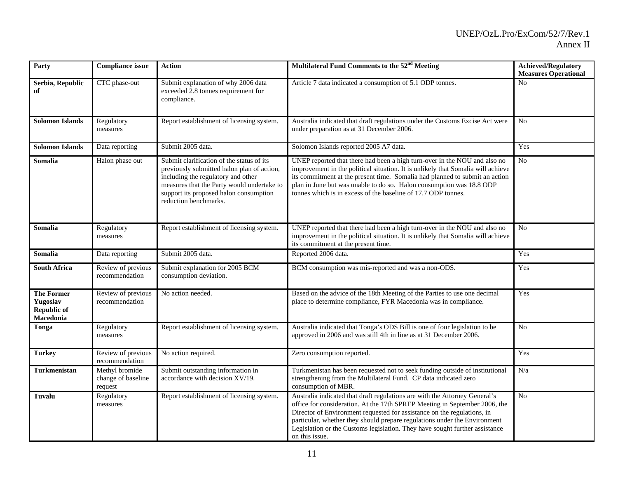| Party                                                     | <b>Compliance issue</b>                         | <b>Action</b>                                                                                                                                                                                                                                  | Multilateral Fund Comments to the 52 <sup>nd</sup> Meeting                                                                                                                                                                                                                                                                                                                                                        | <b>Achieved/Regulatory</b><br><b>Measures Operational</b> |
|-----------------------------------------------------------|-------------------------------------------------|------------------------------------------------------------------------------------------------------------------------------------------------------------------------------------------------------------------------------------------------|-------------------------------------------------------------------------------------------------------------------------------------------------------------------------------------------------------------------------------------------------------------------------------------------------------------------------------------------------------------------------------------------------------------------|-----------------------------------------------------------|
| Serbia, Republic<br>of                                    | CTC phase-out                                   | Submit explanation of why 2006 data<br>exceeded 2.8 tonnes requirement for<br>compliance.                                                                                                                                                      | Article 7 data indicated a consumption of 5.1 ODP tonnes.                                                                                                                                                                                                                                                                                                                                                         | No                                                        |
| <b>Solomon Islands</b>                                    | Regulatory<br>measures                          | Report establishment of licensing system.                                                                                                                                                                                                      | Australia indicated that draft regulations under the Customs Excise Act were<br>under preparation as at 31 December 2006.                                                                                                                                                                                                                                                                                         | N <sub>o</sub>                                            |
| <b>Solomon Islands</b>                                    | Data reporting                                  | Submit 2005 data.                                                                                                                                                                                                                              | Solomon Islands reported 2005 A7 data.                                                                                                                                                                                                                                                                                                                                                                            | Yes                                                       |
| Somalia                                                   | Halon phase out                                 | Submit clarification of the status of its<br>previously submitted halon plan of action,<br>including the regulatory and other<br>measures that the Party would undertake to<br>support its proposed halon consumption<br>reduction benchmarks. | UNEP reported that there had been a high turn-over in the NOU and also no<br>improvement in the political situation. It is unlikely that Somalia will achieve<br>its commitment at the present time. Somalia had planned to submit an action<br>plan in June but was unable to do so. Halon consumption was 18.8 ODP<br>tonnes which is in excess of the baseline of 17.7 ODP tonnes.                             | $\rm No$                                                  |
| Somalia                                                   | Regulatory<br>measures                          | Report establishment of licensing system.                                                                                                                                                                                                      | UNEP reported that there had been a high turn-over in the NOU and also no<br>improvement in the political situation. It is unlikely that Somalia will achieve<br>its commitment at the present time.                                                                                                                                                                                                              | $\overline{No}$                                           |
| Somalia                                                   | Data reporting                                  | Submit 2005 data.                                                                                                                                                                                                                              | Reported 2006 data.                                                                                                                                                                                                                                                                                                                                                                                               | Yes                                                       |
| <b>South Africa</b>                                       | Review of previous<br>recommendation            | Submit explanation for 2005 BCM<br>consumption deviation.                                                                                                                                                                                      | BCM consumption was mis-reported and was a non-ODS.                                                                                                                                                                                                                                                                                                                                                               | Yes                                                       |
| <b>The Former</b><br>Yugoslav<br>Republic of<br>Macedonia | Review of previous<br>recommendation            | No action needed.                                                                                                                                                                                                                              | Based on the advice of the 18th Meeting of the Parties to use one decimal<br>place to determine compliance, FYR Macedonia was in compliance.                                                                                                                                                                                                                                                                      | Yes                                                       |
| Tonga                                                     | Regulatory<br>measures                          | Report establishment of licensing system.                                                                                                                                                                                                      | Australia indicated that Tonga's ODS Bill is one of four legislation to be<br>approved in 2006 and was still 4th in line as at 31 December 2006.                                                                                                                                                                                                                                                                  | N <sub>o</sub>                                            |
| <b>Turkey</b>                                             | Review of previous<br>recommendation            | No action required.                                                                                                                                                                                                                            | Zero consumption reported.                                                                                                                                                                                                                                                                                                                                                                                        | Yes                                                       |
| Turkmenistan                                              | Methyl bromide<br>change of baseline<br>request | Submit outstanding information in<br>accordance with decision XV/19.                                                                                                                                                                           | Turkmenistan has been requested not to seek funding outside of institutional<br>strengthening from the Multilateral Fund. CP data indicated zero<br>consumption of MBR.                                                                                                                                                                                                                                           | N/a                                                       |
| Tuvalu                                                    | Regulatory<br>measures                          | Report establishment of licensing system.                                                                                                                                                                                                      | Australia indicated that draft regulations are with the Attorney General's<br>office for consideration. At the 17th SPREP Meeting in September 2006, the<br>Director of Environment requested for assistance on the regulations, in<br>particular, whether they should prepare regulations under the Environment<br>Legislation or the Customs legislation. They have sought further assistance<br>on this issue. | N <sub>o</sub>                                            |